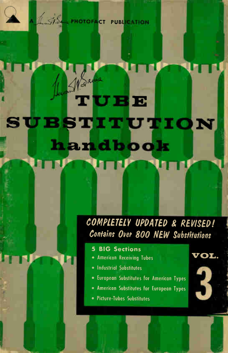$1/36$ PUBLICATION cт

гове

SUBSTITUTION

handbook

 $\sqrt{2}a$ 

## COMPLETELY UPDATED 8 REVISED! Contains Over 800 NEW Substitutions

VOL.

3

### 5 BIG Sections

- American Receiving Tubes
- Industrial Substitutes
- European Substitutes for American Types
- American Substitutes for European Types
- Picture-Tubes Substitutes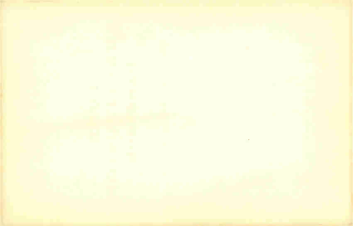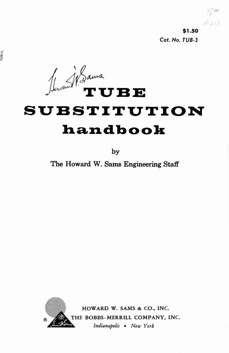\$1.50 Cat. No. TUB-3

 $<\!\!\varpi$  $R313$ 

 $\alpha$ TUBE

run-s,

# SUBSTITUTION handbook

by

The Howard W. Sams Engineering Staff

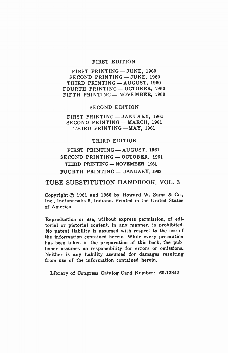#### FIRST EDITION

FIRST PRINTING —JUNE, 1960 SECOND PRINTING —JUNE, 1960 THIRD PRINTING — AUGUST, 1960 FOURTH PRINTING — OCTOBER, 1960 FIFTH PRINTING — NOVEMBER, 1960

SECOND EDITION

FIRST PRINTING —JANUARY, 1961 SECOND PRINTING — MARCH, 1961 THIRD PRINTING —MAY, 1961

#### THIRD EDITION

#### FIRST PRINTING — AUGUST, 1961 SECOND PRINTING — OCTOBER, 1961 THIRD PRINTING - NOVEMBER, 1961 FOURTH PRINTING — JANUARY, 1962

#### TUBE SUBSTITUTION HANDBOOK, VOL. 3

Copyright© 1961 and 1960 by Howard W. Sams & Co., Inc., Indianapolis 6, Indiana. Printed in the United States of America.

Reproduction or use, without express permission, of editorial or pictorial content, in any manner, is prohibited. No patent liability is assumed with respect to the use of the information contained herein. While every precaution has been taken in the preparation of this book, the publisher assumes no responsibility for errors or omissions. Neither is any liability assumed for damages resulting from use of the information contained herein.

Library of Congress Catalog Card Number: 60-13842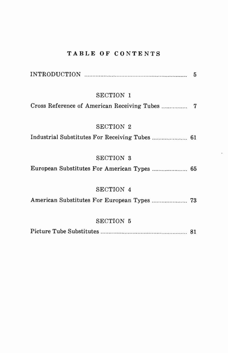## TABLE OF CONTENTS

| <b>SECTION 1</b>                               |  |
|------------------------------------------------|--|
|                                                |  |
| <b>SECTION 2</b>                               |  |
| Industrial Substitutes For Receiving Tubes  61 |  |
| <b>SECTION 3</b>                               |  |
|                                                |  |
| <b>SECTION 4</b>                               |  |
|                                                |  |
| <b>SECTION 5</b>                               |  |
|                                                |  |
|                                                |  |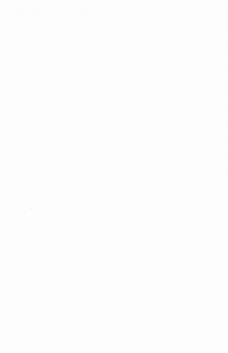$\mathcal{L}^{\text{max}}_{\text{max}}$  , where  $\mathcal{L}^{\text{max}}_{\text{max}}$ 

 $\sim$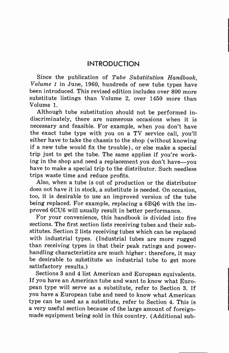#### INTRODUCTION

Since the publication of Tube Substitution Handbook, Volume 1 in June, 1960, hundreds of new tube types have been introduced. This revised edition includes over 800 more substitute listings than Volume 2, over 1450 more than Volume 1.

Although tube substitution should not be performed indiscriminately, there are numerous occasions when it is necessary and feasible. For example, when you don't have the exact tube type with you on a TV service call, you'll either have to take the chassis to the shop (without knowing if a new tube would fix the trouble), or else make a special trip just to get the tube. The same applies if you're working in the shop and need a replacement you don't have—you have to make a special trip to the distributor. Such needless trips waste time and reduce profits.

Also, when a tube is out of production or the distributor does not have it in stock, a substitute is needed. On occasion, too, it is desirable to use an improved version of the tube being replaced. For example, replacing a 6BQ6 with the improved 6CU6 will usually result in better performance.

For your convenience, this handbook is divided into five sections. The first section lists receiving tubes and their substitutes. Section 2 lists receiving tubes which can be replaced with industrial types. (Industrial tubes are more rugged than receiving types in that their peak ratings and powerhandling characteristics are much higher: therefore, it may be desirable to substitute an industrial tube to get more satisfactory results.)

Sections 3 and 4 list American and European equivalents. If you have an American tube and want to know what European type will serve as a substitute, refer to Section 3. If you have a European tube and need to know what American type can be used as a substitute, refer to Section 4. This is a very useful section because of the large amount of foreignmade equipment being sold in this country. (Additional sub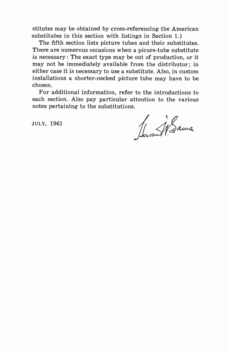stitutes may be obtained by cross-referencing the American substitutes in this section with listings in Section 1.)

The fifth section lists picture tubes and their substitutes. There are numerous occasions when a picure-tube substitute is necessary: The exact type may be out of production, or it may not be immediately available from the distributor; in either case it is necessary to use a substitute. Also, in custom installations a shorter-necked picture tube may have to be chosen.

For additional information, refer to the introductions to each section. Also pay particular attention to the various notes pertaining to the substitutions.

JULY, 1961

Javan Waama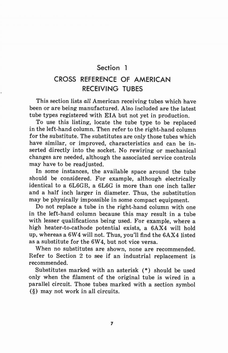## Section 1

## CROSS REFERENCE OF AMERICAN RECEIVING TUBES

This section lists all American receiving tubes which have been or are being manufactured. Also included are the latest tube types registered with EIA but not yet in production.

To use this listing, locate the tube type to be replaced in the left-hand column. Then refer to the right-hand column for the substitute. The substitutes are only those tubes which have similar, or improved, characteristics and can be inserted directly into the socket. No rewiring or mechanical changes are needed, although the associated service controls may have to be readjusted.

In some instances, the available space around the tube should be considered. For example, although electrically identical to a 6L6GB, a 6L6G is more than one inch taller and a half inch larger in diameter. Thus, the substitution may be physically impossible in some compact equipment.

Do not replace a tube in the right-hand column with one in the left-hand column because this may result in a tube with lesser qualifications being used. For example, where a high heater-to-cathode potential exists, a 6AX4 will hold up, whereas a 6W4 will not. Thus, you'll find the 6AX4 listed as a substitute for the 6W4, but not vice versa.

When no substitutes are shown, none are recommended. Refer to Section 2 to see if an industrial replacement is recommended.

Substitutes marked with an asterisk (\*) should be used only when the filament of the original tube is wired in a parallel circuit. Those tubes marked with a section symbol (§) may not work in all circuits.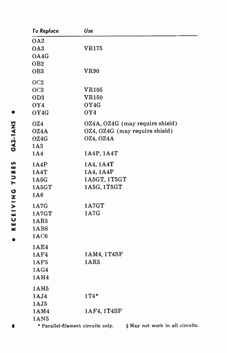|                 | <b>To Replace</b> | Use                                                                   |
|-----------------|-------------------|-----------------------------------------------------------------------|
|                 | OA <sub>2</sub>   |                                                                       |
|                 | OA <sub>3</sub>   | <b>VR175</b>                                                          |
|                 | OA4G              |                                                                       |
|                 | OB <sub>2</sub>   |                                                                       |
|                 | OB <sub>3</sub>   | <b>VR90</b>                                                           |
|                 | OC2               |                                                                       |
|                 | OC <sub>3</sub>   | <b>VR105</b>                                                          |
|                 | OD <sub>3</sub>   | <b>VR150</b>                                                          |
|                 | OY4               | OY4G                                                                  |
|                 | OY4G              | OY4                                                                   |
|                 | OZ4               | OZ4A, OZ4G (may require shield)                                       |
|                 | OZ4A              | OZ4, OZ4G (may require shield)                                        |
| <b>042-14N5</b> | OZ4G              | 0Z4, 0Z4A                                                             |
|                 | 1A3               |                                                                       |
|                 | 1A4               | 1A4P, 1A4T                                                            |
|                 | 1A4P              | 1A4, 1A4T                                                             |
| TUBES           | 1A4T              | 1A4, 1A4P                                                             |
|                 | 1A5G              | 1A5GT, 1T5GT                                                          |
|                 | 1A5GT             | 1A5G, 1T5GT                                                           |
| <b>GNINION</b>  | 1A6               |                                                                       |
|                 | 1A7G              | 1A7GT                                                                 |
|                 | 1A7GT             | 1A7G                                                                  |
|                 | 1AB5              |                                                                       |
| œ               | 1AB6              |                                                                       |
| $\bullet$       | 1AC6              |                                                                       |
|                 | 1AE4              |                                                                       |
|                 | <b>1AF4</b>       | 1AM4, 1T4SF                                                           |
|                 | 1AF5              | <b>1AR5</b>                                                           |
|                 | 1AG4              |                                                                       |
|                 | 1AH4              |                                                                       |
|                 | 1AH <sub>5</sub>  |                                                                       |
|                 | 1AJ4              | $1T4*$                                                                |
|                 | 1AJ5              |                                                                       |
|                 | 1AM4              | 1AF4, 1T4SF                                                           |
|                 | 1AN5              |                                                                       |
| 8               |                   | § May not work in all circuits.<br>* Parallel-filament circuits only. |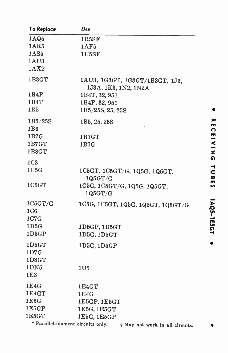| <b>To Replace</b> | Use                                                                   |                   |
|-------------------|-----------------------------------------------------------------------|-------------------|
| 1AQ5              | 1R5SF                                                                 |                   |
| <b>1AR5</b>       | <b>1AF5</b>                                                           |                   |
| 1AS5              | <b>1U5SF</b>                                                          |                   |
| 1AU3              |                                                                       |                   |
| 1AX2              |                                                                       |                   |
| 1B3GT             | 1AU3, 1G3GT, 1G3GT/1B3GT, 1J3,<br>1J3A, 1K3, 1N2, 1N2A                |                   |
| 1B4P              | 1B4T, 32, 951                                                         |                   |
| 1B4T              | 1B4P, 32, 951                                                         |                   |
| 1B5               | 1B5/25S, 25, 25S                                                      |                   |
| 1B5/25S<br>1B6    | 1B5, 25, 25S                                                          | ი                 |
| 1B7G              | 1B7GT                                                                 |                   |
| 1B7GT             | 1B7G                                                                  |                   |
| 1B8GT             |                                                                       | <b>EIVIZO</b>     |
| 1C <sub>3</sub>   |                                                                       |                   |
| 1C5G              |                                                                       | ⊣                 |
|                   | 1C5GT, 1C5GT/G, 1Q5G, 1Q5GT,<br>1Q5GT/G                               | C<br>æ            |
| 1C5GT             | 1C5G, 1C5GT/G, 1Q5G, 1Q5GT,<br>1Q5GT/G                                | М<br><b>S</b>     |
| 1C5GT/G           | 1C5G, 1C5GT, 1Q5G, 1Q5GT, 1Q5GT/G                                     | <b>1AQ5-1E5GT</b> |
| 1C6               |                                                                       |                   |
| <b>1C7G</b>       |                                                                       |                   |
| 1D5G              | 1D5GP, 1D5GT                                                          |                   |
| 1D5GP             | 1D5G, 1D5GT                                                           |                   |
| 1D5GT             | 1D5G, 1D5GP                                                           |                   |
| 1D7G              |                                                                       |                   |
| 1D8GT             |                                                                       |                   |
| 1DN5              | 1U <sub>5</sub>                                                       |                   |
| 1E3               |                                                                       |                   |
| 1E4G              | 1E4GT                                                                 |                   |
| 1E4GT             | 1E4G                                                                  |                   |
| $1\mathrm{E5G}$   | 1E5GP, 1E5GT                                                          |                   |
| 1E5GP             | 1E5G, 1E5GT                                                           |                   |
| 1E5GT             | 1E5G, 1E5GP                                                           |                   |
|                   | * Parallel-filament circuits only.<br>§ May not work in all circuits. | 9                 |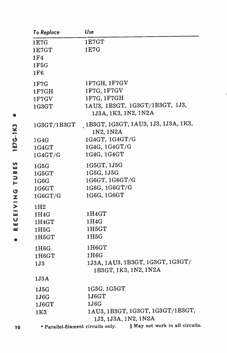| <b>To Replace</b>                  | Use                                                       |
|------------------------------------|-----------------------------------------------------------|
| 1E7G                               | 1E7GT                                                     |
| 1E7GT                              | 1E7G                                                      |
| 1F4                                |                                                           |
| 1F5G                               |                                                           |
| 1F6                                |                                                           |
| 1F7G                               | 1F7GH, 1F7GV                                              |
| 1F7GH                              | 1F7G, 1F7GV                                               |
| 1F7GV                              | 1F7G, 1F7GH                                               |
| 1G3GT                              | 1AU3, 1B3GT, 1G3GT/1B3GT, 1J3,<br>1J3A, 1K3, 1N2, 1N2A    |
| 1G3GT/1B3GT                        | 1B3GT, 1G3GT, 1AU3, 1J3, 1J3A, 1K3,<br>1N2, 1N2A          |
| 1G4G                               | 1G4GT, 1G4GT/G                                            |
| 1G4GT                              | 1G4G, 1G4GT/G                                             |
| 1G4GT/G                            | 1G4G, 1G4GT                                               |
| 1G5G                               | 1G5GT, 1J5G                                               |
| 1G5GT                              | 1G5G, 1J5G                                                |
| 1G6G                               | 1G6GT, 1G6GT/G                                            |
| 1G6GT                              | 1G6G, 1G6GT/G                                             |
| 1G6GT/G                            | 1G6G, 1G6GT                                               |
| 1H2                                |                                                           |
| 1H4G                               | 1H4GT                                                     |
| 1H4GT                              | 1H4G                                                      |
| 1H5G                               | 1H5GT                                                     |
| 1H5GT                              | 1H5G                                                      |
| 1H6G                               | 1H6GT                                                     |
| 1H6GT                              | 1H6G                                                      |
| 1J3                                | 1J3A, 1AU3, 1B3GT, 1G3GT, 1G3GT/<br>1B3GT, 1K3, 1N2, 1N2A |
| 1J3A                               |                                                           |
| 1J5G                               | 1G5G, 1G5GT                                               |
| 1J6G                               | 1J6GT                                                     |
| 1J6GT                              | 1J6G                                                      |
| 1 <sub>K3</sub>                    | 1AU3, 1B3GT, 1G3GT, 1G3GT/1B3GT,<br>1J3, 1J3A, 1N2, 1N2A  |
| * Parallel-filament circuits only. | § May not work in all circuits.                           |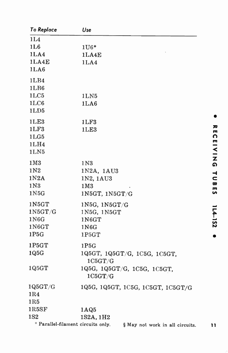| <b>To Replace</b>                                   | Use                                                                   |                              |  |
|-----------------------------------------------------|-----------------------------------------------------------------------|------------------------------|--|
| 1L4                                                 |                                                                       |                              |  |
| 1L6                                                 | $1U6*$                                                                |                              |  |
| <b>1LA4</b>                                         | 1LA4E                                                                 |                              |  |
| <b>1LA4E</b>                                        | 1LA4                                                                  |                              |  |
| 1LA6                                                |                                                                       |                              |  |
| 1LB4                                                |                                                                       |                              |  |
| 1LB6                                                |                                                                       |                              |  |
| 1LC5                                                | 1LN5                                                                  |                              |  |
| 1LC6                                                | <b>1LA6</b>                                                           |                              |  |
| 1LD5                                                |                                                                       |                              |  |
| 1LE3                                                | 1LF3                                                                  |                              |  |
| 1LF3                                                | <b>1LE3</b>                                                           | 70<br>m                      |  |
| 1LG5                                                |                                                                       | C                            |  |
| 1LH4                                                |                                                                       |                              |  |
| 1LN5                                                |                                                                       | $\overline{M}$               |  |
| 1M3                                                 | 1N3                                                                   | Z<br><u>ດ</u>                |  |
| 1N <sub>2</sub>                                     | 1N2A, 1AU3                                                            | ᅴ                            |  |
| 1N2A                                                | 1N2, 1AU3                                                             | C                            |  |
| 1N3                                                 | 1M <sub>3</sub>                                                       | $\mathbf{\overline{u}}$<br>m |  |
| 1N5G                                                | 1N5GT, 1N5GT/G                                                        | <b>S</b>                     |  |
| 1N5GT                                               | 1N5G, 1N5GT/G                                                         |                              |  |
| 1N5GT/G                                             | 1N5G, 1N5GT                                                           | $T + 125$                    |  |
| 1 <sub>N6G</sub>                                    | 1N6GT                                                                 |                              |  |
| 1N6GT                                               | 1N6G                                                                  |                              |  |
| 1P5G                                                | 1P5GT                                                                 |                              |  |
| 1P5GT                                               | 1P5G                                                                  |                              |  |
| 1Q5G                                                | 1Q5GT, 1Q5GT/G, 1C5G, 1C5GT,<br>1C5GT/G                               |                              |  |
| 1Q5GT                                               | 1Q5G, 1Q5GT/G, 1C5G, 1C5GT,<br>1C5GT/G                                |                              |  |
| $1 \mathrm{Q} 5 \mathrm{G} \mathrm{T} / \mathrm{G}$ | 1Q5G, 1Q5GT, 1C5G, 1C5GT, 1C5GT/G                                     |                              |  |
| 1R4                                                 |                                                                       |                              |  |
| $1\mathrm{R}5$                                      |                                                                       |                              |  |
| 1R5SF                                               | 1AQ5                                                                  |                              |  |
| 1S2                                                 | 1S2A, 1H2                                                             |                              |  |
|                                                     | * Parallel-filament circuits only.<br>§ May not work in all circuits. | 11                           |  |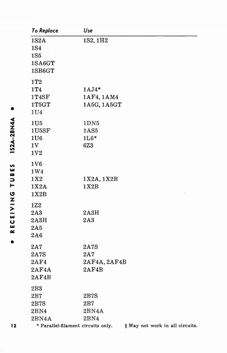|            | <b>To Replace</b>  | Use                                                                   |  |
|------------|--------------------|-----------------------------------------------------------------------|--|
|            | <b>1S2A</b>        | 1S2, 1H2                                                              |  |
|            | <b>1S4</b>         |                                                                       |  |
|            | <b>1S5</b>         |                                                                       |  |
|            | 1SA6GT             |                                                                       |  |
|            | 1SB6GT             |                                                                       |  |
|            | 1T <sub>2</sub>    |                                                                       |  |
|            | 1T4                | $1AJ4*$                                                               |  |
|            | 1T4SF              | 1AF4, 1AM4                                                            |  |
|            | 1T5GT              | 1A5G, 1A5GT                                                           |  |
|            | 1U4                |                                                                       |  |
| 132A-28N4A | 1U5                | 1DN5                                                                  |  |
|            | <b>1U5SF</b>       | <b>1AS5</b>                                                           |  |
|            | 1U <sub>6</sub>    | $1L6*$                                                                |  |
|            | 1 <sub>V</sub>     | 6Z3                                                                   |  |
|            | 1V2                |                                                                       |  |
|            | 1V6                |                                                                       |  |
| SEN I      | 1W4                |                                                                       |  |
|            | 1X2                | 1X2A, 1X2B                                                            |  |
|            | 1X2A               | 1X2B                                                                  |  |
|            | 1X2B               |                                                                       |  |
| KECEIVING  | <b>1Z2</b>         |                                                                       |  |
|            | 2A3                | 2A3H                                                                  |  |
|            | 2A3H               | 2A3                                                                   |  |
|            | 2A5                |                                                                       |  |
|            | <b>2A6</b>         |                                                                       |  |
| $\bullet$  |                    | <b>2A7S</b>                                                           |  |
|            | 2A7<br><b>2A7S</b> | <b>2A7</b>                                                            |  |
|            | <b>2AF4</b>        | 2AF4A, 2AF4B                                                          |  |
|            | 2AF4A              | <b>2AF4B</b>                                                          |  |
|            | <b>2AF4B</b>       |                                                                       |  |
|            |                    |                                                                       |  |
|            | 2B3                |                                                                       |  |
|            | 2B7                | <b>2B7S</b>                                                           |  |
|            | <b>2B7S</b>        | 2B7                                                                   |  |
|            | <b>2BN4</b>        | <b>2BN4A</b><br><b>2BN4</b>                                           |  |
| 12         | 2BN4A              | § May not work in all circuits.<br>* Parallel-filament circuits only. |  |
|            |                    |                                                                       |  |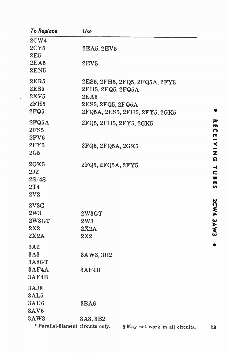| <b>To Replace</b> | Use                                |                                 |                  |
|-------------------|------------------------------------|---------------------------------|------------------|
| <b>2CW4</b>       |                                    |                                 |                  |
| 2CY5              | 2EA5, 2EV5                         |                                 |                  |
| <b>2E5</b>        |                                    |                                 |                  |
| 2E <sub>A5</sub>  | <b>2EV5</b>                        |                                 |                  |
| <b>2EN5</b>       |                                    |                                 |                  |
| <b>2ER5</b>       |                                    | 2ES5, 2FH5, 2FQ5, 2FQ5A, 2FY5   |                  |
| <b>2ES5</b>       | 2FH5, 2FQ5, 2FQ5A                  |                                 |                  |
| 2EV5              | <b>2EA5</b>                        |                                 |                  |
| 2FH5              | 2ES5, 2FQ5, 2FQ5A                  |                                 |                  |
| 2FQ5              |                                    | 2FQ5A, 2ES5, 2FH5, 2FY5, 2GK5   |                  |
| 2FQ5A             |                                    | 2FQ5, 2FH5, 2FY5, 2GK5          | ᅏ<br>m           |
| <b>2FS5</b>       |                                    |                                 | ი                |
| $2$ FV $6$        |                                    |                                 | E                |
| $2$ $FY5$         | 2FQ5, 2FQ5A, 2GK5                  |                                 | $\leq$           |
| 2G5               |                                    |                                 | Z                |
| <b>2GK5</b>       | 2FQ5, 2FQ5A, 2FY5                  |                                 | ໑<br>ᅴ           |
| 2J2               |                                    |                                 | c                |
| 2S/4S             |                                    |                                 | œ                |
| 2T <sub>4</sub>   |                                    |                                 | m<br>S           |
| <b>2V2</b>        |                                    |                                 |                  |
| 2V3G              |                                    |                                 | <b>2CW4-3AW3</b> |
| <b>2W3</b>        | 2W3GT                              |                                 |                  |
| 2W3GT             | 2W <sub>3</sub>                    |                                 |                  |
| 2X2               | 2X2A                               |                                 |                  |
| 2X2A              | 2 <sub>X2</sub>                    |                                 |                  |
| 3A2               |                                    |                                 |                  |
| 3A3               | 3AW3, 3B2                          |                                 |                  |
| 3A8GT             |                                    |                                 |                  |
| 3AF4A             | <b>3AF4B</b>                       |                                 |                  |
| 3AF4B             |                                    |                                 |                  |
| 3AJ8              |                                    |                                 |                  |
| $3{\rm AL5}$      |                                    |                                 |                  |
| $3 \mathrm{AU} 6$ | <b>3BA6</b>                        |                                 |                  |
| 3AV6              |                                    |                                 |                  |
| 3AW3              | 3A3, 3B2                           |                                 |                  |
|                   | * Parallel-filament circuits only. | § May not work in all circuits. | 13               |

• RECEIVING TUBES 2CW4-3AW3 ·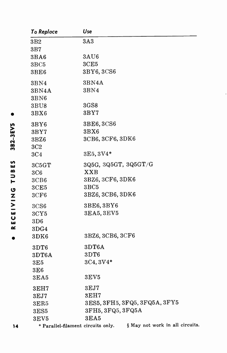| <b>To Replace</b> | Use                                                                   |
|-------------------|-----------------------------------------------------------------------|
| 3B <sub>2</sub>   | 3A3                                                                   |
| 3B7               |                                                                       |
| 3BA6              | <b>3AU6</b>                                                           |
| 3BC5              | 3CE5                                                                  |
| 3BE6              | 3BY6, 3CS6                                                            |
| $3{\rm BN4}$      | <b>3BN4A</b>                                                          |
| 3BN4A             | 3BN4                                                                  |
| <b>3BN6</b>       |                                                                       |
| $3\,\mathrm{BU}8$ | <b>3GS8</b>                                                           |
| 3BX6              | $3\mathrm{BY}7$                                                       |
| 3BY6              | 3BE6, 3CS6                                                            |
| $3\mathrm{BY}7$   | 3BX6                                                                  |
| 3BZ6              | 3CB6, 3CF6, 3DK6                                                      |
| <b>3C2</b>        |                                                                       |
| 3C <sub>4</sub>   | 3E5, 3V4*                                                             |
| 3C5GT             | 3Q5G, 3Q5GT, 3Q5GT/G                                                  |
| 3C6               | $\mathbf{X} \mathbf{X} \mathbf{B}$                                    |
| 3CB6              | 3BZ6, 3CF6, 3DK6                                                      |
| 3CE5              | 3BC5                                                                  |
| 3CF6              | 3BZ6, 3CB6, 3DK6                                                      |
| <b>3CS6</b>       | 3BE6, 3BY6                                                            |
| 3CY5              | 3EA5, 3EV5                                                            |
| 3D6               |                                                                       |
| 3DG4              |                                                                       |
| 3DK6              | 3BZ6, 3CB6, 3CF6                                                      |
| 3DT6              | 3DT6A                                                                 |
| 3DT6A             | 3DT6                                                                  |
| 3E5               | 3C4, 3V4*                                                             |
| 3E6               |                                                                       |
| <b>3EA5</b>       | 3EV5                                                                  |
| 3EH7              | 3EJ7                                                                  |
| 3EJ7              | 3EH7                                                                  |
| 3ER5              | 3ES5, 3FH5, 3FQ5, 3FQ5A, 3FY5                                         |
| 3ES5              | 3FH5, 3FQ5, 3FQ5A                                                     |
| 3EV5              | 3E <sub>A5</sub>                                                      |
|                   | § May not work in all circuits.<br>* Parallel-filament circuits only. |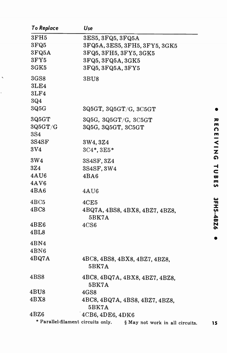| To Replace       | Use                                                                |                   |
|------------------|--------------------------------------------------------------------|-------------------|
| 3FH5             | 3ES5, 3FQ5, 3FQ5A                                                  |                   |
| 3FQ5             | 3FQ5A, 3ES5, 3FH5, 3FY5, 3GK5                                      |                   |
| 3FQ5A            | 3FQ5, 3FH5, 3FY5, 3GK5                                             |                   |
| $3$ $FY5$        | 3FQ5, 3FQ5A, 3GK5                                                  |                   |
| 3GK5             | 3FQ5, 3FQ5A, 3FY5                                                  |                   |
| <b>3GS8</b>      | $3{\rm BU}{8}$                                                     |                   |
| 3LE4             |                                                                    |                   |
| 3LF4             |                                                                    |                   |
| 3Q4              |                                                                    |                   |
| 3Q5G             | 3Q5GT, 3Q5GT/G, 3C5GT                                              |                   |
| 3Q5GT            | 3Q5G, 3Q5GT/G, 3C5GT                                               | ᅎ                 |
| 3Q5GT/G          | 3Q5G, 3Q5GT, 3C5GT                                                 | m<br>n            |
| 3S <sub>4</sub>  |                                                                    | m                 |
| 3S4SF            | 3W4, 3Z4                                                           |                   |
| 3 <sub>V</sub> 4 | 3C4*, 3E5*                                                         | $\frac{1}{2}$     |
| 3W4              | 3S4SF, 3Z4                                                         | 6                 |
| 3Z4              | 3S4SF, 3W4                                                         | ᅴ<br>$\mathbf{C}$ |
| <b>4AU6</b>      | 4BA6                                                               | œ                 |
| <b>4AV6</b>      |                                                                    | М<br>S            |
| 4BA6             | 4AU6                                                               |                   |
| 4BC5             | 4CE5                                                               |                   |
| 4BC8             | 4BQ7A, 4BS8, 4BX8, 4BZ7, 4BZ8,<br>5BK7A                            | 3FH5-4BZ6         |
| 4BE6             | 4CS6                                                               |                   |
| 4BL8             |                                                                    |                   |
| 4BN4             |                                                                    |                   |
| <b>4BN6</b>      |                                                                    |                   |
| 4BQ7A            | 4BC8, 4BS8, 4BX8, 4BZ7, 4BZ8,<br>5BK7A                             |                   |
| 4BS8             | 4BC8, 4BQ7A, 4BX8, 4BZ7, 4BZ8,<br>5BK7A                            |                   |
| 4BU8             | <b>4GS8</b>                                                        |                   |
| 4BX8             |                                                                    |                   |
|                  | 4BC8, 4BQ7A, 4BS8, 4BZ7, 4BZ8,<br>5BK7A                            |                   |
| 4BZ6             | 4CB6, 4DE6, 4DK6                                                   |                   |
|                  | * Parallel-filament circuits only. § May not work in all circuits. | 15.               |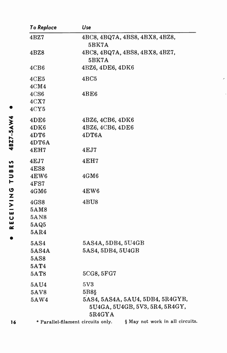| To Replace                                         | Use                                                                          |
|----------------------------------------------------|------------------------------------------------------------------------------|
| 4BZ7                                               | 4BC8, 4BQ7A, 4BS8, 4BX8, 4BZ8,<br><b>5BK7A</b>                               |
| 4BZ8                                               | 4BC8, 4BQ7A, 4BS8, 4BX8, 4BZ7,<br>5BK7A                                      |
| 4CB6                                               | 4BZ6, 4DE6, 4DK6                                                             |
| 4CE5<br>4CM4                                       | <b>4BC5</b>                                                                  |
| 4CS6<br>4C <sub>X7</sub><br>4CY5                   | 4BE6                                                                         |
| 4DE6                                               | 4BZ6, 4CB6, 4DK6                                                             |
| 4DK6                                               | 4BZ6, 4CB6, 4DE6                                                             |
| 4DT6                                               | 4DT6A                                                                        |
| 4DT6A<br>4EH7                                      | 4EJ7                                                                         |
| 4EJ7<br><b>4ES8</b>                                | <b>4EH7</b>                                                                  |
| <b>4EW6</b><br><b>4FS7</b>                         | 4GM6                                                                         |
| 4GM6                                               | <b>4EW6</b>                                                                  |
| <b>4GS8</b><br><b>5AM8</b><br>5AN8<br>5AQ5<br>5AR4 | 4BU8                                                                         |
| 5AS4                                               | 5AS4A, 5DB4, 5U4GB                                                           |
| <b>5AS4A</b><br>5A <sub>S</sub>                    | 5AS4, 5DB4, 5U4GB                                                            |
| 5AT4<br>5AT8                                       | 5CG8, 5FG7                                                                   |
| 5AU4                                               | 5V <sub>3</sub>                                                              |
| 5AV8                                               | 5B8\$                                                                        |
| 5AW4                                               | 5AS4, 5AS4A, 5AU4, 5DB4, 5R4GYB,<br>5U4GA, 5U4GB, 5V3, 5R4, 5R4GY,<br>5R4GYA |
|                                                    | 8 May not work in all circuits.<br>* Parallel-filament circuits only.        |

16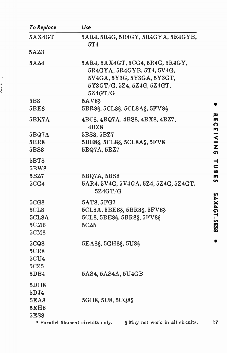| <b>To Replace</b>                                                   | Use                                                                                                                                   |                          |
|---------------------------------------------------------------------|---------------------------------------------------------------------------------------------------------------------------------------|--------------------------|
| 5AX4GT                                                              | 5AR4, 5R4G, 5R4GY, 5R4GYA, 5R4GYB,<br>5T4                                                                                             |                          |
| 5AZ3                                                                |                                                                                                                                       |                          |
| 5AZ4                                                                | 5AR4, 5AX4GT, 5CG4, 5R4G, 5R4GY,<br>5R4GYA, 5R4GYB, 5T4, 5V4G,<br>5V4GA, 5Y3G, 5Y3GA, 5Y3GT,<br>5Y3GT/G, 5Z4, 5Z4G, 5Z4GT,<br>5Z4GT/G |                          |
| 5B8                                                                 | 5AV8§                                                                                                                                 |                          |
| 5BE8                                                                | 5BR8§, 5CL8§, 5CL8A§, 5FV8§                                                                                                           |                          |
| 5BK7A                                                               | 4BC8, 4BQ7A, 4BS8, 4BX8, 4BZ7,<br>4BZ8                                                                                                | <b>ZD</b><br>m           |
| 5BQ7A                                                               | 5BS8, 5BZ7                                                                                                                            |                          |
| 5BR8                                                                | 5BE8§, 5CL8§, 5CL8A§, 5FV8                                                                                                            |                          |
| <b>5BS8</b>                                                         | 5BQ7A, 5BZ7                                                                                                                           | <b>CEIYING</b>           |
| 5BT8                                                                |                                                                                                                                       | $\overline{\phantom{0}}$ |
| 5BW8                                                                |                                                                                                                                       | $\mathbf{C}$<br>œ        |
| 5BZ7                                                                | 5BQ7A, 5BS8                                                                                                                           | m                        |
| 5 <sub>C</sub> <sub>G</sub>                                         | 5AR4, 5V4G, 5V4GA, 5Z4, 5Z4G, 5Z4GT,<br>5Z4GT/G                                                                                       | S                        |
| 5 <sub>C</sub>                                                      | 5AT8, 5FG7                                                                                                                            | 5AX4GT-5ES8              |
| 5CL8                                                                | 5CL8A, 5BE8§, 5BR8§, 5FV8§                                                                                                            |                          |
| 5CL8A                                                               | 5CL8, 5BE8§, 5BR8§, 5FV8§                                                                                                             |                          |
| 5CM6                                                                | 5CZ5                                                                                                                                  |                          |
| <b>5CM8</b>                                                         |                                                                                                                                       |                          |
| <b>5CQ8</b><br><b>5CR8</b><br>5 <sub>C</sub> U <sub>4</sub><br>5CZ5 | 5EA8§, 5GH8§, 5U8§                                                                                                                    |                          |
| 5DB4                                                                | 5AS4, 5AS4A, 5U4GB                                                                                                                    |                          |
| 5DH8                                                                |                                                                                                                                       |                          |
| 5DJ4                                                                |                                                                                                                                       |                          |
| 5EA8                                                                | 5GH8, 5U8, 5CQ8§                                                                                                                      |                          |
| <b>5EH8</b>                                                         |                                                                                                                                       |                          |
| 5ES8                                                                |                                                                                                                                       |                          |
|                                                                     | § May not work in all circuits.<br>* Parallel-filament circuits only.                                                                 | 17                       |

データ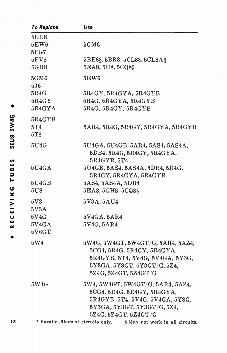| To Replace       | Use                                                                   |
|------------------|-----------------------------------------------------------------------|
| <b>5EU8</b>      |                                                                       |
| 5EW6             | 5GM6                                                                  |
| 5FG7             |                                                                       |
| 5FV8             | 5BE8§, 5BR8, 5CL8§, 5CL8A§                                            |
| 5GHz             | 5EA8, 5U8, 5CQ8§                                                      |
| 5GM6             | 5EW6                                                                  |
| 5J6              |                                                                       |
| 5R4G             | 5R4GY, 5R4GYA, 5R4GYB                                                 |
| 5R4GY            | 5R4G, 5R4GYA, 5R4GYB                                                  |
| 5R4GYA           | 5R4G, 5R4GY, 5R4GYB                                                   |
| 5R4GYB           |                                                                       |
| 5T <sub>4</sub>  | 5AR4, 5R4G, 5R4GY, 5R4GYA, 5R4GYB                                     |
| 5T8              |                                                                       |
| 5U4G             | 5U4GA, 5U4GB, 5AR4, 5AS4, 5AS4A,                                      |
|                  | 5DB4, 5R4G, 5R4GY, 5R4GYA,                                            |
|                  | 5R4GYB, 5T4                                                           |
| 5U4GA            | 5U4GB, 5AS4, 5AS4A, 5DB4, 5R4G,                                       |
|                  | 5R4GY, 5R4GYA, 5R4GYB                                                 |
| ${\bf 5 U 4 GB}$ | 5AS4, 5AS4A, 5DB4                                                     |
| $5U$ 8           | 5EA8, 5GH8, 5CQ8\$                                                    |
| 5V3              | 5V3A, 5AU4                                                            |
| 5V3A             |                                                                       |
| 5V4G             | 5V4GA, 5AR4                                                           |
| 5V4GA            | 5V4G, 5AR4                                                            |
| 5V6GT            |                                                                       |
| 5W4              | 5W4G, 5W4GT, 5W4GT/G, 5AR4, 5AZ4,                                     |
|                  | 5CG4, 5R4G, 5R4GY, 5R4GYA,                                            |
|                  | 5R4GYB, 5T4, 5V4G, 5V4GA, 5Y3G,                                       |
|                  | 5Y3GA, 5Y3GT, 5Y3GT/G, 5Z4,                                           |
|                  | 5Z4G, 5Z4GT, 5Z4GT/G                                                  |
| 5W4G             | 5W4, 5W4GT, 5W4GT/G, 5AR4, 5AZ4,                                      |
|                  | 5CG4, 5R4G, 5R4GY, 5R4GYA,                                            |
|                  | 5R4GYB, 5T4, 5V4G, 5V4GA, 5Y3G,                                       |
|                  | 5Y3GA, 5Y3GT, 5Y3GT/G, 5Z4,                                           |
|                  | 5Z4G, 5Z4GT, 5Z4GT/G                                                  |
|                  | * Parallel-filament circuits only.<br>§ May not work in all circuits. |

 $\ddot{\phantom{a}}$ 

18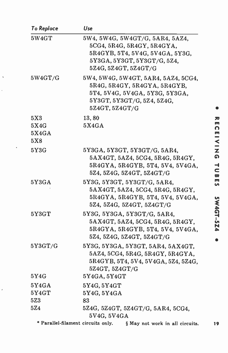| <b>To Replace</b>           | Use                                                                                                                                                     |                                                                         |
|-----------------------------|---------------------------------------------------------------------------------------------------------------------------------------------------------|-------------------------------------------------------------------------|
| 5W4GT                       | 5W4, 5W4G, 5W4GT/G, 5AR4, 5AZ4,<br>5CG4, 5R4G, 5R4GY, 5R4GYA,<br>5R4GYB, 5T4, 5V4G, 5V4GA, 5Y3G,<br>5Y3GA, 5Y3GT, 5Y3GT/G, 5Z4,<br>5Z4G, 5Z4GT, 5Z4GT/G |                                                                         |
| 5W4GT/G                     | 5W4, 5W4G, 5W4GT, 5AR4, 5AZ4, 5CG4,<br>5R4G, 5R4GY, 5R4GYA, 5R4GYB,<br>5T4, 5V4G, 5V4GA, 5Y3G, 5Y3GA,<br>5Y3GT, 5Y3GT/G, 5Z4, 5Z4G,<br>5Z4GT, 5Z4GT/G   |                                                                         |
| 5X3<br>5X4G<br>5X4GA<br>5X8 | 13,80<br>5X4GA                                                                                                                                          | 겨<br>m<br><b>CEIYIN</b>                                                 |
| 5Y3G                        | 5Y3GA, 5Y3GT, 5Y3GT/G, 5AR4,<br>5AX4GT, 5AZ4, 5CG4, 5R4G, 5R4GY,<br>5R4GYA, 5R4GYB, 5T4, 5V4, 5V4GA,<br>5Z4, 5Z4G, 5Z4GT, 5Z4GT/G                       | $\overline{\mathbf{o}}$<br>$\overline{\phantom{a}}$<br>$\mathbf C$<br>æ |
| 5Y3GA                       | 5Y3G, 5Y3GT, 5Y3GT/G, 5AR4,<br>5AX4GT, 5AZ4, 5CG4, 5R4G, 5R4GY,<br>5R4GYA, 5R4GYB, 5T4, 5V4, 5V4GA,<br>5Z4, 5Z4G, 5Z4GT, 5Z4GT/G                        | m<br><b>S</b>                                                           |
| 5Y3GT                       | 5Y3G, 5Y3GA, 5Y3GT/G, 5AR4,<br>5AX4GT, 5AZ4, 5CG4, 5R4G, 5R4GY,<br>5R4GYA, 5R4GYB, 5T4, 5V4, 5V4GA,<br>5Z4, 5Z4G, 5Z4GT, 5Z4GT/G                        | 5W4GT-5Z4                                                               |
| 5Y3GT/G                     | 5Y3G, 5Y3GA, 5Y3GT, 5AR4, 5AX4GT,<br>5AZ4, 5CG4, 5R4G, 5R4GY, 5R4GYA,<br>5R4GYB, 5T4, 5V4, 5V4GA, 5Z4, 5Z4G,<br>5Z4GT, 5Z4GT/G                          |                                                                         |
| 5Y4G                        | 5Y4GA, 5Y4GT                                                                                                                                            |                                                                         |
| 5Y4GA                       | 5Y4G, 5Y4GT                                                                                                                                             |                                                                         |
| 5Y4GT                       | 5Y4G, 5Y4GA                                                                                                                                             |                                                                         |
| 5Z3                         | 83                                                                                                                                                      |                                                                         |
| 5Z <sub>4</sub>             | 5Z4G, 5Z4GT, 5Z4GT/G, 5AR4, 5CG4,<br>5V4G, 5V4GA                                                                                                        |                                                                         |
|                             | * Parallel-filament circuits only.<br>§ May not work in all circuits.                                                                                   | 19                                                                      |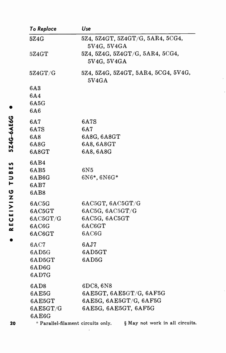|                  | To Replace  | Use                                                                   |
|------------------|-------------|-----------------------------------------------------------------------|
|                  | 5Z4G        | 5Z4, 5Z4GT, 5Z4GT/G, 5AR4, 5CG4,<br>5V4G, 5V4GA                       |
|                  | 5Z4GT       | 5Z4, 5Z4G, 5Z4GT/G, 5AR4, 5CG4,<br>5V4G, 5V4GA                        |
|                  | 5Z4GT/G     | 5Z4, 5Z4G, 5Z4GT, 5AR4, 5CG4, 5V4G,<br>5V4GA                          |
|                  | 6A3         |                                                                       |
|                  | 6A4         |                                                                       |
|                  | 6A5G        |                                                                       |
|                  | 6A6         |                                                                       |
|                  | 6A7         | 6A7S                                                                  |
|                  | 6A7S        | 6A7                                                                   |
|                  | 6A8         | 6A8G, 6A8GT                                                           |
|                  | 6A8G        | 6A8, 6A8GT                                                            |
| 524G-6AE6G       | 6A8GT       | 6A8, 6A8G                                                             |
|                  |             |                                                                       |
|                  | 6AB4        |                                                                       |
| TUBES            | 6AB5        | 6N5                                                                   |
|                  | 6AB6G       | 6N6*, 6N6G*                                                           |
|                  | 6AB7        |                                                                       |
| <b>RECEIVING</b> | 6AB8        |                                                                       |
|                  | 6AC5G       | 6AC5GT, 6AC5GT/G                                                      |
|                  | 6AC5GT      | 6AC5G, 6AC5GT/G                                                       |
|                  | 6AC5GT/G    | 6AC5G, 6AC5GT                                                         |
|                  | 6AC6G       | 6AC6GT                                                                |
|                  | 6AC6GT      | 6AC6G                                                                 |
| $\bullet$        | <b>6AC7</b> | 6AJ7                                                                  |
|                  | 6AD5G       | 6AD5GT                                                                |
|                  | 6AD5GT      | 6AD5G                                                                 |
|                  | 6AD6G       |                                                                       |
|                  | 6AD7G       |                                                                       |
|                  | 6AD8        | 6DC8, 6N8                                                             |
|                  | 6AE5G       | 6AE5GT, 6AE5GT/G, 6AF5G                                               |
|                  | 6AEGGT      | 6AE5G, 6AE5GT/G, 6AF5G                                                |
|                  | 6AEGT/G     | 6AE5G, 6AE5GT, 6AF5G                                                  |
|                  | 6AEG        |                                                                       |
| 20               |             | * Parallel-filament circuits only.<br>§ May not work in all circuits. |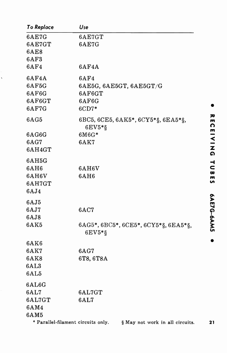| <b>To Replace</b> | Use                                |                                      |                   |
|-------------------|------------------------------------|--------------------------------------|-------------------|
| <b>6AE7G</b>      | 6AE7GT                             |                                      |                   |
| 6AE7GT            | <b>6AE7G</b>                       |                                      |                   |
| <b>6AE8</b>       |                                    |                                      |                   |
| 6AF3              |                                    |                                      |                   |
| 6AF4              | 6AF4A                              |                                      |                   |
| 6AF4A             | 6AF4                               |                                      |                   |
| 6AF5G             |                                    | 6AE5G, 6AE5GT, 6AE5GT/G              |                   |
| 6AF6G             | 6AFGGT                             |                                      |                   |
| 6AF6GT            | 6AF6G                              |                                      |                   |
| <b>6AF7G</b>      | 6CD7*                              |                                      |                   |
| 6AG5              | $6EV5*$ §                          | 6BC5, 6CE5, 6AK5*, 6CY5*§, 6EA5*§,   | ᅎ<br>m<br>ი       |
| 6AG6G             | 6M6G*                              |                                      | $\frac{1}{2}$     |
| 6AG7              | 6AK7                               |                                      |                   |
| 6AH4GT            |                                    |                                      | $\frac{z}{2}$     |
| 6AH5G             |                                    |                                      | ᅴ                 |
| 6AH6              | 6AH6V                              |                                      | $\mathbf{C}$      |
| 6AH6V             | 6AH6                               |                                      | œ<br>m            |
| 6AH7GT            |                                    |                                      | S                 |
| 6AJ4              |                                    |                                      |                   |
| 6AJ5              |                                    |                                      | <b>SAE7G-6AM5</b> |
| 6AJ7              | 6AC7                               |                                      |                   |
| 6AJ8              |                                    |                                      |                   |
| <b>6AK5</b>       |                                    | 6AG5*, 6BC5*, 6CE5*, 6CY5*§, 6EA5*§, |                   |
|                   | 6EV5*§                             |                                      |                   |
| 6AK6              |                                    |                                      | $\bullet$         |
| 6AK7              | <b>6AG7</b>                        |                                      |                   |
| <b>6AK8</b>       | 6T8, 6T8A                          |                                      |                   |
| 6AL3              |                                    |                                      |                   |
| 6AL5              |                                    |                                      |                   |
| 6AL6G             |                                    |                                      |                   |
| 6AL7              | 6AL7GT                             |                                      |                   |
| 6AL7GT            | <b>6AL7</b>                        |                                      |                   |
| 6AM4              |                                    |                                      |                   |
| <b>6AM5</b>       |                                    |                                      |                   |
|                   | * Parallel-filament circuits only. | § May not work in all circuits.      | 21                |

 $\ddot{\phantom{0}}$ 

 $\tilde{m}$ ni  $\leq$ Z <u>ດ</u> **LUBES** •

•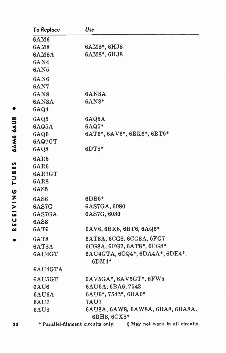| <b>To Replace</b> | Use                                                                  |
|-------------------|----------------------------------------------------------------------|
| <b>6AM6</b>       |                                                                      |
| 6AM8              | 6AM8*, 6HJ8                                                          |
| 6AM8A             | 6AM8*, 6HJ8                                                          |
| 6AN4              |                                                                      |
| 6AN5              |                                                                      |
| 6AN6              |                                                                      |
| 6AN7              |                                                                      |
| <b>6AN8</b>       | 6AN8A                                                                |
| <b>6AN8A</b>      | 6AN8*                                                                |
| 6AQ4              |                                                                      |
| <b>6AQ5</b>       | 6AQ5A                                                                |
| 6AQ5A             | 6AQ5*                                                                |
| 6AQ6              | 6AT6*, 6AV6*, 6BK6*, 6BT6*                                           |
| 6AQ7GT            |                                                                      |
| 6AQ8              | 6DT8*                                                                |
| 6AR5              |                                                                      |
| 6AR6              |                                                                      |
| 6AR7GT            |                                                                      |
| 6AR8              |                                                                      |
| 6AS5              |                                                                      |
| <b>6AS6</b>       | 6DB6*                                                                |
| 6AS7G             | 6AS7GA, 6080                                                         |
| 6AS7GA            | 6AS7G, 6080                                                          |
| <b>6AS8</b>       |                                                                      |
| <b>6AT6</b>       | 6AV6, 6BK6, 6BT6, 6AQ6*                                              |
| <b>6AT8</b>       | 6AT8A, 6CG8, 6CG8A, 6FG7                                             |
| 6AT8A             | 6CG8A, 6FG7, 6AT8*, 6CG8*                                            |
| 6AU4GT            | 6AU4GTA, 6CQ4*, 6DA4A*, 6DE4*,<br>$6DM4*$                            |
| 6AU4GTA           |                                                                      |
| 6AU5GT            | 6AV5GA*, 6AV5GT*, 6FW5                                               |
| 6AU6              | 6AU6A, 6BA6, 7543                                                    |
| 6AU6A             | 6AU6*, 7543*, 6BA6*                                                  |
| 6AU7              | 7AU7                                                                 |
| 6AU8              | 6AU8A, 6AW8, 6AW8A, 6BA8, 6BA8A,<br>6BH8, 6CX8*                      |
|                   | * Danallel filament circuits only and R May not work in all circuits |

 $\overline{\mathbf{22}}$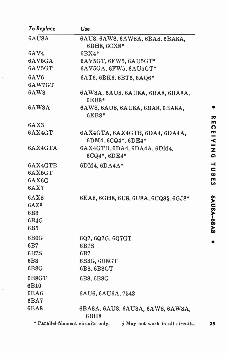| <b>To Replace</b>                         | Use                     |                                     |                       |
|-------------------------------------------|-------------------------|-------------------------------------|-----------------------|
| 6AU8A                                     | 6BH8, 6CX8*             | 6AU8, 6AW8, 6AW8A, 6BA8, 6BA8A,     |                       |
| 6AV4                                      | $6BX4*$                 |                                     |                       |
| 6AV5GA                                    | 6AV5GT, 6FW5, 6AU5GT*   |                                     |                       |
| 6AV5GT                                    | 6AV5GA, 6FW5, 6AU5GT*   |                                     |                       |
| 6AV6                                      | 6AT6, 6BK6, 6BT6, 6AQ6* |                                     |                       |
| 6AW7GT                                    |                         |                                     |                       |
| 6AW8                                      | 6EB8*                   | 6AW8A, 6AU8, 6AU8A, 6BA8, 6BA8A,    |                       |
| 6AW8A                                     | 6EB8*                   | 6AW8, 6AU8, 6AU8A, 6BA8, 6BA8A,     | ᅎ                     |
| 6AX3                                      |                         |                                     | М<br>ი                |
| 6AX4GT                                    | 6DM4, 6CQ4*, 6DE4*      | 6AX4GTA, 6AX4GTB, 6DA4, 6DA4A,      | $\frac{1}{2}$         |
| 6AX4GTA                                   | 6CQ4*, 6DE4*            | 6AX4GTB, 6DA4, 6DA4A, 6DM4,         | Z<br>໑                |
| 6AX4GTB<br>6AX5GT<br><b>6AX6G</b><br>6AX7 | 6DM4, 6DA4A*            |                                     | ᅥ<br>c<br>æ<br>М<br>n |
| 6AX8<br>6AZ8<br>6B3<br>6B4G<br>6B5        |                         | 6EA8, 6GH8, 6U8, 6U8A, 6CQ8§, 6GJ8* | 6AU8A-6BA8            |
| 6B6G                                      | 6Q7, 6Q7G, 6Q7GT        |                                     |                       |
| 6B7                                       | 6B7S                    |                                     |                       |
| 6B7S                                      | 6B7                     |                                     |                       |
| 6B8                                       | 6B8G, 6B8GT             |                                     |                       |
| 6B8G                                      | 6B8, 6B8GT              |                                     |                       |
| 6B8GT                                     | 6B8, 6B8G               |                                     |                       |
| 6B10                                      |                         |                                     |                       |
| 6BA6                                      | 6AU6, 6AU6A, 7543       |                                     |                       |
| 6BA7                                      |                         |                                     |                       |
| 6BA8                                      | 6BH8                    | 6BA8A, 6AU8, 6AU8A, 6AW8, 6AW8A,    |                       |
| * Parallel-filament circuits only.        |                         | § May not work in all circuits.     | 23                    |

í,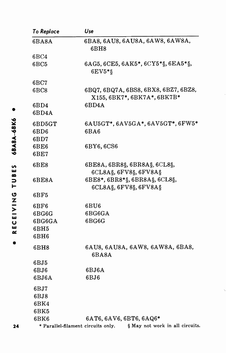| To Replace                 | Use                                                                 |
|----------------------------|---------------------------------------------------------------------|
| <b>6BA8A</b>               | 6BA8, 6AU8, 6AU8A, 6AW8, 6AW8A,<br><b>6BH8</b>                      |
| 6BC4                       |                                                                     |
| <b>6BC5</b>                | 6AG5, 6CE5, 6AK5*, 6CY5*§, 6EA5*§,<br>6EV5*§                        |
| 6BC7                       |                                                                     |
| <b>6BC8</b>                | 6BQ7, 6BQ7A, 6BS8, 6BX8, 6BZ7, 6BZ8,<br>X155, 6BK7*, 6BK7A*, 6BK7B* |
| 6BD4                       | 6BD4A                                                               |
| 6BD4A                      |                                                                     |
| $6\mathrm{BD}5\mathrm{GT}$ | 6AU5GT*, 6AV5GA*, 6AV5GT*, 6FW5*                                    |
| 6BD6                       | 6BA6                                                                |
| 6BD7                       |                                                                     |
| 6BE6                       | 6BY6,6CS6                                                           |
| 6BE7                       |                                                                     |
| <b>6BE8</b>                | 6BE8A, 6BR8§, 6BR8A§, 6CL8§,<br>6CL8A§, 6FV8§, 6FV8A§               |
| 6BE8A                      | 6BE8*, 6BR8*§, 6BR8A§, 6CL8§,<br>6CL8A§, 6FV8§, 6FV8A§              |
| 6BF5                       |                                                                     |
| 6BF6                       | 6BU6                                                                |
| 6BG6G                      | 6BG6GA                                                              |
| 6BG6GA                     | 6BG6G                                                               |
| 6BH <sub>5</sub>           |                                                                     |
| 6BH6                       |                                                                     |
| 6BH8                       | 6AU8, 6AU8A, 6AW8, 6AW8A, 6BA8,<br>6BA8A                            |
| 6BJ5                       |                                                                     |
| 6BJ6                       | 6BJ6A                                                               |
| 6BJ6A                      | 6BJ6                                                                |
| 6BJ7                       |                                                                     |
| 6BJ8                       |                                                                     |
| 6BK4                       |                                                                     |
| 6BK5                       |                                                                     |
| 6BK6                       | 6AT6, 6AV6, 6BT6, 6AQ6*                                             |
|                            | * Parallel-filament circuits only. § May not work in all circuits.  |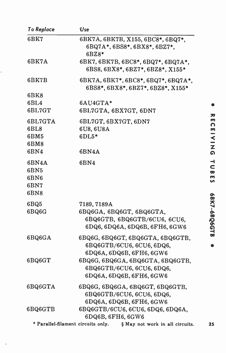| To Replace | <b>Use</b>                                                                                 |                          |
|------------|--------------------------------------------------------------------------------------------|--------------------------|
| 6BK7       | 6BK7A, 6BK7B, X155, 6BC8*, 6BQ7*,<br>6BQ7A*, 6BS8*, 6BX8*, 6BZ7*,<br>6BZ8*                 |                          |
| 6BK7A      | 6BK7, 6BK7B, 6BC8*, 6BQ7*, 6BQ7A*,<br>6BS8, 6BX8*, 6BZ7*, 6BZ8*, X155*                     |                          |
| 6BK7B      | 6BK7A, 6BK7*, 6BC8*, 6BQ7*, 6BQ7A*,<br>6BS8*, 6BX8*, 6BZ7*, 6BZ8*, X155*                   |                          |
| 6BK8       |                                                                                            |                          |
| 6BL4       | 6AU4GTA*                                                                                   |                          |
| 6BL7GT     | 6BL7GTA, 6BX7GT, 6DN7                                                                      |                          |
| 6BL7GTA    | 6BL7GT, 6BX7GT, 6DN7                                                                       |                          |
| 6BL8       | 6U8, 6U8A                                                                                  |                          |
| 6BM5       | 6DL5*                                                                                      | $\frac{1}{2}$            |
| 6BM8       |                                                                                            |                          |
| 6BN4       | 6BN4A                                                                                      | Z<br>6                   |
| 6BN4A      | 6BN4                                                                                       | $\overline{\phantom{0}}$ |
| 6BN5       |                                                                                            | C                        |
| 6BN6       |                                                                                            | œ<br>m                   |
| 6BN7       |                                                                                            | S                        |
| 6BN8       |                                                                                            |                          |
| 6BQ5       | 7189, 7189A                                                                                |                          |
| 6BQ6G      | 6BQ6GA, 6BQ6GT, 6BQ6GTA,<br>6BQ6GTB, 6BQ6GTB/6CU6, 6CU6,<br>6DQ6, 6DQ6A, 6DQ6B, 6FH6, 6GW6 | 6BK7-6BQ6GTB             |
| 6BQ6GA     | 6BQ6G, 6BQ6GT, 6BQ6GTA, 6BQ6GTB,                                                           |                          |
|            | 6BQ6GTB/6CU6, 6CU6, 6DQ6,                                                                  |                          |
|            | 6DQ6A, 6DQ6B, 6FH6, 6GW6                                                                   |                          |
| 6BQ6GT     | 6BQ6G, 6BQ6GA, 6BQ6GTA, 6BQ6GTB,                                                           |                          |
|            | 6BQ6GTB/6CU6, 6CU6, 6DQ6,                                                                  |                          |
|            | 6DQ6A, 6DQ6B, 6FH6, 6GW6                                                                   |                          |
| 6BQ6GTA    | 6BQ6G, 6BQ6GA, 6BQ6GT, 6BQ6GTB,                                                            |                          |
|            | 6BQ6GTB/6CU6, 6CU6, 6DQ6,                                                                  |                          |
|            | 6DQ6A, 6DQ6B, 6FH6, 6GW6                                                                   |                          |
| 6BQ6GTB    | 6BQ6GTB/6CU6, 6CU6, 6DQ6, 6DQ6A,                                                           |                          |
|            | 6DQ6B, 6FH6, 6GW6                                                                          |                          |
|            | * Parallel-filament circuits only.<br>§ May not work in all circuits.                      | 25                       |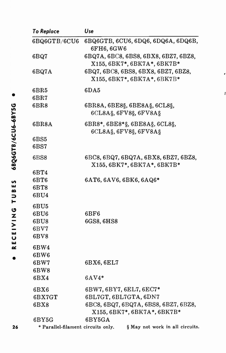| To Replace                         | Use                                                                 |
|------------------------------------|---------------------------------------------------------------------|
| 6BQ6GTB/6CU6                       | 6BQ6GTB, 6CU6, 6DQ6, 6DQ6A, 6DQ6B,<br>6FH6, 6GW6                    |
| 6BQ7                               | 6BQ7A, 6BC8, 6BS8, 6BX8, 6BZ7, 6BZ8,<br>X155, 6BK7*, 6BK7A*, 6BK7B* |
| 6BQ7A                              | 6BQ7, 6BC8, 6BS8, 6BX8, 6BZ7, 6BZ8,<br>X155, 6BK7*, 6BK7A*, 6BK7B*  |
| 6BR5                               | 6DA5                                                                |
| 6BR7                               |                                                                     |
| 6BR8                               | 6BR8A, 6BE8§, 6BE8A§, 6CL8§,<br>6CL8A§, 6FV8§, 6FV8A§               |
| 6BR8A                              | 6BR8*, 6BE8*§, 6BE8A§, 6CL8§,<br>6CL8AŞ, 6FV8Ş, 6FV8AŞ              |
| 6BS5                               |                                                                     |
| 6BS7                               |                                                                     |
| 6BS8                               | 6BC8, 6BQ7, 6BQ7A, 6BX8, 6BZ7, 6BZ8,<br>X155, 6BK7*, 6BK7A*, 6BK7B* |
| 6BT4                               |                                                                     |
| 6BT6                               | 6AT6, 6AV6, 6BK6, 6AQ6*                                             |
| 6BT8                               |                                                                     |
| 6BU4                               |                                                                     |
| 6BU5                               |                                                                     |
| 6BU6                               | 6BF6                                                                |
| 6BU8                               | 6GS8, 6HS8                                                          |
| 6BV7                               |                                                                     |
| 6BV8                               |                                                                     |
| 6BW4                               |                                                                     |
| 6BW6                               |                                                                     |
| 6BW7                               | 6BX6, 6EL7                                                          |
| 6BW8                               |                                                                     |
| 6BX4                               | 6AV4*                                                               |
| 6BX6                               | 6BW7, 6BY7, 6EL7, 6EC7*                                             |
| 6BX7GT                             | 6BL7GT, 6BL7GTA, 6DN7                                               |
| 6BX8                               | 6BC8, 6BQ7, 6BQ7A, 6BS8, 6BZ7, 6BZ8,<br>X155, 6BK7*, 6BK7A*, 6BK7B* |
| 6BY5G                              | 6BY5GA                                                              |
| * Parallel-filament circuits only. | § May not work in all circuits.                                     |

 $\overline{1}$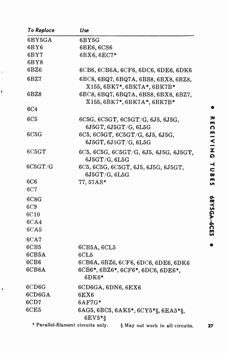| <b>To Replace</b> | Use                                |                                                                     |                                        |
|-------------------|------------------------------------|---------------------------------------------------------------------|----------------------------------------|
| 6BY5GA            | 6BY5G                              |                                                                     |                                        |
| 6BY6              | 6BE6, 6CS6                         |                                                                     |                                        |
| 6BY7              | 6BX6, 6EC7*                        |                                                                     |                                        |
| 6BY8              |                                    |                                                                     |                                        |
| 6BZ6              |                                    | 6CB6, 6CB6A, 6CF6, 6DC6, 6DE6, 6DK6                                 |                                        |
| 6BZ7              |                                    | 6BC8, 6BQ7, 6BQ7A, 6BS8, 6BX8, 6BZ8,<br>X155, 6BK7*, 6BK7A*, 6BK7B* |                                        |
| 6BZ8              |                                    | 6BC8, 6BQ7, 6BQ7A, 6BS8, 6BX8, 6BZ7,<br>X155, 6BK7*, 6BK7A*, 6BK7B* |                                        |
| 6C4               |                                    |                                                                     |                                        |
| <b>6C5</b>        |                                    | 6C5G, 6C5GT, 6C5GT/G, 6J5, 6J5G,<br>6J5GT, 6J5GT/G, 6L5G            | 70<br>m<br>n                           |
| 6C5G              |                                    | 6C5, 6C5GT, 6C5GT/G, 6J5, 6J5G,<br>6J5GT, 6J5GT/G, 6L5G             | <b>m   &lt;   z</b>                    |
| 6C5GT             | $6J5GT/G$ , $6L5G$                 | 6C5, 6C5G, 6C5GT/G, 6J5, 6J5G, 6J5GT,                               | ត                                      |
| 6C5GT/G           | $6J5GT/G$ , $6L5G$                 | 6C5, 6C5G, 6C5GT, 6J5, 6J5G, 6J5GT,                                 | $\blacktriangleleft$<br>C<br>$\bullet$ |
| 6C6<br><b>6C7</b> | 77,57AS*                           |                                                                     | m<br>S                                 |
| <b>6C8G</b>       |                                    |                                                                     |                                        |
| 6C9               |                                    |                                                                     |                                        |
| 6C10              |                                    |                                                                     |                                        |
| 6C <sub>A4</sub>  |                                    |                                                                     |                                        |
| 6C <sub>45</sub>  |                                    |                                                                     | <b>68Y5GA-6CE5</b>                     |
| <b>6CA7</b>       |                                    |                                                                     |                                        |
| <b>6CB5</b>       | 6CB5A, 6CL5                        |                                                                     |                                        |
| 6CB5A             | 6CL5                               |                                                                     |                                        |
| 6CB6              |                                    | 6CB6A, 6BZ6, 6CF6, 6DC6, 6DE6, 6DK6                                 |                                        |
| 6CB6A             | $6DK6*$                            | 6CB6*, 6BZ6*, 6CF6*, 6DC6, 6DE6*,                                   |                                        |
| 6CD6G             | 6CD6GA, 6DN6, 6EX6                 |                                                                     |                                        |
| 6CD6GA            | <b>6EX6</b>                        |                                                                     |                                        |
| 6CD7              | 6AF7G*                             |                                                                     |                                        |
| 6CE5              | 6EV5*§                             | 6AG5, 6BC5, 6AK5*, 6CY5*§, 6EA5*§,                                  |                                        |
|                   | * Parallel-filament circuits only. | § May not work in all circuits.                                     | 27                                     |

J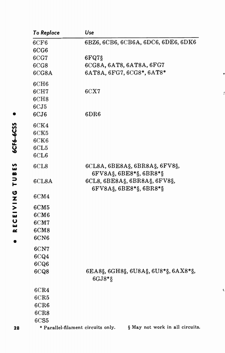| <b>To Replace</b> | Use                                                                   |
|-------------------|-----------------------------------------------------------------------|
| 6CF6              | 6BZ6, 6CB6, 6CB6A, 6DC6, 6DE6, 6DK6                                   |
| 6 <sub>C</sub>    |                                                                       |
| <b>6CG7</b>       | 6FQ7§                                                                 |
| 6CG8              | 6CG8A, 6AT8, 6AT8A, 6FG7                                              |
| 6CG8A             | 6AT8A, 6FG7, 6CG8*, 6AT8*                                             |
| 6CH6              |                                                                       |
| 6CH7              | 6CX7                                                                  |
| 6CH8              |                                                                       |
| 6CJ5              |                                                                       |
| 6CJ6              | 6DR6                                                                  |
| 6CK4              |                                                                       |
| 6 <sub>CK5</sub>  |                                                                       |
| 6C <sub>K6</sub>  |                                                                       |
| 6CL5              |                                                                       |
| 6CL6              |                                                                       |
| 6CL8              | 6CL8A, 6BE8A§, 6BR8A§, 6FV8§,<br>6FV8A§, 6BE8*§, 6BR8*§               |
| 6CL8A             | 6CL8, 6BE8A§, 6BR8A§, 6FV8§,                                          |
|                   | 6FV8A§, 6BE8*§, 6BR8*§                                                |
| 6CM4              |                                                                       |
| 6CM <sub>5</sub>  |                                                                       |
| 6CM6              |                                                                       |
| 6CM7              |                                                                       |
| 6CM8              |                                                                       |
| 6CN6              |                                                                       |
| <b>6CN7</b>       |                                                                       |
| 6CQ4              |                                                                       |
| 6CQ6              |                                                                       |
| 6CQ8              | 6EA8§, 6GH8§, 6U8A§, 6U8*§, 6AX8*§,<br>$6GJ8*$ §                      |
| 6CR4              |                                                                       |
| 6CR5              |                                                                       |
| 6CR6              |                                                                       |
| <b>6CR8</b>       |                                                                       |
| 6CS5              |                                                                       |
|                   | § May not work in all circuits.<br>* Parallel-filament circuits only. |

ļ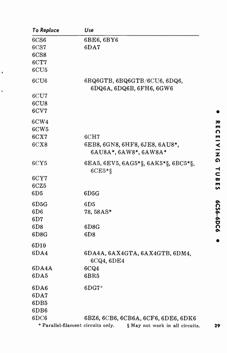| <b>To Replace</b> | Use                                                                   |           |
|-------------------|-----------------------------------------------------------------------|-----------|
| 6CS6              | 6BE6, 6BY6                                                            |           |
| <b>6CS7</b>       | 6DA7                                                                  |           |
| <b>6CS8</b>       |                                                                       |           |
| 6CT7              |                                                                       |           |
| 6CU <sub>5</sub>  |                                                                       |           |
| 6CU <sub>6</sub>  | 6BQ6GTB, 6BQ6GTB/6CU6, 6DQ6,<br>6DQ6A, 6DQ6B, 6FH6, 6GW6              |           |
| <b>6CU7</b>       |                                                                       |           |
| 6CU8              |                                                                       |           |
| 6CV7              |                                                                       |           |
| 6CW4              |                                                                       |           |
| 6CW <sub>5</sub>  |                                                                       | ი         |
| 6CX7              | 6CH7                                                                  | m         |
| 6CX8              | 6EB8, 6GN8, 6HF8, 6JE8, 6AU8*,<br>6AU8A*, 6AW8*, 6AW8A*               | IVIX      |
| $6{\rm CY5}$      | 6EA5, 6EV5, 6AG5*§, 6AK5*§, 6BC5*§,<br>$6CE5*$ §                      | ⊣<br>C    |
| 6CY7              |                                                                       | œ         |
| <b>6CZ5</b>       |                                                                       | m<br>S    |
| 6D5               | 6D5G                                                                  |           |
| 6D5G              | 6D5                                                                   |           |
| 6D <sub>6</sub>   | 78,58AS*                                                              |           |
| 6D7               |                                                                       | 6CS6-6DC6 |
| 6D8               | 6D8G                                                                  |           |
| 6D8G              | 6D <sub>8</sub>                                                       |           |
| 6D10              |                                                                       |           |
| 6DA4              | 6DA4A, 6AX4GTA, 6AX4GTB, 6DM4,<br>6CQ4, 6DE4                          |           |
| 6DA4A             | 6CQ4                                                                  |           |
| 6DA5              | <b>6BR5</b>                                                           |           |
| 6DA6              | 6DG7*                                                                 |           |
| 6DA7              |                                                                       |           |
| 6DB5              |                                                                       |           |
| 6DB6              |                                                                       |           |
| 6DC6              | 6BZ6, 6CB6, 6CB6A, 6CF6, 6DE6, 6DK6                                   |           |
|                   | * Parallel-filament circuits only.<br>§ May not work in all circuits. | 29        |

ė

•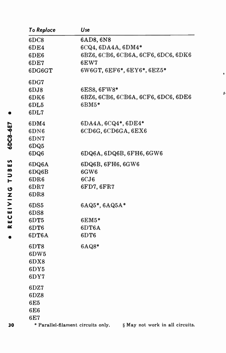|                  | To Replace       | Use                                                                   |
|------------------|------------------|-----------------------------------------------------------------------|
|                  | 6DC8             | 6AD8, 6N8                                                             |
|                  | 6DE4             | 6CQ4, 6DA4A, 6DM4*                                                    |
|                  | $6\mathrm{DE}6$  | 6BZ6, 6CB6, 6CB6A, 6CF6, 6DC6, 6DK6                                   |
|                  | 6DE7             | <b>6EW7</b>                                                           |
|                  | 6DG6GT           | 6W6GT, 6EF6*, 6EY6*, 6EZ5*                                            |
|                  | 6DG7             |                                                                       |
|                  | 6DJ8             | 6ES8, 6FW8*                                                           |
|                  | 6DK6             | 6BZ6, 6CB6, 6CB6A, 6CF6, 6DC6, 6DE6                                   |
|                  | 6DL5             | 6BM5*                                                                 |
|                  | 6DL7             |                                                                       |
|                  | 6DM4             | 6DA4A, 6CQ4*, 6DE4*                                                   |
| 6DC8-6E7         | 6DN6             | 6CD6G, 6CD6GA, 6EX6                                                   |
|                  | 6DN7             |                                                                       |
|                  | 6DQ5             |                                                                       |
|                  | 6DQ6             | 6DQ6A, 6DQ6B, 6FH6, 6GW6                                              |
|                  | 6DQ6A            | 6DQ6B, 6FH6, 6GW6                                                     |
| <b>LNBES</b>     | 6DQ6B            | 6GW6                                                                  |
|                  | 6DR6             | 6CJ6                                                                  |
|                  | $6\mathrm{DR}7$  | 6FD7, 6FR7                                                            |
|                  | 6DR8             |                                                                       |
| <b>RECEIVING</b> | 6DS5             | 6AQ5*, 6AQ5A*                                                         |
|                  | 6DS8             |                                                                       |
|                  | 6DT5             | 6EM5*                                                                 |
|                  | 6DT6             | 6DT6A                                                                 |
| $\bullet$        | 6DT6A            | 6DT6                                                                  |
|                  | 6DT8             | 6AQ8*                                                                 |
|                  | 6DW <sub>5</sub> |                                                                       |
|                  | 6DX8             |                                                                       |
|                  | 6DY5             |                                                                       |
|                  | 6DY7             |                                                                       |
|                  | 6DZ7             |                                                                       |
|                  | 6DZ8             |                                                                       |
|                  | 6E5              |                                                                       |
|                  | 6E6              |                                                                       |
|                  | 6E7              |                                                                       |
| 30               |                  | * Parallel-filament circuits only.<br>§ May not work in all circuits. |

 $\ddot{\phantom{1}}$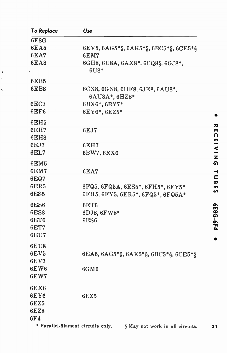| To Replace  | Use                                                                |  |
|-------------|--------------------------------------------------------------------|--|
| 6E8G        |                                                                    |  |
| <b>6EA5</b> | 6EV5, 6AG5*§, 6AK5*§, 6BC5*§, 6CE5*§                               |  |
| <b>6EA7</b> | 6EM7                                                               |  |
| 6EA8        | 6GH8, 6U8A, 6AX8*, 6CQ8§, 6GJ8*,<br>$6US*$                         |  |
| 6EB5        |                                                                    |  |
| <b>6EB8</b> | 6CX8, 6GN8, 6HF8, 6JE8, 6AU8*,<br>6AU8A*, 6HZ8*                    |  |
| <b>6EC7</b> | 6BX6*, 6BY7*                                                       |  |
| <b>6EF6</b> | 6EY6*, 6EZ5*                                                       |  |
| 6EH5        |                                                                    |  |
| <b>6EH7</b> | 6EJ7                                                               |  |
| 6EH8        |                                                                    |  |
| 6EJ7        | 6EH7                                                               |  |
| 6EL7        | 6BW7, 6EX6                                                         |  |
| 6EM5        |                                                                    |  |
| 6EM7        | 6EA7                                                               |  |
| 6EQ7        |                                                                    |  |
| 6ER5        | 6FQ5, 6FQ5A, 6ES5*, 6FH5*, 6FY5*                                   |  |
| 6ES5        | 6FH5, 6FY5, 6ER5*, 6FQ5*, 6FQ5A*                                   |  |
| <b>6ES6</b> | 6ET6                                                               |  |
| 6ES8        | 6DJ8, 6FW8*                                                        |  |
| $6E$ T $6$  | 6ES <sub>6</sub>                                                   |  |
| 6ET7        |                                                                    |  |
| <b>6EU7</b> |                                                                    |  |
| 6EU8        |                                                                    |  |
| 6EV5        | 6EA5, 6AG5*§, 6AK5*§, 6BC5*§, 6CE5*§                               |  |
| 6EV7        |                                                                    |  |
| 6EW6        | 6GM6                                                               |  |
| <b>6EW7</b> |                                                                    |  |
| 6EX6        |                                                                    |  |
| 6EY6        | 6EZ5                                                               |  |
| 6EZ5        |                                                                    |  |
| <b>6EZ8</b> |                                                                    |  |
| 6F4         |                                                                    |  |
|             | * Parallel-filament circuits only. § May not work in all circuits. |  |

 $\bullet$ ł

Ń,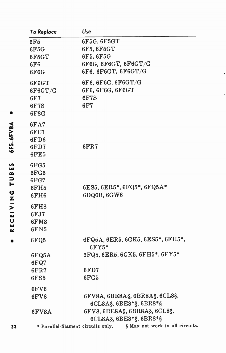|           | To Replace  | Use                                                                   |
|-----------|-------------|-----------------------------------------------------------------------|
|           | <b>6F5</b>  | 6F5G, 6F5GT                                                           |
|           | 6F5G        | 6F5,6F5GT                                                             |
|           | 6F5GT       | 6F5, 6F5G                                                             |
|           | 6F6         | 6F6G, 6F6GT, 6F6GT/G                                                  |
|           | 6F6G        | 6F6, 6F6GT, 6F6GT/G                                                   |
|           | 6F6GT       | 6F6, 6F6G, 6F6GT/G                                                    |
|           | 6F6GT/G     | 6F6, 6F6G, 6F6GT                                                      |
|           | <b>6F7</b>  | 6F7S                                                                  |
|           | 6F7S        | 6F7                                                                   |
|           | 6F8G        |                                                                       |
|           | <b>6FA7</b> |                                                                       |
|           | 6FC7        |                                                                       |
| 6F5-6FV8A | 6FD6        |                                                                       |
|           | 6FD7        | 6FR7                                                                  |
|           | 6FE5        |                                                                       |
|           | 6FG5        |                                                                       |
| TUBES     | 6FG6        |                                                                       |
|           | 6FG7        |                                                                       |
|           | 6FH5        | 6ES5, 6ER5*, 6FQ5*, 6FQ5A*                                            |
|           | 6FH6        | 6DQ6B, 6GW6                                                           |
| RECEIVING | 6FH8        |                                                                       |
|           | 6FJ7        |                                                                       |
|           | 6FM8        |                                                                       |
|           | 6FN5        |                                                                       |
|           | 6FQ5        | 6FQ5A, 6ER5, 6GK5, 6ES5*, 6FH5*,<br>6FY5*                             |
|           | 6FQ5A       | 6FQ5, 6ER5, 6GK5, 6FH5*, 6FY5*                                        |
|           | 6FQ7        |                                                                       |
|           | <b>6FR7</b> | 6FD7                                                                  |
|           | 6FS5        | 6FG5                                                                  |
|           | 6FV6        |                                                                       |
|           | 6FV8        | 6FV8A, 6BE8A§, 6BR8A§, 6CL8§,                                         |
|           |             | 6CL8A§, 6BE8*§, 6BR8*§                                                |
|           | 6FV8A       | 6FV8, 6BE8A§, 6BR8A§, 6CL8§,                                          |
|           |             | 6CL8A§, 6BE8*§, 6BR8*§                                                |
| 32        |             | § May not work in all circuits.<br>* Parallel-filament circuits only. |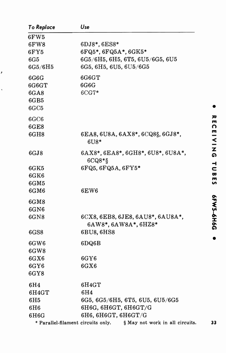| To Replace       | Use                                                                |                  |
|------------------|--------------------------------------------------------------------|------------------|
| 6FW5             |                                                                    |                  |
| 6FW8             | 6DJ8*, 6ES8*                                                       |                  |
| $6{\rm FY5}$     | 6FQ5*, 6FQ5A*, 6GK5*                                               |                  |
| 6G5              | 6G5/6H5, 6H5, 6T5, 6U5/6G5, 6U5                                    |                  |
| 6G5/6H5          | 6G5, 6H5, 6U5, 6U5/6G5                                             |                  |
| 6G6G             | 6G6GT                                                              |                  |
| 6G6GT            | 6G6G                                                               |                  |
| <b>6GA8</b>      | 6CG7*                                                              |                  |
| 6GB5             |                                                                    |                  |
| <b>6GC5</b>      |                                                                    |                  |
| 6GC <sub>6</sub> |                                                                    | æ<br>m.          |
| 6GE8             |                                                                    | n                |
| 6GH8             | 6EA8, 6U8A, 6AX8*, 6CQ8§, 6GJ8*,<br>6U8*                           | $\frac{1}{2}$    |
| 6GJ8             | 6AX8*, 6EA8*, 6GH8*, 6U8*, 6U8A*,<br>$6CQ8*$ §                     | Z<br>໑           |
| <b>6GK5</b>      | 6FQ5, 6FQ5A, 6FY5*                                                 | ᅥ<br>C           |
| 6GK6             |                                                                    | œ                |
| 6GM5             |                                                                    | М<br><b>S</b>    |
| 6GM6             | 6EW <sub>6</sub>                                                   |                  |
| 6GM <sub>8</sub> |                                                                    |                  |
| 6GN6             |                                                                    |                  |
| 6GN8             | 6CX8, 6EB8, 6JE8, 6AU8*, 6AU8A*,<br>6AW8*, 6AW8A*, 6HZ8*           | <b>SFW5-6H6G</b> |
| 6GS8             | 6BU8, 6HS8                                                         |                  |
| 6GW <sub>6</sub> | 6DQ6B                                                              |                  |
| 6GW8             |                                                                    |                  |
| 6GX6             | 6GY6                                                               |                  |
| 6GY6             | 6GX6                                                               |                  |
| 6GY8             |                                                                    |                  |
| 6H4              | 6H4GT                                                              |                  |
| 6H4GT            | 6H4                                                                |                  |
| 6H <sub>5</sub>  | 6G5, 6G5/6H5, 6T5, 6U5, 6U5/6G5                                    |                  |
| 6H <sub>6</sub>  | 6H6G, 6H6GT, 6H6GT/G                                               |                  |
| 6H6G             | 6H6, 6H6GT, 6H6GT/G                                                |                  |
|                  | * Parallel-filament circuits only. § May not work in all circuits. | 33               |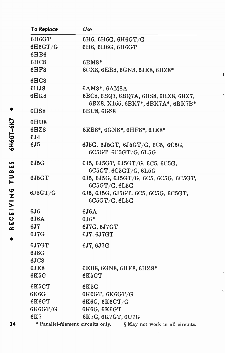|           | To Replace  | Use                                                                       |
|-----------|-------------|---------------------------------------------------------------------------|
|           | 6H6GT       | 6H6, 6H6G, 6H6GT/G                                                        |
|           | 6H6GT/G     | 6H6, 6H6G, 6H6GT                                                          |
|           | <b>6HB6</b> |                                                                           |
|           | 6HC8        | 6BM8*                                                                     |
|           | 6HF8        | 6CX8, 6EB8, 6GN8, 6JE8, 6HZ8*                                             |
|           | 6HG8        |                                                                           |
|           | 6HJ8        | 6AM8*, 6AM8A                                                              |
|           | 6HK8        | 6BC8, 6BQ7, 6BQ7A, 6BS8, 6BX8, 6BZ7,<br>6BZ8, X155, 6BK7*, 6BK7A*, 6BK7B* |
|           | 6HS8        | 6BU8, 6GS8                                                                |
|           | 6HU8        |                                                                           |
|           | 6HZ8        | 6EB8*, 6GN8*, 6HF8*, 6JE8*                                                |
|           | 6J4         |                                                                           |
| 6H6GT-6K7 | 6J5         | 6J5G, 6J5GT, 6J5GT/G, 6C5, 6C5G,<br>$6C5GT$ , $6C5GT/G$ , $6L5G$          |
| ហ<br>ພ    | 6J5G        | 6J5, 6J5GT, 6J5GT/G, 6C5, 6C5G,<br>6C5GT, 6C5GT/G, 6L5G                   |
| T U B     | 6J5GT       | 6J5, 6J5G, 6J5GT/G, 6C5, 6C5G, 6C5GT,<br>6C5GT/G, 6L5G                    |
| RECEIVING | 6J5GT/G     | 6J5, 6J5G, 6J5GT, 6C5, 6C5G, 6C5GT,<br>$6C5GT/G$ , $6L5G$                 |
|           | 6J6         | 6J6A                                                                      |
|           | 6J6A        | $6J6*$                                                                    |
|           | 6J7         | 6J7G, 6J7GT                                                               |
| $\bullet$ | 6J7G        | 6J7, 6J7GT                                                                |
|           | 6J7GT       | 6J7, 6J7G                                                                 |
|           | 6J8G        |                                                                           |
|           | 6JC8        |                                                                           |
|           | 6JE8        | 6EB8, 6GN8, 6HF8, 6HZ8*                                                   |
|           | 6K5G        | 6K5GT                                                                     |
|           | 6K5GT       | 6K5G                                                                      |
|           | 6K6G        | 6K6GT, 6K6GT/G                                                            |
|           | 6K6GT       | 6K6G, 6K6GT/G                                                             |
|           | 6K6GT/G     | 6K6G, 6K6GT                                                               |
|           | 6K7         | 6K7G, 6K7GT, 6U7G                                                         |
| 34        |             | * Parallel-filament circuits only. 6 May not work in all circuits.        |

 $\overline{\phantom{a}}$ 

 $\ddot{\phantom{0}}$ 

 $\overline{a}$ 

 $\overline{\mathbf{t}}$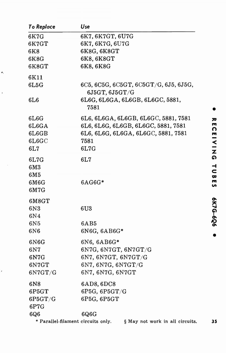| <b>To Replace</b> | Use                                                     |                               |
|-------------------|---------------------------------------------------------|-------------------------------|
| 6K7G              | 6K7, 6K7GT, 6U7G                                        |                               |
| 6K7GT             | 6K7, 6K7G, 6U7G                                         |                               |
| 6K8               | 6K8G, 6K8GT                                             |                               |
| <b>6K8G</b>       | 6K8, 6K8GT                                              |                               |
| 6K8GT             | 6K8, 6K8G                                               |                               |
| 6K11              |                                                         |                               |
| 6L5G              | 6C5, 6C5G, 6C5GT, 6C5GT/G, 6J5, 6J5G,<br>6J5GT, 6J5GT/G |                               |
| 6L6               | 6L6G, 6L6GA, 6L6GB, 6L6GC, 5881,<br>7581                |                               |
| 6L6G              | 6L6, 6L6GA, 6L6GB, 6L6GC, 5881, 7581                    | <b>D</b>                      |
| 6L6GA             | 6L6, 6L6G, 6L6GB, 6L6GC, 5881, 7581                     | m                             |
| 6L6GB             | 6L6, 6L6G, 6L6GA, 6L6GC, 5881, 7581                     |                               |
| 6L6GC             | 7581                                                    |                               |
| 6L7               | <b>6L7G</b>                                             | <b>CEIVING</b>                |
| 6L7G              | 6L7                                                     |                               |
| 6M <sub>3</sub>   |                                                         | $\overline{\phantom{0}}$<br>C |
| 6M <sub>5</sub>   |                                                         | æ                             |
| 6M6G              | 6AG6G*                                                  | m<br>n                        |
| 6M7G              |                                                         |                               |
| 6M8GT             |                                                         | 6K7G-6Q6                      |
| 6N3               | 6U3                                                     |                               |
| 6N4               |                                                         |                               |
| 6N <sub>5</sub>   | 6AB5                                                    |                               |
| 6N6               | 6N6G, 6AB6G*                                            |                               |
| 6N6G              | 6N6, 6AB6G*                                             |                               |
| 6N7               | 6N7G, 6N7GT, 6N7GT/G                                    |                               |
| 6N7G              | 6N7, 6N7GT, 6N7GT/G                                     |                               |
| 6N7GT             | 6N7, 6N7G, 6N7GT/G                                      |                               |
| $6N7GT/G$         | 6N7, 6N7G, 6N7GT                                        |                               |
| 6N8               | 6AD8, 6DC8                                              |                               |
| 6P5GT             | 6P5G, 6P5GT/G                                           |                               |
| 6P5GT/G           | 6P5G, 6P5GT                                             |                               |
| 6P7G              |                                                         |                               |
| <b>6Q6</b>        | 6Q6G                                                    |                               |
|                   |                                                         |                               |

\* Parallel-filament circuits only. § May not work in all circuits. 35

 $\hat{\mathbf{r}}_i$ 

ï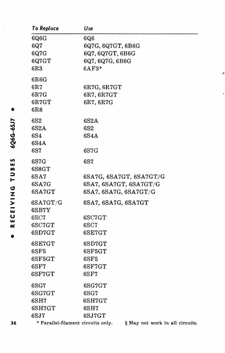|                          | <b>To Replace</b> | Use                                                                   |
|--------------------------|-------------------|-----------------------------------------------------------------------|
|                          | 6Q6G              | 6Q6                                                                   |
|                          | 6Q7               | 6Q7G, 6Q7GT, 6B6G                                                     |
|                          | 6Q7G              | 6Q7, 6Q7GT, 6B6G                                                      |
|                          | 6Q7GT             | 6Q7, 6Q7G, 6B6G                                                       |
|                          | 6R3               | 6AF3*                                                                 |
|                          | 6R6G              |                                                                       |
|                          | 6R7               | 6R7G, 6R7GT                                                           |
|                          | 6R7G              | 6R7, 6R7GT                                                            |
|                          | 6R7GT             | 6R7, 6R7G                                                             |
|                          | 6R8               |                                                                       |
|                          | <b>6S2</b>        | <b>6S2A</b>                                                           |
|                          | 6S2A              | <b>6S2</b>                                                            |
| 6Q6G-6SJ7                | 6S4               | 6S4A                                                                  |
|                          | 6S4A              |                                                                       |
|                          | 6S7               | 6S7G                                                                  |
|                          | <b>6S7G</b>       | <b>6S7</b>                                                            |
| TUBES<br>Tubes           | 6S8GT             |                                                                       |
|                          | 6SA7              | 6SA7G, 6SA7GT, 6SA7GT/G                                               |
|                          | 6SATG             | $6S A7$ , $6S A7G$ T, $6S A7G$ T/G                                    |
|                          | 6SA7GT            | 6SA7, 6SA7G, 6SA7GT/G                                                 |
| <b>9<br/>N I N I I I</b> | 6SA7GT/G          | 6SA7, 6SA7G, 6SA7GT                                                   |
|                          | $6{\rm SB7Y}$     |                                                                       |
|                          | <b>6SC7</b>       | 6SC7GT                                                                |
| D<br>M<br>M              | 6SC7GT            | <b>6SC7</b>                                                           |
| ٠                        | 6SD7GT            | 6SE7GT                                                                |
|                          | 6SE7GT            | 6SD7GT                                                                |
|                          | 6SF <sub>5</sub>  | 6SF5GT                                                                |
|                          | $6S$ F5 $G$ T     | 6SF5                                                                  |
|                          | <b>6SF7</b>       | 6SF7GT                                                                |
|                          | 6SF7GT            | <b>6SF7</b>                                                           |
|                          | $6S$ G7           | 6SG7GT                                                                |
|                          | 6SG7GT            | <b>6SG7</b>                                                           |
|                          | 6SH7              | 6SH7GT                                                                |
|                          | 6SH7GT            | 6SH7                                                                  |
|                          | 6SJ7              | 6SJ7GT                                                                |
| 36                       |                   | * Parallel-filament circuits only.<br>§ May not work in all circuits. |

À

l,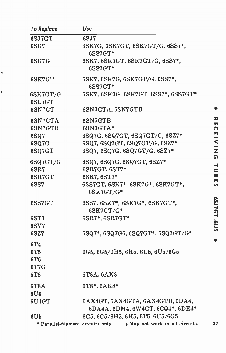| To Replace                                    | Use                                                                                                                    |                                                                                       |
|-----------------------------------------------|------------------------------------------------------------------------------------------------------------------------|---------------------------------------------------------------------------------------|
| 6SJ7GT                                        | 6SJ7                                                                                                                   |                                                                                       |
| 6SK7                                          | 6SK7G, 6SK7GT, 6SK7GT/G, 6SS7*,<br>6SS7GT*                                                                             |                                                                                       |
| 6SK7G                                         | 6SK7, 6SK7GT, 6SK7GT/G, 6SS7*,<br>6SS7GT*                                                                              |                                                                                       |
| 6SK7GT                                        | 6SK7, 6SK7G, 6SK7GT/G, 6SS7*,<br>6SS7GT*                                                                               |                                                                                       |
| 6SK7GT/G<br>6SL7GT                            | 6SK7, 6SK7G, 6SK7GT, 6SS7*, 6SS7GT*                                                                                    |                                                                                       |
| 6SN7GT                                        | 6SN7GTA, 6SN7GTB                                                                                                       |                                                                                       |
| 6SN7GTA<br>6SN7GTB<br>6SQ7<br>6SQ7G<br>6SQ7GT | 6SN7GTB<br>6SN7GTA*<br>6SQ7G, 6SQ7GT, 6SQ7GT/G, 6SZ7*<br>6SQ7, 6SQ7GT, 6SQ7GT/G, 6SZ7*<br>6SQ7, 6SQ7G, 6SQ7GT/G, 6SZ7* | æ<br>m<br>n.<br>$\overline{1}$<br>Z                                                   |
| 6SQ7GT/G<br><b>6SR7</b><br>6SR7GT<br>6SS7     | 6SQ7, 6SQ7G, 6SQ7GT, 6SZ7*<br>6SR7GT, 6ST7*<br>6SR7, 6ST7*<br>6SS7GT, 6SK7*, 6SK7G*, 6SK7GT*,<br>6SK7GT/G*             | Q<br>$\blacktriangleleft$<br>$\mathbf{C}$<br>$\overline{\mathbf{u}}$<br>m<br><b>S</b> |
| 6SS7GT<br>6ST7                                | 6SS7, 6SK7*, 6SK7G*, 6SK7GT*,<br>6SK7GT/G*<br>6SR7*, 6SR7GT*                                                           | 6SJ7GT-6U5                                                                            |
| 6SV7                                          |                                                                                                                        |                                                                                       |
| 6SZ7                                          | 6SQ7*, 6SQ7G6, 6SQ7GT*, 6SQ7GT/G*                                                                                      |                                                                                       |
| 6T4<br>6T <sub>5</sub><br>6T6<br>6T7G         | 6G5, 6G5/6H5, 6H5, 6U5, 6U5/6G5                                                                                        |                                                                                       |
| 6T8                                           | 6T8A, 6AK8                                                                                                             |                                                                                       |
| 6T8A<br>6U <sub>3</sub>                       | 6T8*, 6AK8*                                                                                                            |                                                                                       |
| 6U4GT                                         | 6AX4GT, 6AX4GTA, 6AX4GTB, 6DA4,<br>6DA4A, 6DM4, 6W4GT, 6CQ4*, 6DE4*                                                    |                                                                                       |
| 6U5<br>* Parallel-filament circuits only.     | 6G5, 6G5/6H5, 6H5, 6T5, 6U5/6G5<br>§ May not work in all circuits.                                                     | 37                                                                                    |

 $\ddot{\phantom{1}}$ 

 $\pmb{\mathfrak{h}}$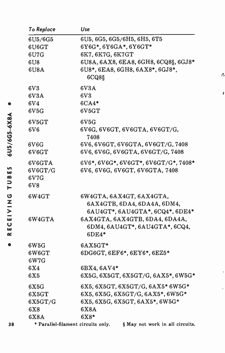| To Replace | Use                                                                                        |
|------------|--------------------------------------------------------------------------------------------|
| 6U5/6G5    | 6U5, 6G5, 6G5/6H5, 6H5, 6T5                                                                |
| 6U6GT      | 6Y6G*, 6Y6GA*, 6Y6GT*                                                                      |
| 6U7G       | 6K7, 6K7G, 6K7GT                                                                           |
| 6U8        | 6U8A, 6AX8, 6EA8, 6GH8, 6CQ8§, 6GJ8*                                                       |
| 6U8A       | 6U8*, 6EA8, 6GH8, 6AX8*, 6GJ8*,                                                            |
|            | 6CQ8§                                                                                      |
| 6V3        | 6V3A                                                                                       |
| 6V3A       | 6V3                                                                                        |
| 6V4        | 6CA4*                                                                                      |
| 6V5G       | 6V5GT                                                                                      |
| 6V5GT      | 6V5G                                                                                       |
| 6V6        | 6V6G, 6V6GT, 6V6GTA, 6V6GT/G,<br>7408                                                      |
| 6V6G       | 6V6, 6V6GT, 6V6GTA, 6V6GT/G, 7408                                                          |
| 6V6GT      | 6V6, 6V6G, 6V6GTA, 6V6GT/G, 7408                                                           |
| 6V6GTA     | 6V6*, 6V6G*, 6V6GT*, 6V6GT/G*, 7408*                                                       |
| 6V6GT/G    | 6V6, 6V6G, 6V6GT, 6V6GTA, 7408                                                             |
| 6V7G       |                                                                                            |
| 6V8        |                                                                                            |
| 6W4GT      | 6W4GTA, 6AX4GT, 6AX4GTA,<br>6AX4GTB, 6DA4, 6DA4A, 6DM4,<br>6AU4GT*, 6AU4GTA*, 6CQ4*, 6DE4* |
| 6W4GTA     | 6AX4GTA, 6AX4GTB, 6DA4, 6DA4A,<br>6DM4, 6AU4GT*, 6AU4GTA*, 6CQ4,<br>$6DE4*$                |
| 6W5G       | $6AX5GT*$                                                                                  |
| 6W6GT      | 6DG6GT, 6EF6*, 6EY6*, 6EZ5*                                                                |
| 6W7G       |                                                                                            |
| 6X4        | 6BX4, 6AV4*                                                                                |
| 6X5        | 6X5G, 6X5GT, 6X5GT/G, 6AX5*, 6W5G*                                                         |
| 6X5G       | 6X5, 6X5GT, 6X5GT/G, 6AX5* 6W5G*                                                           |
| 6X5GT      | 6X5, 6X5G, 6X5GT/G, 6AX5*, 6W5G*                                                           |
| 6X5GT/G    | 6X5, 6X5G, 6X5GT, 6AX5*, 6W5G*                                                             |
| <b>6X8</b> | 6X8A                                                                                       |
| 6X8A       | $6X8*$                                                                                     |
|            | * Parallel-filament circuits only.<br>§ May not work in all circuits.                      |

e

 $\cdot$ 

 $\hat{c}$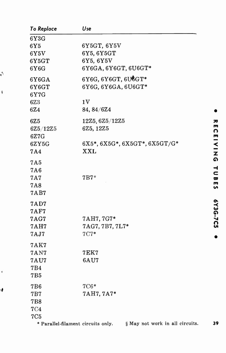| To Replace  | Use                                |                                           |                          |
|-------------|------------------------------------|-------------------------------------------|--------------------------|
| 6Y3G        |                                    |                                           |                          |
| 6Y5         | 6Y5GT, 6Y5V                        |                                           |                          |
| 6Y5V        | 6Y5, 6Y5GT                         |                                           |                          |
| 6Y5GT       | 6Y5, 6Y5V                          |                                           |                          |
| 6Y6G        | 6Y6GA, 6Y6GT, 6U6GT*               |                                           |                          |
| 6Y6GA       | 6Y6G, 6Y6GT, 6U6GT*                |                                           |                          |
| 6Y6GT       | 6Y6G, 6Y6GA, 6U6GT*                |                                           |                          |
| 6Y7G        |                                    |                                           |                          |
| <b>6Z3</b>  | 1V                                 |                                           |                          |
| 6Z4         | 84, 84/6Z4                         |                                           |                          |
| 6Z5         | 12Z5, 6Z5/12Z5                     |                                           | ᅎ                        |
| 6Z5/12Z5    | 6Z5, 12Z5                          |                                           | m<br>C                   |
| <b>6Z7G</b> |                                    |                                           |                          |
| 6ZY5G       |                                    | $6X5$ *, $6X5G$ *, $6X5G$ T*, $6X5G$ T/G* |                          |
| <b>7A4</b>  | <b>XXL</b>                         |                                           | $\frac{m}{2}$            |
| <b>7A5</b>  |                                    |                                           | <u>၈</u>                 |
| <b>7A6</b>  |                                    |                                           | $\overline{\phantom{a}}$ |
| <b>7A7</b>  | 7B7*                               |                                           | $\mathbf{C}$<br>œ        |
| <b>7A8</b>  |                                    |                                           | m<br>S                   |
| <b>7AB7</b> |                                    |                                           |                          |
| <b>7AD7</b> |                                    |                                           |                          |
| 7AF7        |                                    |                                           | 6Y3G-7C5                 |
| <b>7AG7</b> | 7AH7, 7G7*                         |                                           |                          |
| <b>7AH7</b> | 7AG7, 7B7, 7L7*                    |                                           |                          |
| <b>7AJ7</b> | $7C7*$                             |                                           |                          |
| <b>7AK7</b> |                                    |                                           |                          |
| 7AN7        | <b>7EK7</b>                        |                                           |                          |
| <b>7AU7</b> | <b>6AU7</b>                        |                                           |                          |
| <b>7B4</b>  |                                    |                                           |                          |
| 7B5         |                                    |                                           |                          |
| <b>7B6</b>  | 7C6*                               |                                           |                          |
| <b>7B7</b>  | 7AH7, 7A7*                         |                                           |                          |
| <b>7B8</b>  |                                    |                                           |                          |
| <b>7C4</b>  |                                    |                                           |                          |
| <b>7C5</b>  |                                    |                                           |                          |
|             | * Parallel-filament circuits only. | § May not work in all circuits.           | 39                       |

 $\hat{c}$ 

 $\mathbf{C}$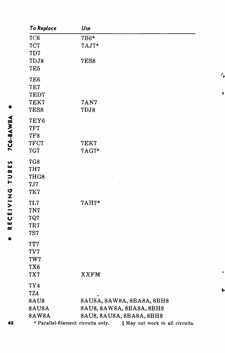| <b>To Replace</b> | Use                                                                   |
|-------------------|-----------------------------------------------------------------------|
| <b>7C6</b>        | 7B6*                                                                  |
| <b>7C7</b>        | 7AJ7*                                                                 |
| <b>7D7</b>        |                                                                       |
| 7DJ8              | <b>7ES8</b>                                                           |
| <b>7E5</b>        |                                                                       |
| <b>7E6</b>        |                                                                       |
| <b>7E7</b>        |                                                                       |
| <b>7ED7</b>       |                                                                       |
| <b>7EK7</b>       | <b>7AN7</b>                                                           |
| <b>7ES8</b>       | 7DJ8                                                                  |
| <b>7EY6</b>       |                                                                       |
| <b>7F7</b>        |                                                                       |
| <b>7F8</b>        |                                                                       |
| <b>7FC7</b>       | <b>7EK7</b>                                                           |
| <b>7G7</b>        | 7AG7*                                                                 |
| <b>7G8</b>        |                                                                       |
| <b>7H7</b>        |                                                                       |
| <b>7HG8</b>       |                                                                       |
| <b>7J7</b>        |                                                                       |
| <b>7K7</b>        |                                                                       |
| <b>7L7</b>        | 7AH7*                                                                 |
| <b>7N7</b>        |                                                                       |
| <b>7Q7</b>        |                                                                       |
| <b>7R7</b>        |                                                                       |
| <b>7S7</b>        |                                                                       |
| <b>7T7</b>        |                                                                       |
| <b>7V7</b>        |                                                                       |
| <b>7W7</b>        |                                                                       |
| <b>7X6</b>        |                                                                       |
| <b>7X7</b>        | <b>XXFM</b>                                                           |
| <b>7Y4</b>        |                                                                       |
| <b>7Z4</b>        |                                                                       |
| <b>8AU8</b>       | 8AU8A, 8AW8A, 8BA8A, 8BH8                                             |
| <b>8AU8A</b>      | 8AU8, 8AW8A, 8BA8A, 8BH8                                              |
| <b>8AW8A</b>      | 8AU8, 8AU8A, 8BA8A, 8BH8                                              |
|                   | * Parallel-filament circuits only.<br>§ May not work in all circuits. |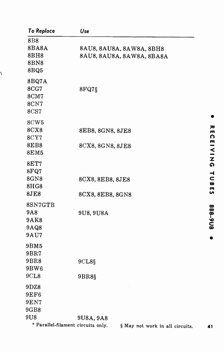| <b>To Replace</b>                                                       | Use                                  |                                                       |                                                       |
|-------------------------------------------------------------------------|--------------------------------------|-------------------------------------------------------|-------------------------------------------------------|
| <b>8B8</b><br><b>8BA8A</b><br><b>8BH8</b><br><b>8BN8</b><br>8BQ5        |                                      | 8AU8, 8AU8A, 8AW8A, 8BH8<br>8AU8, 8AU8A, 8AW8A, 8BA8A |                                                       |
| 8BQ7A<br><b>8CG7</b><br><b>8CM7</b><br><b>8CN7</b><br><b>8CS7</b>       | <b>8FQ7§</b>                         |                                                       |                                                       |
| <b>8CW5</b><br><b>8CX8</b><br><b>8CY7</b><br><b>8EB8</b><br><b>8EM5</b> | 8EB8, 8GN8, 8JE8<br>8CX8, 8GN8, 8JE8 |                                                       | ≂<br>m<br>ი<br>$\frac{1}{2}$                          |
| <b>8ET7</b><br><b>8FQ7</b><br><b>8GN8</b><br><b>8HG8</b><br><b>8JE8</b> | 8CX8, 8EB8, 8JE8<br>8CX8, 8EB8, 8GN8 |                                                       | Z<br>$\overline{\mathbf{o}}$<br>⊣<br>C<br>œ<br>m<br>n |
| 8SN7GTB<br>9A8<br><b>9AK8</b><br>9AQ8<br>9AU7                           | 9U8, 9U8A                            |                                                       | 806-908                                               |
| 9BM5<br><b>9BR7</b><br><b>9BR8</b><br>9BW6<br>9CL8                      | 9CL8§<br>9BR8§                       |                                                       |                                                       |
| 9DZ8<br>9EF6<br>9EN7<br><b>9GB8</b><br>9U8                              | 9U8A, 9A8                            |                                                       |                                                       |
|                                                                         | * Parallel-filament circuits only.   | § May not work in all circuits.                       | 41.                                                   |

١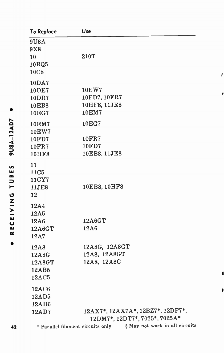| <b>To Replace</b> | Use                                                                   |
|-------------------|-----------------------------------------------------------------------|
| 9U8A              |                                                                       |
| 9X8               |                                                                       |
| 10                | 210T                                                                  |
| 10BQ5             |                                                                       |
| <b>10C8</b>       |                                                                       |
| 10DA7             |                                                                       |
| 10DE7             | 10EW7                                                                 |
| 10DR7             | 10FD7, 10FR7                                                          |
| 10EB8             | 10HF8, 11JE8                                                          |
| 10EG7             | 10EM7                                                                 |
| 10EM7             | 10EG7                                                                 |
| 10EW7             |                                                                       |
| 10FD7             | 10FR7                                                                 |
| 10FR7             | 10FD7                                                                 |
| <b>10HF8</b>      | 10EB8, 11JE8                                                          |
| 11                |                                                                       |
| 11C <sub>5</sub>  |                                                                       |
| 11CY7             |                                                                       |
| 11JE8             | 10EB8, 10HF8                                                          |
| 12                |                                                                       |
| 12A4              |                                                                       |
| 12A5              |                                                                       |
| 12A6              | 12A6GT                                                                |
| 12A6GT            | 12A6                                                                  |
| 12A7              |                                                                       |
| 12A8              | 12A8G, 12A8GT                                                         |
| 12A8G             | 12A8, 12A8GT                                                          |
| 12A8GT            | 12A8, 12A8G                                                           |
| 12AB5             |                                                                       |
| 12AC5             |                                                                       |
| <b>12AC6</b>      |                                                                       |
| 12AD5             |                                                                       |
| 12AD6             |                                                                       |
| 12AD7             | 12AX7*, 12AX7A*, 12BZ7*, 12DF7*,                                      |
|                   | 12DM7*, 12DT7*, 7025*, 7025A*                                         |
|                   | § May not work in all circuits.<br>* Parallel-filament circuits only. |

ò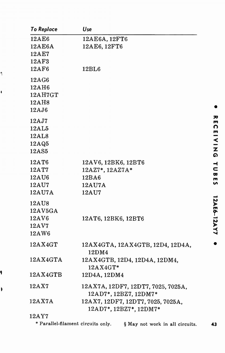| To Replace                                                      | Use                                                                       |
|-----------------------------------------------------------------|---------------------------------------------------------------------------|
| 12AE6<br><b>12AE6A</b><br><b>12AE7</b><br>12AF3                 | 12AE6A, 12FT6<br>12AE6, 12FT6                                             |
| 12AF6                                                           | 12BL6                                                                     |
| 12AG6<br>12AH6<br>12AH7GT<br><b>12AH8</b><br>12AJ6              |                                                                           |
| 12AJ7<br>12AL5<br><b>12AL8</b><br>12AQ5<br>12AS5                |                                                                           |
| 12AT6<br>12AT7<br><b>12AU6</b><br><b>12AU7</b><br><b>12AU7A</b> | 12AV6, 12BK6, 12BT6<br>12AZ7*, 12AZ7A*<br>12BA6<br><b>12AU7A</b><br>12AU7 |
| <b>12AU8</b><br><b>12AV5GA</b><br>12AV6<br>12AV7<br>12AW6       | 12AT6, 12BK6, 12BT6                                                       |
| 12AX4GT                                                         | 12AX4GTA, 12AX4GTB, 12D4, 12D4A,<br>12DM4                                 |
| 12A X 4G TA                                                     | 12AX4GTB, 12D4, 12D4A, 12DM4,<br>12AX4GT*                                 |
| 12AX4GTB                                                        | 12D4A, 12DM4                                                              |
| 12AX7                                                           | 12AX7A, 12DF7, 12DT7, 7025, 7025A,<br>12AD7*, 12BZ7, 12DM7*               |
| 12AX7A                                                          | 12AX7, 12DF7, 12DT7, 7025, 7025A,<br>12AD7*, 12BZ7*, 12DM7*               |
| 10ATH                                                           |                                                                           |

12AY7

۹

 $\ddot{\phantom{a}}$ 

ŧ

Ì

\* Parallel-filament circuits only. § May not work in all circuits. 43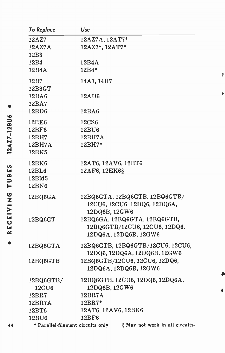| To Replace    | Use                                                                   |
|---------------|-----------------------------------------------------------------------|
| 12AZ7         | 12AZ7A, 12AT7*                                                        |
| 12AZ7A        | 12AZ7*, 12AT7*                                                        |
| 12B3          |                                                                       |
| 12B4          | 12B4A                                                                 |
| 12B4A         | $12B4*$                                                               |
| 12B7          | 14A7, 14H7                                                            |
| 12B8GT        |                                                                       |
| 12BA6         | 12AU6                                                                 |
| 12BA7         |                                                                       |
| 12BD6         | 12BA6                                                                 |
| 12BE6         | 12CS6                                                                 |
| 12BF6         | 12BU6                                                                 |
| 12BH7         | 12BH7A                                                                |
| 12BH7A        | 12BH7*                                                                |
| 12BK5         |                                                                       |
| 12BK6         | 12AT6, 12AV6, 12BT6                                                   |
| 12BL6         | 12AF6, 12EK6§                                                         |
| 12BM5         |                                                                       |
| 12BN6         |                                                                       |
| 12BQ6GA       | 12BQ6GTA, 12BQ6GTB, 12BQ6GTB/                                         |
|               | 12CU6, 12CU6, 12DQ6, 12DQ6A,                                          |
|               | 12DQ6B, 12GW6                                                         |
| 12BQ6GT       | 12BQ6GA, 12BQ6GTA, 12BQ6GTB,                                          |
|               | 12BQ6GTB/12CU6, 12CU6, 12DQ6,                                         |
|               | 12DQ6A, 12DQ6B, 12GW6                                                 |
| 12BQ6GTA      | 12BQ6GTB, 12BQ6GTB/12CU6, 12CU6,                                      |
|               | 12DQ6, 12DQ6A, 12DQ6B, 12GW6                                          |
| 12BQ6GTB      | 12BQ6GTB/12CU6, 12CU6, 12DQ6,                                         |
|               | 12DQ6A, 12DQ6B, 12GW6                                                 |
| 12BQ6GTB/     | 12BQ6GTB, 12CU6, 12DQ6, 12DQ6A,                                       |
| <b>12CU6</b>  | 12DQ6B, 12GW6                                                         |
| 12BR7         | 12BR7A                                                                |
| <b>12BR7A</b> | 12BR7*                                                                |
| 12BT6         | 12AT6, 12AV6, 12BK6                                                   |
| 12BU6         | 12BF6                                                                 |
|               | § May not work in all circuits.<br>* Parallel-filament circuits only. |

4

 $\mathbf{r}$ 

 $\bullet$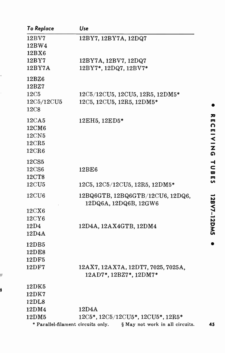| <b>To Replace</b> | Use                                                                   |                          |
|-------------------|-----------------------------------------------------------------------|--------------------------|
| 12BV7             | 12BY7, 12BY7A, 12DQ7                                                  |                          |
| 12BW4             |                                                                       |                          |
| 12BX6             |                                                                       |                          |
| 12BY7             | 12BY7A, 12BV7, 12DQ7                                                  |                          |
| 12BY7A            | 12BY7*, 12DQ7, 12BV7*                                                 |                          |
| 12BZ6             |                                                                       |                          |
| 12BZ7             |                                                                       |                          |
| <b>12C5</b>       | 12C5/12CU5, 12CU5, 12R5, 12DM5*                                       |                          |
| 12C5/12CU5        | 12C5, 12CU5, 12R5, 12DM5*                                             |                          |
| 12C8              |                                                                       | ≂                        |
| 12CA5             | 12EH5, 12ED5*                                                         | m                        |
| 12CM6             |                                                                       | ი<br>m                   |
| <b>12CN5</b>      |                                                                       | $\bar{\le}$              |
| $_{\rm 12CR5}$    |                                                                       |                          |
| 12CR6             |                                                                       | $\bar{\mathbf{z}}$<br>ົດ |
| 12CS5             |                                                                       | $\overline{\phantom{a}}$ |
| <b>12CS6</b>      | 12BE6                                                                 | $\blacksquare$           |
| <b>12CT8</b>      |                                                                       | Ø<br>m                   |
| <b>12CU5</b>      | 12C5, 12C5/12CU5, 12R5, 12DM5*                                        | S                        |
| <b>12CU6</b>      | 12BQ6GTB, 12BQ6GTB/12CU6, 12DQ6,<br>12DQ6A, 12DQ6B, 12GW6             | 12BV7-12DM5              |
| 12CX6             |                                                                       |                          |
| $12{\rm CY6}$     |                                                                       |                          |
| 12D4              | 12D4A, 12AX4GTB, 12DM4                                                |                          |
| 12D4A             |                                                                       |                          |
| 12DB5             |                                                                       |                          |
| <b>12DE8</b>      |                                                                       |                          |
| 12DF5             |                                                                       |                          |
| 12DF7             | 12AX7, 12AX7A, 12DT7, 7025, 7025A,                                    |                          |
|                   | 12AD7*, 12BZ7*, 12DM7*                                                |                          |
| 12DK5             |                                                                       |                          |
| 12DK7             |                                                                       |                          |
| 12DL8             |                                                                       |                          |
| 12DM4             | 12D4A                                                                 |                          |
| 12DM5             | 12C5*, 12C5/12CU5*, 12CU5*, 12R5*                                     |                          |
|                   | § May not work in all circuits.<br>* Parallel-filament circuits only. | 45                       |

ij

ł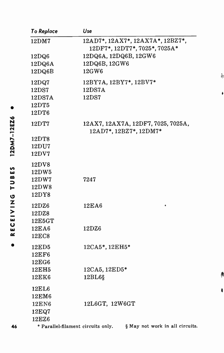| To Replace        | Use                                                                   |
|-------------------|-----------------------------------------------------------------------|
| 12DM7             | 12AD7*, 12AX7*, 12AX7A*, 12BZ7*,<br>12DF7*, 12DT7*, 7025*, 7025A*     |
| 12DQ6             | 12DQ6A, 12DQ6B, 12GW6                                                 |
| 12DQ6A            | 12DQ6B, 12GW6                                                         |
| 12DQ6B            | 12GW <sub>6</sub>                                                     |
| 12DQ7             | 12BY7A, 12BY7*, 12BV7*                                                |
| 12DS7             | 12DS7A                                                                |
| <b>12DS7A</b>     | 12DS7                                                                 |
| 12DT5             |                                                                       |
| 12DT6             |                                                                       |
| 12DT7             | 12AX7, 12AX7A, 12DF7, 7025, 7025A,<br>12AD7*, 12BZ7*, 12DM7*          |
| 12DT8             |                                                                       |
| 12DU7             |                                                                       |
| 12DV7             |                                                                       |
| 12DV8             |                                                                       |
| 12DW <sub>5</sub> |                                                                       |
| 12DW7             | 7247                                                                  |
| 12DW8             |                                                                       |
| 12DY8             |                                                                       |
| 12DZ6             | 12EA6                                                                 |
| 12DZ8             |                                                                       |
| 12E5GT            |                                                                       |
| 12EA6             | 12DZ6                                                                 |
| <b>12EC8</b>      |                                                                       |
| 12ED5             | 12CA5*, 12EH5*                                                        |
| <b>12EF6</b>      |                                                                       |
| 12EG6             |                                                                       |
| 12EH5             | 12CA5, 12ED5*                                                         |
| 12EK6             | 12BL6§                                                                |
| <b>12EL6</b>      |                                                                       |
| 12EM6             |                                                                       |
| <b>12EN6</b>      | 12L6GT, 12W6GT                                                        |
| 12EQ7             |                                                                       |
| 12EZ6             |                                                                       |
|                   | § May not work in all circuits.<br>* Parallel-filament circuits only. |
|                   |                                                                       |

o

I

à

 $\bullet$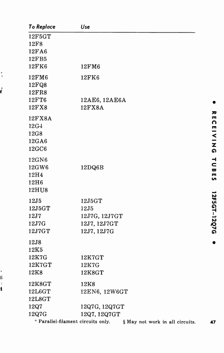| To Replace       | Use                                                                   |              |
|------------------|-----------------------------------------------------------------------|--------------|
| 12F5GT           |                                                                       |              |
| <b>12F8</b>      |                                                                       |              |
| 12FA6            |                                                                       |              |
| 12FB5            |                                                                       |              |
| 12FK6            | 12FM6                                                                 |              |
| 12FM6            | 12FK6                                                                 |              |
| <b>12FQ8</b>     |                                                                       |              |
| <b>12FR8</b>     |                                                                       |              |
| <b>12FT6</b>     | 12AE6, 12AE6A                                                         |              |
| <b>12FX8</b>     | <b>12FX8A</b>                                                         | 70           |
| 12FX8A           |                                                                       | m            |
| 12G4             |                                                                       | C            |
| <b>12G8</b>      |                                                                       | <b>FIXIZ</b> |
| 12GA6            |                                                                       |              |
| <b>12GC6</b>     |                                                                       | <u>ດ</u>     |
| 12GN6            |                                                                       | ⊣            |
| 12GW6            | 12DQ6B                                                                | $\mathbf{C}$ |
| 12H4             |                                                                       | æ<br>м       |
| 12H <sub>6</sub> |                                                                       | S            |
| 12HU8            |                                                                       |              |
| 12J5             | 12J5GT                                                                | 12F5GT-12Q7G |
| 12J5GT           | 12J5                                                                  |              |
| 12J7             | 12J7G, 12J7GT                                                         |              |
| 12J7G            | 12J7, 12J7GT                                                          |              |
| 12J7GT           | 12J7, 12J7G                                                           |              |
| 12J8             |                                                                       |              |
| 12K5             |                                                                       |              |
| 12K7G            | <b>12K7GT</b>                                                         |              |
| <b>12K7GT</b>    | <b>12K7G</b>                                                          |              |
| 12K8             | <b>12K8GT</b>                                                         |              |
| <b>12K8GT</b>    | 12K8                                                                  |              |
| <b>12L6GT</b>    | 12EN6, 12W6GT                                                         |              |
| <b>12L8GT</b>    |                                                                       |              |
| 12Q7             | 12Q7G, 12Q7GT                                                         |              |
| 12Q7G            | 12Q7, 12Q7GT                                                          |              |
|                  | * Parallel-filament circuits only.<br>§ May not work in all circuits. | 47           |

 $\frac{1}{2}$ こうこうし j j •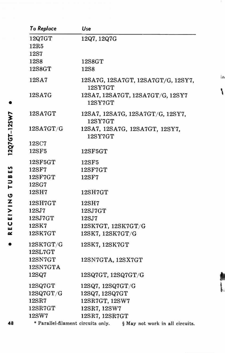| <b>To Replace</b>           | Use                                                                |    |
|-----------------------------|--------------------------------------------------------------------|----|
| 12Q7GT                      | 12Q7, 12Q7G                                                        |    |
| 12R5                        |                                                                    |    |
| <b>12S7</b>                 |                                                                    |    |
| <b>12S8</b>                 | 12S8GT                                                             |    |
| <b>12S8GT</b>               | <b>12S8</b>                                                        |    |
| 12SA7                       | 12SA7G, 12SA7GT, 12SA7GT/G, 12SY7,<br>12SY7GT                      | ίø |
| <b>12SA7G</b>               | 12SA7, 12SA7GT, 12SA7GT/G, 12SY7<br><b>12SY7GT</b>                 | ١  |
| 12SA7GT                     | 12SA7, 12SA7G, 12SA7GT/G, 12SY7,<br>12SY7GT                        |    |
| 12SATGT/G                   | 12SA7, 12SA7G, 12SA7GT, 12SY7,<br><b>12SY7GT</b>                   |    |
| 12SC7                       |                                                                    |    |
| 12SF5                       | <b>12SF5GT</b>                                                     |    |
| 12SF5GT                     | 12SF5                                                              |    |
| 12SF7                       | <b>12SF7GT</b>                                                     |    |
| <b>12SF7GT</b>              | <b>12SF7</b>                                                       |    |
| <b>12SG7</b>                |                                                                    |    |
| 12SH7                       | <b>12SH7GT</b>                                                     |    |
| <b>12SH7GT</b>              | <b>12SH7</b>                                                       |    |
| 12SJ7                       | <b>12SJ7GT</b>                                                     |    |
| 12SJ7GT                     | 12SJ7                                                              |    |
| <b>12SK7</b>                | 12SK7GT, 12SK7GT/G                                                 |    |
| <b>12SK7GT</b>              | 12SK7, 12SK7GT/G                                                   |    |
| 12SK7GT/G<br><b>12SL7GT</b> | 12SK7, 12SK7GT                                                     |    |
| <b>12SN7GT</b>              | 12SN7GTA, 12SX7GT                                                  |    |
| 12SN7GTA                    |                                                                    |    |
| 12SQ7                       | 12SQ7GT, 12SQ7GT/G                                                 |    |
| 12SQ7GT                     | 12SQ7, 12SQ7GT/G                                                   |    |
| 12SQ7GT/G                   | 12SQ7, 12SQ7GT                                                     |    |
| <b>12SR7</b>                | 12SR7GT, 12SW7                                                     |    |
| <b>12SR7GT</b>              | 12SR7, 12SW7                                                       |    |
| <b>12SW7</b>                | 12SR7, 12SR7GT                                                     |    |
|                             | * Parallel-filament circuits only. § May not work in all circuits. |    |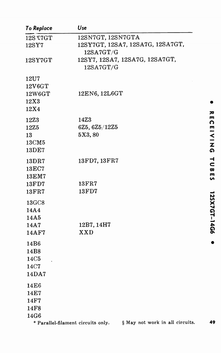| <b>To Replace</b> | Use                                |                                  |                               |
|-------------------|------------------------------------|----------------------------------|-------------------------------|
| 12S X7GT          | 12SN7GT, 12SN7GTA                  |                                  |                               |
| 12SY7             | 12SA7GT/G                          | 12SY7GT, 12SA7, 12SA7G, 12SA7GT, |                               |
| <b>12SY7GT</b>    | 12SA7GT/G                          | 12SY7, 12SA7, 12SA7G, 12SA7GT,   |                               |
| 12U7<br>12V6GT    |                                    |                                  |                               |
| 12W6GT<br>12X3    | 12EN6, 12L6GT                      |                                  |                               |
| 12X4              |                                    |                                  | 刀                             |
| 12Z3              | 14Z3                               |                                  | m<br>C                        |
| 12Z5              | 6Z5, 6Z5/12Z5                      |                                  |                               |
| 13                | 5X3,80                             |                                  | <b>n</b> 1<1                  |
| 13CM5             |                                    |                                  |                               |
| 13DE7             |                                    |                                  | <u>ဂ</u>                      |
| 13DR7             | 13FD7, 13FR7                       |                                  | $\overline{\phantom{0}}$<br>C |
| <b>13EC7</b>      |                                    |                                  | æ                             |
| 13EM7             |                                    |                                  | m<br>S                        |
| 13FD7             | <b>13FR7</b>                       |                                  |                               |
| <b>13FR7</b>      | 13FD7                              |                                  |                               |
| 13GC8             |                                    |                                  | 125X7GT-14G6                  |
| 14A4              |                                    |                                  |                               |
| 14A5              |                                    |                                  |                               |
| 14A7              | 12B7, 14H7                         |                                  |                               |
| 14AF7             | XXD                                |                                  |                               |
| 14B6              |                                    |                                  |                               |
| 14B8              |                                    |                                  |                               |
| 14C5              |                                    |                                  |                               |
| <b>14C7</b>       |                                    |                                  |                               |
| 14DA7             |                                    |                                  |                               |
| 14E6              |                                    |                                  |                               |
| 14E7              |                                    |                                  |                               |
| <b>14F7</b>       |                                    |                                  |                               |
| 14F8              |                                    |                                  |                               |
| 14G6              |                                    |                                  |                               |
|                   | * Parallel-filament circuits only. | § May not work in all circuits.  | 49                            |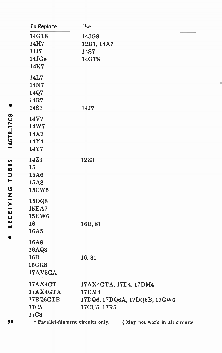|                  | <b>To Replace</b> | Use                                                                   |
|------------------|-------------------|-----------------------------------------------------------------------|
|                  | 14GT8             | 14JG8                                                                 |
|                  | 14H7              | 12B7, 14A7                                                            |
|                  | 14J7              | 14S7                                                                  |
|                  | 14JG8             | 14GT8                                                                 |
|                  | 14K7              |                                                                       |
|                  | 14L7              |                                                                       |
|                  | 14N7              |                                                                       |
|                  | 14Q7              |                                                                       |
|                  | 14R7              |                                                                       |
|                  | 14S7              | 14J7                                                                  |
| 14GT8-17C8       | 14V7              |                                                                       |
|                  | 14W7              |                                                                       |
|                  | 14X7              |                                                                       |
|                  | 14Y4              |                                                                       |
|                  | 14Y7              |                                                                       |
|                  | 14Z3              | 12Z3                                                                  |
|                  | 15                |                                                                       |
| TUBES            | 15A6              |                                                                       |
|                  | 15A8              |                                                                       |
| <b>RECEIVING</b> | 15CW5             |                                                                       |
|                  | 15DQ8             |                                                                       |
|                  | 15EA7             |                                                                       |
|                  | 15EW6             |                                                                       |
|                  | 16                | 16B, 81                                                               |
|                  | 16A5              |                                                                       |
| $\bullet$        | 16A8              |                                                                       |
|                  | 16AQ3             |                                                                       |
|                  | 16B               | 16,81                                                                 |
|                  | <b>16GK8</b>      |                                                                       |
|                  | 17AV5GA           |                                                                       |
|                  | 17AX4GT           | 17AX4GTA, 17D4, 17DM4                                                 |
|                  | 17AX4GTA          | 17DM4                                                                 |
|                  | 17BQ6GTB          | 17DQ6, 17DQ6A, 17DQ6B, 17GW6                                          |
|                  | <b>17C5</b>       | 17CU5, 17R5                                                           |
|                  | <b>17C8</b>       |                                                                       |
| 50               |                   | * Parallel-filament circuits only.<br>§ May not work in all circuits. |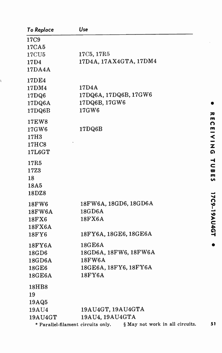| <b>To Replace</b>     | Use                                                                   |                                  |
|-----------------------|-----------------------------------------------------------------------|----------------------------------|
| <b>17C9</b>           |                                                                       |                                  |
| 17CA5<br><b>17CU5</b> | 17C5, 17R5                                                            |                                  |
| 17D4                  | 17D4A, 17AX4GTA, 17DM4                                                |                                  |
| 17DA4A                |                                                                       |                                  |
|                       |                                                                       |                                  |
| 17DE4                 |                                                                       |                                  |
| 17DM4                 | 17D4A                                                                 |                                  |
| 17DQ6                 | 17DQ6A, 17DQ6B, 17GW6                                                 |                                  |
| 17DQ6A                | 17DQ6B, 17GW6                                                         |                                  |
| 17DQ6B                | 17GW6                                                                 | ᅎ                                |
| <b>17EW8</b>          |                                                                       | m<br>ი                           |
| 17GW6                 | 17DQ6B                                                                |                                  |
| 17H <sub>3</sub>      |                                                                       | m <sub>1</sub><br>V <sub>1</sub> |
| 17HC8                 |                                                                       |                                  |
| 17L6GT                |                                                                       | 6                                |
| 17R5                  |                                                                       | $\overline{\phantom{0}}$         |
| 17Z3                  |                                                                       | C<br>œ                           |
| 18                    |                                                                       | m<br>n                           |
| 18A5                  |                                                                       |                                  |
| 18DZ8                 |                                                                       |                                  |
| 18FW6                 | 18FW6A, 18GD6, 18GD6A                                                 | <b>17C9-19AU4GT</b>              |
| 18FW6A                | 18GD6A                                                                |                                  |
| 18FX6                 | 18FX6A                                                                |                                  |
| 18FX6A                |                                                                       |                                  |
| 18FY6                 | 18FY6A, 18GE6, 18GE6A                                                 |                                  |
| 18FY6A                | <b>18GE6A</b>                                                         |                                  |
| 18GD6                 | 18GD6A, 18FW6, 18FW6A                                                 |                                  |
| 18GD6A                | 18FW6A                                                                |                                  |
| 18GE6                 | 18GE6A, 18FY6, 18FY6A                                                 |                                  |
| <b>18GE6A</b>         | 18FY6A                                                                |                                  |
| <b>18HB8</b>          |                                                                       |                                  |
| 19                    |                                                                       |                                  |
| 19AQ5                 |                                                                       |                                  |
| 19AU4                 | 19AU4GT, 19AU4GTA                                                     |                                  |
| 19AU4GT               | 19AU4, 19AU4GTA                                                       |                                  |
|                       | § May not work in all circuits.<br>* Parallel-filament circuits only. | 51                               |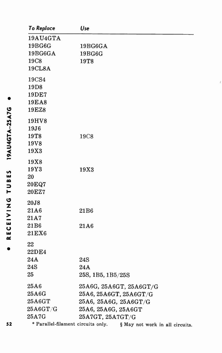| <b>To Replace</b> | Use                                                                   |
|-------------------|-----------------------------------------------------------------------|
| 19AU4GTA          |                                                                       |
| 19BG6G            | 19BG6GA                                                               |
| 19BG6GA           | 19BG6G                                                                |
| <b>19C8</b>       | 19T8                                                                  |
| <b>19CL8A</b>     |                                                                       |
| 19CS4             |                                                                       |
| 19D8              |                                                                       |
| 19DE7             |                                                                       |
| <b>19EA8</b>      |                                                                       |
| 19EZ8             |                                                                       |
| 19HV8             |                                                                       |
| 19J6              |                                                                       |
| 19T8              | <b>19C8</b>                                                           |
| 19V8              |                                                                       |
| 19X3              |                                                                       |
| 19X8              |                                                                       |
| 19Y3              | 19X3                                                                  |
| 20                |                                                                       |
| 20EQ7             |                                                                       |
| 20EZ7             |                                                                       |
| <b>20J8</b>       |                                                                       |
| 21A6              | 21B6                                                                  |
| 21A7              |                                                                       |
| 21B6              | <b>21A6</b>                                                           |
| 21EX6             |                                                                       |
| 22                |                                                                       |
| <b>22DE4</b>      |                                                                       |
| 24A               | <b>24S</b>                                                            |
| <b>24S</b>        | 24A                                                                   |
| 25                | 25S, 1B5, 1B5/25S                                                     |
| 25A6              | 25A6G, 25A6GT, 25A6GT/G                                               |
| 25A6G             | 25A6, 25A6GT, 25A6GT/G                                                |
| 25A6GT            | 25A6, 25A6G, 25A6GT/G                                                 |
| 25A6GT/G          | 25A6, 25A6G, 25A6GT                                                   |
| <b>25A7G</b>      | 25A7GT, 25A7GT/G                                                      |
|                   | * Parallel-filament circuits only.<br>§ May not work in all circuits. |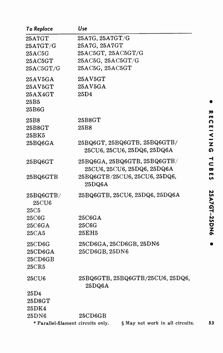| <b>To Replace</b>                  | Use                                                         |                     |
|------------------------------------|-------------------------------------------------------------|---------------------|
| 25A7GT                             | 25A7G, 25A7GT/G                                             |                     |
| 25A7GT/G                           | 25A7G, 25A7GT                                               |                     |
| <b>25AC5G</b>                      | 25AC5GT, 25AC5GT/G                                          |                     |
| 25AC5GT                            | 25AC5G, 25AC5GT/G                                           |                     |
| 25AC5GT/G                          | 25AC5G, 25AC5GT                                             |                     |
| $25\mathrm{AV5GA}$                 | 25AV5GT                                                     |                     |
| 25AV5GT                            | 25AV5GA                                                     |                     |
| 25AX4GT                            | 25D4                                                        |                     |
| 25B5                               |                                                             |                     |
| $25{\rm B6G}$                      |                                                             | ≂                   |
| 25B8                               | 25B8GT                                                      | m<br>n              |
| <b>25B8GT</b>                      | 25 <sub>B</sub> 8                                           | m                   |
| 25BK5                              |                                                             | $\bar{\le}$         |
| 25BQ6GA                            | 25BQ6GT, 25BQ6GTB, 25BQ6GTB/<br>25CU6, 25CU6, 25DQ6, 25DQ6A | Z<br>໑              |
| 25BQ6GT                            | 25BQ6GA, 25BQ6GTB, 25BQ6GTB/<br>25CU6, 25CU6, 25DQ6, 25DQ6A | ᅴ<br>C<br>æ         |
| 25BQ6GTB                           | 25BQ6GTB/25CU6, 25CU6, 25DQ6,<br>25DQ6A                     | М<br>n              |
| 25BQ6GTB/<br><b>25CU6</b>          | 25BQ6GTB, 25CU6, 25DQ6, 25DQ6A                              | <b>25A7GT-25DN6</b> |
| 25C5                               |                                                             |                     |
| 25C6G                              | 25C6GA                                                      |                     |
| 25C6GA<br>25CA5                    | 25C6G<br><b>25EH5</b>                                       |                     |
|                                    |                                                             |                     |
| $25\mathrm{CD}6\mathrm{G}$         | 25CD6GA, 25CD6GB, 25DN6                                     |                     |
| 25CD6GA                            | 25CD6GB, 25DN6                                              |                     |
| <b>25CD6GB</b>                     |                                                             |                     |
| 25CR5                              |                                                             |                     |
| <b>25CU6</b>                       | 25BQ6GTB, 25BQ6GTB/25CU6, 25DQ6,<br>25DQ6A                  |                     |
| 25D4<br>25D8GT                     |                                                             |                     |
| 25DK4                              |                                                             |                     |
| 25DN6                              | <b>25CD6GB</b>                                              |                     |
| * Parallel-filament circuits only. | § May not work in all circuits.                             | 53                  |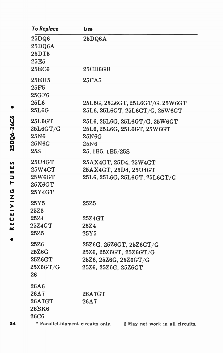|            | <b>To Replace</b> | Use                                                                   |
|------------|-------------------|-----------------------------------------------------------------------|
|            | 25DQ6             | 25DQ6A                                                                |
|            | 25DQ6A            |                                                                       |
|            | 25DT5             |                                                                       |
|            | 25E <sub>5</sub>  |                                                                       |
|            | <b>25EC6</b>      | 25C <sub>D6GB</sub>                                                   |
|            | <b>25EH5</b>      | 25CA5                                                                 |
|            | 25F5              |                                                                       |
|            | 25GF6             |                                                                       |
|            | 25L6<br>25L6G     | 25L6G, 25L6GT, 25L6GT/G, 25W6GT<br>25L6, 25L6GT, 25L6GT/G, 25W6GT     |
|            | 25L6GT            | 25L6, 25L6G, 25L6GT/G, 25W6GT                                         |
| 25DQ6-26C6 | 25L6GT/G          | 25L6, 25L6G, 25L6GT, 25W6GT                                           |
|            | 25N6              | 25N6G                                                                 |
|            | 25N6G             | 25N6                                                                  |
|            | $25\mathrm{S}$    | 25, 1B5, 1B5/25S                                                      |
|            | $25\mathtt{U4GT}$ | 25AX4GT, 25D4, 25W4GT                                                 |
| TUBES      | 25W4GT            | 25AX4GT, 25D4, 25U4GT                                                 |
|            | 25W6GT            | 25L6, 25L6G, 25L6GT, 25L6GT/G                                         |
|            | 25X6GT            |                                                                       |
|            | 25Y4GT            |                                                                       |
| RECEIVING  | 25Y5              | 25Z <sub>5</sub>                                                      |
|            | 25Z3              |                                                                       |
|            | 25Z4              | 25Z4GT                                                                |
|            | 25Z4GT            | 25Z4                                                                  |
|            | 25Z5              | 25Y5                                                                  |
| $\bullet$  | <b>25Z6</b>       | 25Z6G, 25Z6GT, 25Z6GT/G                                               |
|            | 25Z6G             | 25Z6, 25Z6GT, 25Z6GT/G                                                |
|            | 25Z6GT            | 25Z6, 25Z6G, 25Z6GT/G                                                 |
|            | 25Z6GT/G          | 25Z6, 25Z6G, 25Z6GT                                                   |
|            | 26                |                                                                       |
|            | <b>26A6</b>       |                                                                       |
|            | 26A7              | 26A7GT                                                                |
|            | 26A7GT            | 26A7                                                                  |
|            | 26BK6             |                                                                       |
|            | <b>26C6</b>       |                                                                       |
| 54         |                   | * Parallel-filament circuits only.<br>§ May not work in all circuits. |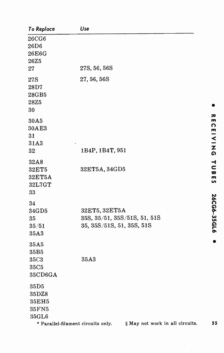| <b>To Replace</b>     | Use                                                                   |                          |
|-----------------------|-----------------------------------------------------------------------|--------------------------|
| $26{\rm CG}6$<br>26D6 |                                                                       |                          |
| 26E6G                 |                                                                       |                          |
| 26Z5                  |                                                                       |                          |
| 27                    | 27S, 56, 56S                                                          |                          |
| 27S                   | 27, 56, 56S                                                           |                          |
| 28D7                  |                                                                       |                          |
| 28GB5                 |                                                                       |                          |
| 28Z5                  |                                                                       |                          |
| 30                    |                                                                       |                          |
| 30A5                  |                                                                       | ᅎ<br>m                   |
| 30AB3                 |                                                                       | $\ddot{\mathbf{o}}$      |
| 31                    |                                                                       |                          |
| 31A3                  |                                                                       |                          |
| 32                    | 1B4P, 1B4T, 951                                                       | <b>FIVIZO</b>            |
| 32A8                  |                                                                       | $\overline{\phantom{0}}$ |
| 32ET5                 | 32ET5A, 34GD5                                                         | $\subset$<br>æ           |
| 32ET5A                |                                                                       | m                        |
| 32L7GT                |                                                                       | n                        |
| 33                    |                                                                       |                          |
| 34                    |                                                                       | 26CG6-35GL6              |
| 34GD5                 | 32ET5, 32ET5A                                                         |                          |
| 35                    | 35S, 35/51, 35S/51S, 51, 51S                                          |                          |
| 35/51                 | 35, 35S/51S, 51, 35S, 51S                                             |                          |
| 35A3                  |                                                                       |                          |
| 35A5                  |                                                                       |                          |
| 35B5                  |                                                                       |                          |
| <b>35C3</b>           | 35A3                                                                  |                          |
| 35C5                  |                                                                       |                          |
| 35CD6GA               |                                                                       |                          |
| 35D5                  |                                                                       |                          |
| 35DZ8                 |                                                                       |                          |
| 35EH5                 |                                                                       |                          |
| 35FN5                 |                                                                       |                          |
| 35GL6                 |                                                                       |                          |
|                       | § May not work in all circuits.<br>* Parallel-filament circuits only. | 55                       |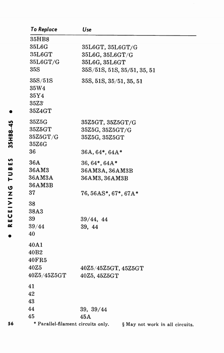|                 | <b>To Replace</b>                                             | Use                             |
|-----------------|---------------------------------------------------------------|---------------------------------|
|                 | 35HB8                                                         |                                 |
|                 | 35L6G                                                         | 35L6GT, 35L6GT/G                |
|                 | 35L6GT                                                        | 35L6G, 35L6GT/G                 |
|                 | 35L6GT/G                                                      | 35L6G, 35L6GT                   |
|                 | 35S                                                           | 35S/51S, 51S, 35/51, 35, 51     |
|                 | 35S/51S<br><b>35W4</b><br>35Y4<br>35Z3 <sup>-</sup><br>35Z4GT | 35S, 51S, 35/51, 35, 51         |
|                 | 35Z5G                                                         | 35Z5GT, 35Z5GT/G                |
|                 | 35Z5GT                                                        | 35Z5G, 35Z5GT/G                 |
| 35HB8-45        | 35Z5GT/G                                                      | 35Z5G, 35Z5GT                   |
|                 | 35Z6G                                                         |                                 |
|                 | 36                                                            | 36A, 64*, 64A*                  |
|                 | 36A                                                           | 36, 64*, 64A*                   |
|                 | 36AM3                                                         | 36AM3A, 36AM3B                  |
| TUBES           | 36AM3A                                                        | 36AM3, 36AM3B                   |
| ပ               | 36AM3B                                                        |                                 |
|                 | 37                                                            | 76, 56AS*, 67*, 67A*            |
| <b>RECEIVIN</b> | 38                                                            |                                 |
|                 | 38A3                                                          |                                 |
|                 | 39                                                            | 39/44, 44                       |
|                 | 39/44                                                         | 39, 44                          |
| $\bullet$       | 40                                                            |                                 |
|                 | 40A1                                                          |                                 |
|                 | 40B <sub>2</sub>                                              |                                 |
|                 | 40FR5                                                         |                                 |
|                 | 40Z5                                                          | 40Z5/45Z5GT, 45Z5GT             |
|                 | 40Z5/45Z5GT                                                   | 40Z5, 45Z5GT                    |
|                 | 41                                                            |                                 |
|                 | 42                                                            |                                 |
|                 | 43                                                            |                                 |
|                 | 44                                                            | 39, 39/44                       |
|                 | 45                                                            | 45A                             |
| 56              | * Parallel-filament circuits only.                            | § May not work in all circuits. |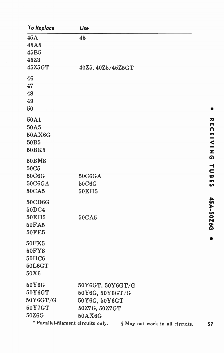| <b>To Replace</b> | Use                                |                                 |                    |
|-------------------|------------------------------------|---------------------------------|--------------------|
| 45A               | 45                                 |                                 |                    |
| 45A5              |                                    |                                 |                    |
| 45B5              |                                    |                                 |                    |
| 45Z <sub>3</sub>  |                                    |                                 |                    |
| 45Z5GT            | 40Z5, 40Z5/45Z5GT                  |                                 |                    |
| 46                |                                    |                                 |                    |
| 47                |                                    |                                 |                    |
| 48                |                                    |                                 |                    |
| 49                |                                    |                                 |                    |
| 50                |                                    |                                 |                    |
| 50A1              |                                    |                                 | ≂                  |
| 50A5              |                                    |                                 | m<br>U             |
| 50AX6G            |                                    |                                 |                    |
| 50B5              |                                    |                                 |                    |
| 50BK5             |                                    |                                 | FIVIZ <sub>0</sub> |
| 50BM8             |                                    |                                 |                    |
| 50C5              |                                    |                                 |                    |
| 50C6G             | 50C6GA                             |                                 | 10B                |
| 50C6GA            | 50C6G                              |                                 | m<br>S             |
| 50CA5             | <b>50EH5</b>                       |                                 |                    |
| 50CD6G            |                                    |                                 |                    |
| 50DC4             |                                    |                                 | <b>45A-50Z6G</b>   |
| <b>50EH5</b>      | 50CA5                              |                                 |                    |
| 50FA5             |                                    |                                 |                    |
| <b>50FE5</b>      |                                    |                                 |                    |
| 50FK5             |                                    |                                 |                    |
| 50FY8             |                                    |                                 |                    |
| 50HC6             |                                    |                                 |                    |
| 50L6GT            |                                    |                                 |                    |
| 50X6              |                                    |                                 |                    |
| 50Y6G             | 50Y6GT, 50Y6GT/G                   |                                 |                    |
| 50Y6GT            | 50Y6G, 50Y6GT/G                    |                                 |                    |
| 50Y6GT/G          | 50Y6G, 50Y6GT                      |                                 |                    |
| 50Y7GT            | 50Z7G, 50Z7GT                      |                                 |                    |
| 50Z6G             | 50AX6G                             |                                 |                    |
|                   | * Parallel-filament circuits only. | § May not work in all circuits. | 57                 |

.<br>M<br>M<br>M  $\sim$ Z GI —I C 5:0 rn col •

•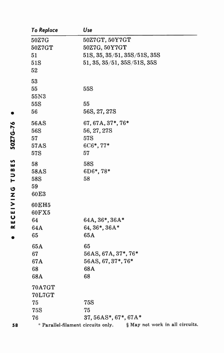|              | To Replace    | Use                                                                   |
|--------------|---------------|-----------------------------------------------------------------------|
|              | 50Z7G         | 50Z7GT, 50Y7GT                                                        |
|              | 50Z7GT        | 50Z7G, 50Y7GT                                                         |
|              | 51            | 51S, 35, 35/51, 35S/51S, 35S                                          |
|              | 51S           | 51, 35, 35/51, 35S/51S, 35S                                           |
|              | 52            |                                                                       |
|              | 53            |                                                                       |
|              | 55            | 55S                                                                   |
|              | 55N3          |                                                                       |
|              | 55S           | 55                                                                    |
|              | 56            | 56S, 27, 27S                                                          |
|              | 56AS          | 67, 67A, 37*, 76*                                                     |
| 50Z7G-76     | 56S           | 56, 27, 27S                                                           |
|              | 57            | 57S                                                                   |
|              | 57AS          | $6C6, 77$ *                                                           |
|              | 57S           | 57                                                                    |
|              | 58            | 58S                                                                   |
| <b>TUBES</b> | 58AS          | 6D6*, 78*                                                             |
|              | 58S           | 58                                                                    |
|              | 59            |                                                                       |
| ECEIVING     | 60E3          |                                                                       |
|              | 60EH5         |                                                                       |
|              | 60FX5         |                                                                       |
|              | 64            | 64A, 36*, 36A*                                                        |
| œ            | 64A           | 64, 36*, 36A*                                                         |
|              | 65            | 65A                                                                   |
|              | 65A           | 65                                                                    |
|              | 67            | 56AS, 67A, 37*, 76*                                                   |
|              | 67A           | 56AS, 67, 37*, 76*                                                    |
|              | 68            | 68A                                                                   |
|              | 68A           | 68                                                                    |
|              | <b>70A7GT</b> |                                                                       |
|              | <b>70L7GT</b> |                                                                       |
|              | 75            | 75S                                                                   |
|              | 75S           | 75                                                                    |
|              | 76            | 37, 56AS*, 67*, 67A*                                                  |
| 58           |               | § May not work in all circuits.<br>* Parallel-filament circuits only. |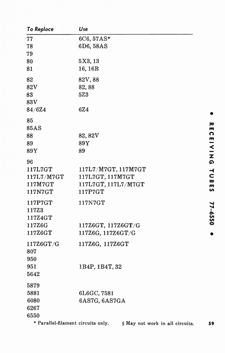| <b>To Replace</b> | Use                                                                   |               |
|-------------------|-----------------------------------------------------------------------|---------------|
| 77                | 6C6, 57AS*                                                            |               |
| 78                | 6D6, 58AS                                                             |               |
| 79                |                                                                       |               |
| 80                | 5X3, 13                                                               |               |
| 81                | 16, 16B                                                               |               |
| 82                | 82V, 88                                                               |               |
| <b>82V</b>        | 82,88                                                                 |               |
| 83                | 5Z3                                                                   |               |
| 83V               |                                                                       |               |
| 84/6Z4            | <b>6Z4</b>                                                            |               |
| 85                |                                                                       | ᅎ             |
| <b>85AS</b>       |                                                                       | m             |
| 88                | 82, 82V                                                               | ი             |
| 89                | 89 Y                                                                  |               |
| 89Y               | 89                                                                    |               |
| 96                |                                                                       | <b>FIVIZO</b> |
| 117L7GT           | 117L7/M7GT, 117M7GT                                                   | ᅴ             |
| 117L7/M7GT        | 117L7GT, 117M7GT                                                      | C             |
| 117M7GT           | 117L7GT, 117L7/M7GT                                                   | æ<br>m        |
| 117N7GT           | 117P7GT                                                               | S             |
| 117P7GT           | 117N7GT                                                               |               |
| 117Z3             |                                                                       | 77-6550       |
| 117Z4GT           |                                                                       |               |
| 117Z6G            | 117Z6GT, 117Z6GT/G                                                    |               |
| 117Z6GT           | 117Z6G, 117Z6GT/G                                                     |               |
| 117Z6GT/G         | 117Z6G, 117Z6GT                                                       |               |
| 807               |                                                                       |               |
| 950               |                                                                       |               |
| 951               | 1B4P, 1B4T, 32                                                        |               |
| 5642              |                                                                       |               |
| 5879              |                                                                       |               |
| 5881              | 6L6GC, 7581                                                           |               |
| 6080              | 6AS7G, 6AS7GA                                                         |               |
| 6267              |                                                                       |               |
| 6550              |                                                                       |               |
|                   | * Parallel-filament circuits only.<br>§ May not work in all circuits. | 59            |

•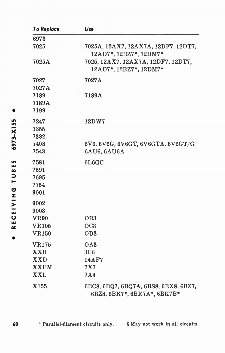|                            | <b>To Replace</b>                                              | Use                                                                 |
|----------------------------|----------------------------------------------------------------|---------------------------------------------------------------------|
|                            | 6973                                                           |                                                                     |
|                            | 7025                                                           | 7025A, 12AX7, 12AX7A, 12DF7, 12DT7,<br>12AD7*, 12BZ7*, 12DM7*       |
|                            | 7025A                                                          | 7025, 12AX7, 12AX7A, 12DF7, 12DT7,<br>12AD7*, 12BZ7*, 12DM7*        |
|                            | 7027<br>7027A                                                  | 7027A                                                               |
|                            | 7189<br>7189A<br>7199                                          | 7189A                                                               |
| 6973-X155                  | 7247<br>7355<br>7382                                           | 12DW7                                                               |
|                            | 7408<br>7543                                                   | 6V6, 6V6G, 6V6GT, 6V6GTA, 6V6GT/G<br>6AU6, 6AU6A                    |
| ហ<br>ய<br>n<br>D<br>D<br>v | 7581<br>7591<br>7695<br>7754<br>9001                           | 6L6GC                                                               |
| <b>ZVINDE</b>              | 9002<br>9003                                                   |                                                                     |
| œ                          | <b>VR90</b><br><b>VR105</b><br><b>VR150</b>                    | OB <sub>3</sub><br>OC3<br>OD <sub>3</sub>                           |
|                            | <b>VR175</b><br>XXB<br><b>XXD</b><br><b>XXFM</b><br><b>XXL</b> | OA <sub>3</sub><br>3C6<br>14AF7<br><b>7X7</b><br><b>7A4</b>         |
|                            | X155                                                           | 6BC8, 6BQ7, 6BQ7A, 6BS8, 6BX8, 6BZ7,<br>6BZ8, 6BK7*, 6BK7A*, 6BK7B* |

•

60 \* Parallel-filament circuits only. § May not work in all circuits.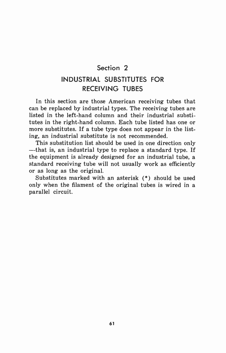## Section 2

## INDUSTRIAL SUBSTITUTES FOR RECEIVING TUBES

In this section are those American receiving tubes that can be replaced by industrial types. The receiving tubes are listed in the left-hand column and their industrial substitutes in the right-hand column. Each tube listed has one or more substitutes. If a tube type does not appear in the listing, an industrial substitute is not recommended.

This substitution list should be used in one direction only —that is, an industrial type to replace a standard type. If the equipment is already designed for an industrial tube, a standard receiving tube will not usually work as efficiently or as long as the original.

Substitutes marked with an asterisk (\*) should be used only when the filament of the original tubes is wired in a parallel circuit.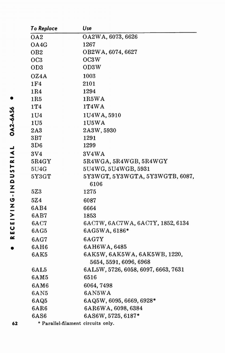|                      | <b>To Replace</b> | Use                                 |
|----------------------|-------------------|-------------------------------------|
|                      | OA <sub>2</sub>   | OA2WA, 6073, 6626                   |
|                      | OA4G              | 1267                                |
|                      | OB <sub>2</sub>   | OB2WA, 6074, 6627                   |
|                      | OC <sub>3</sub>   | OC3W                                |
|                      | OD <sub>3</sub>   | OD3W                                |
|                      | OZ4A              | 1003                                |
|                      | <b>1F4</b>        | 2101                                |
|                      | 1R4               | 1294                                |
|                      | 1R5               | 1R5WA                               |
|                      | 1T4               | <b>1T4WA</b>                        |
| 0AZ-0A30             | 1U4               | 1U4WA, 5910                         |
|                      | 1U5               | 1U5WA                               |
|                      | <b>2A3</b>        | 2A3W, 5930                          |
|                      | $3\,\mathrm{B}7$  | 1291                                |
|                      | 3D6               | 1299                                |
|                      | 3 <sub>V</sub> 4  | 3V4WA                               |
|                      | 5R4GY             | 5R4WGA, 5R4WGB, 5R4WGY              |
|                      | 5U4G              | 5U4WG, 5U4WGB, 5931                 |
|                      | 5Y3GT             | 5Y3WGT, 5Y3WGTA, 5Y3WGTB, 6087,     |
| RECEIVING-INDUSTRIAL |                   | 6106                                |
|                      | 5Z3               | 1275                                |
|                      | 5Z4               | 6087                                |
|                      | 6AB4              | 6664                                |
|                      | 6AB7              | 1853                                |
|                      | 6AC7              | 6AC7W, 6AC7WA, 6AC7Y, 1852, 6134    |
|                      | 6AG5              | 6AG5WA, 6186*                       |
|                      | <b>6AG7</b>       | 6AG7Y                               |
| $\bullet$            | 6AH6              | 6AH6WA, 6485                        |
|                      | 6AK5              | 6AK5W, 6AK5WA, 6AK5WB, 1220,        |
|                      |                   | 5654, 5591, 6096, 6968              |
|                      | 6AL5              | 6AL5W, 5726, 6058, 6097, 6663, 7631 |
|                      | 6AM5              | 6516                                |
|                      | <b>6AM6</b>       | 6064,7498                           |
|                      | 6AN5              | 6AN5WA                              |
|                      | 6AQ5              | 6AQ5W, 6095, 6669, 6928*            |
|                      | 6AR6              | 6AR6WA, 6098, 6384                  |
|                      | <b>6AS6</b>       | 6AS6W, 5725, 6187*                  |
| 62                   |                   | * Parallel-filament circuits only.  |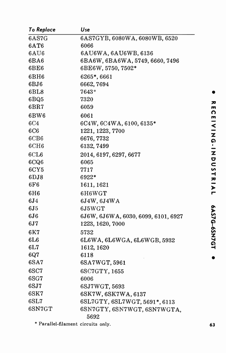| <b>To Replace</b> | Use                                 |
|-------------------|-------------------------------------|
| <b>6AS7G</b>      | 6AS7GYB, 6080WA, 6080WB, 6520       |
| <b>6AT6</b>       | 6066                                |
| $6 \mathrm{AU} 6$ | 6AU6WA, 6AU6WB, 6136                |
| 6BA6              | 6BA6W, 6BA6WA, 5749, 6660, 7496     |
| 6BE6              | 6BE6W, 5750, 7502*                  |
| 6BH6              | 6265*, 6661                         |
| 6BJ6              | 6662,7694                           |
| 6BL8              | 7643*                               |
| 6BQ5              | 7320                                |
| 6BR7              | 6059                                |
| 6BW6              | 6061                                |
| <b>6C4</b>        | 6C4W, 6C4WA, 6100, 6135*            |
| <b>6C6</b>        | 1221, 1223, 7700                    |
| 6CB6              | 6676, 7732                          |
| 6CH6              | 6132, 7499                          |
| 6CL <sub>6</sub>  | 2014, 6197, 6297, 6677              |
| 6CQ6              | 6065                                |
| 6CY <sub>5</sub>  | 7717                                |
| 6DJ8              | $6922*$                             |
| <b>6F6</b>        | 1611, 1621                          |
| 6H <sub>6</sub>   | 6H6WGT                              |
| 6J <sub>4</sub>   | 6J4W, 6J4WA                         |
| 6J5               | 6J5WGT                              |
| 6J6               | 6J6W, 6J6WA, 6030, 6099, 6101, 6927 |
| 6J7               | 1223, 1620, 7000                    |
| 6K7               | 5732                                |
| 6L6               | 6L6WA, 6L6WGA, 6L6WGB, 5932         |
| 6L7               | 1612, 1620                          |
| 6Q7               | 6118                                |
| 6SA7              | 6SA7WGT, 5961                       |
| <b>6SC7</b>       | 6SC7GTY, 1655                       |
| <b>6SG7</b>       | 6006                                |
| 6SJ7              | 6SJ7WGT, 5693                       |
| 6SK7              | 6SK7W, 6SK7WA, 6137                 |
| 6SL7              | 6SL7GTY, 6SL7WGT, 5691*, 6113       |
| 6SN7GT            | 6SN7GTY, 6SN7WGT, 6SN7WGTA,<br>5692 |

\* Parallel-filament circuits only.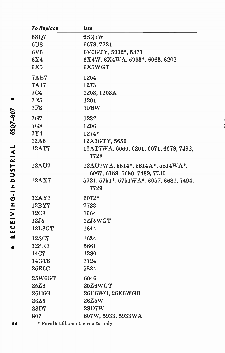|                      | To Replace       | Use                                                              |
|----------------------|------------------|------------------------------------------------------------------|
|                      | 6SQ7             | 6SQ7W                                                            |
|                      | 6U8              | 6678, 7731                                                       |
|                      | 6V6              | 6V6GTY, 5992*, 5871                                              |
|                      | 6X4              | 6X4W, 6X4WA, 5993*, 6063, 6202                                   |
|                      | $6\mathrm{X}5$   | 6X5WGT                                                           |
|                      | 7AB7             | 1204                                                             |
|                      | 7AJ7             | 1273                                                             |
|                      | <b>7C4</b>       | 1203, 1203A                                                      |
|                      | <b>7E5</b>       | 1201                                                             |
|                      | <b>7F8</b>       | <b>7F8W</b>                                                      |
| /08-22-20            | 7G7              | 1232                                                             |
|                      | <b>7G8</b>       | 1206                                                             |
|                      | <b>7Y4</b>       | 1274*                                                            |
|                      | 12A6             | 12A6GTY, 5659                                                    |
|                      | 12AT7            | 12AT7WA, 6060, 6201, 6671, 6679, 7492,<br>7728                   |
|                      | 12AU7            | 12AU7WA, 5814*, 5814A*, 5814WA*,<br>6067, 6189, 6680, 7489, 7730 |
| RECEIVING-INDUSTRIAL | 12AX7            | 5721, 5751*, 5751WA*, 6057, 6681, 7494,<br>7729                  |
|                      | 12AY7            | 6072*                                                            |
|                      | 12BY7            | 7733                                                             |
|                      | 12C <sub>8</sub> | 1664                                                             |
|                      | 12J5             | 12J5WGT                                                          |
|                      | 12L8GT           | 1644                                                             |
|                      | 12SC7            | 1634                                                             |
| $\bullet$            | 12SK7            | 5661                                                             |
|                      | 14C7             | 1280                                                             |
|                      | 14GT8            | 7724                                                             |
|                      | 25B6G            | 5824                                                             |
|                      | 25W6GT           | 6046                                                             |
|                      | 25Z6             | <b>25Z6WGT</b>                                                   |
|                      | 26E6G            | 26E6WG, 26E6WGB                                                  |
|                      | 26Z5             | 26Z5W                                                            |
|                      | 28D7             | 28D7W                                                            |
|                      | 807              | 807W, 5933, 5933WA                                               |
| 64                   |                  | * Parallel-filament circuits only.                               |

 $rac{1}{2}$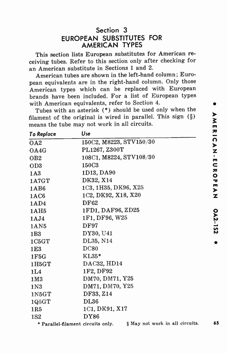## Section 3 EUROPEAN SUBSTITUTES FOR AMERICAN TYPES

This section lists European substitutes for American receiving tubes. Refer to this section only after checking for an American substitute in Sections 1 and 2.

American tubes are shown in the left-hand column; European equivalents are in the right-hand column. Only those American types which can be replaced with European brands have been included. For a list of European types with American equivalents, refer to Section 4.

Tubes with an asterisk (\*) should be used only when the filament of the original is wired in parallel. This sign (§) means the tube may not work in all circuits.

| To Replace       | Use                     |
|------------------|-------------------------|
| OA2              | 150C2, M8223, STV150/30 |
| OA4G             | PL1267, Z300T           |
| OB <sub>2</sub>  | 108C1, M8224, STV108/30 |
| OD3              | 150C <sub>3</sub>       |
| 1A <sub>3</sub>  | 1D13, DA90              |
| 1A7GT            | DK32, X14               |
| 1AB6             | 1C3, 1H35, DK96, X25    |
| 1AC6             | 1C2, DK92, X18, X20     |
| 1AD4             | <b>DF62</b>             |
| 1AH5             | 1FD1, DAF96, ZD25       |
| 1AJ4             | 1F1, DF96, W25          |
| 1AN5             | <b>DF97</b>             |
| 1 <sub>B</sub> 3 | DY30, U41               |
| 1C5GT            | DL35, N14               |
| 1E3              | <b>DC80</b>             |
| 1F5G             | $KL35*$                 |
| 1H5GT            | DAC32, HD14             |
| 1L4              | 1F2, DF92               |
| 1 <sub>M3</sub>  | DM70, DM71, Y25         |
| 1 <sub>N3</sub>  | DM71, DM70, Y25         |
| 1N5GT            | DF33, Z14               |
| 1Q5GT            | <b>DL36</b>             |
| 1R5              | 1C1, DK91, X17          |
| 1S <sub>2</sub>  | <b>DY86</b>             |
|                  |                         |

\* Parallel-filament circuits only. § May not work in all circuits. 65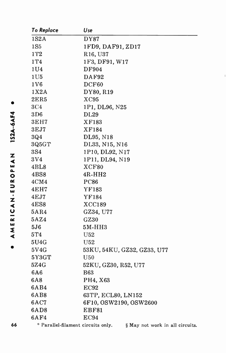|                  | <b>To Replace</b>  | Use                                                                              |
|------------------|--------------------|----------------------------------------------------------------------------------|
|                  | <b>1S2A</b>        | <b>DY87</b>                                                                      |
|                  | <b>1S5</b>         | 1FD9, DAF91, ZD17                                                                |
|                  | <b>1T2</b>         | R16, U37                                                                         |
|                  | <b>1T4</b>         | 1F3, DF91, W17                                                                   |
|                  | 1U4                | <b>DF904</b>                                                                     |
|                  | 1U5                | DAF92                                                                            |
|                  | 1V6                | DCF60                                                                            |
|                  | 1X2A               | DY80, R19                                                                        |
|                  | <b>2ER5</b>        | XC95                                                                             |
|                  | 3C <sub>4</sub>    | 1P1, DL96, N25                                                                   |
|                  | 3D6                | DL29                                                                             |
|                  | 3EH7               | XF183                                                                            |
|                  | 3EJ7               | <b>XF184</b>                                                                     |
| 152A-6AF4        | 3Q4                | DL95, N18                                                                        |
|                  | 3Q5GT              | DL33, N15, N16                                                                   |
| Z                | <b>3S4</b>         | 1P10, DL92, N17                                                                  |
|                  | 3V4                | 1P11, DL94, N19                                                                  |
| <b>N-EUROPEA</b> | 4BL8               | XCF80                                                                            |
|                  | <b>4BS8</b>        | <b>4R-HH2</b>                                                                    |
|                  | 4CM4               | <b>PC86</b>                                                                      |
|                  | 4EH7               | <b>YF183</b>                                                                     |
|                  | 4EJ7               | YF184                                                                            |
|                  | $4E$ S8            | <b>XCC189</b>                                                                    |
|                  | 5AR4               | GZ34, U77                                                                        |
| ERICA            | 5AZ4               | GZ30                                                                             |
| Z                | 5J6                | $5M-HH3$                                                                         |
| ∢                | 5T4                | U <sub>52</sub>                                                                  |
| $\bullet$        | 5U4G               | U <sub>52</sub>                                                                  |
|                  | 5V4G               | 53KU, 54KU, GZ32, GZ33, U77                                                      |
|                  | 5Y3GT              | U50                                                                              |
|                  | 5Z4G               | 52KU, GZ30, R52, U77                                                             |
|                  | 6A6                | <b>B63</b>                                                                       |
|                  | <b>6A8</b><br>6AB4 | PH4, X63                                                                         |
|                  |                    | <b>EC92</b>                                                                      |
|                  | 6AB8<br>6AC7       | 63TP, ECL80, LN152                                                               |
|                  | 6AD8               | 6F10, OSW2190, OSW2600<br><b>EBF81</b>                                           |
|                  | 6AF4               | EC94                                                                             |
| 66               |                    | <sup>*</sup> Parallel-filament circuits only.<br>§ May not work in all circuits. |
|                  |                    |                                                                                  |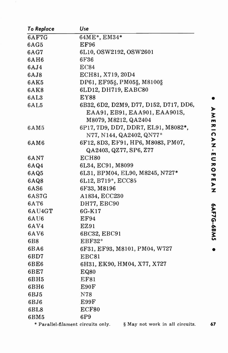| <b>To Replace</b> | Use                                    |
|-------------------|----------------------------------------|
| <b>6AF7G</b>      | 64ME*, EM34*                           |
| 6AG5              | <b>EF96</b>                            |
| 6AG7              | 6L10, OSW2192, OSW2601                 |
| 6AH6              | 6F36                                   |
| 6AJ4              | <b>EC84</b>                            |
| 6AJ8              | ECH81, X719, 20D4                      |
| 6AK5              | DP61, EF95§, PM05§, M8100§             |
| 6AK8              | 6LD12, DH719, EABC80                   |
| 6AL3              | EY88                                   |
| 6AL5              | 6B32, 6D2, D2M9, D77, D152, D717, DD6, |
|                   | EAA91, EB91, EAA901, EAA901S,          |
|                   | M8079, M8212, QA2404                   |
| 6AM5              | 6P17, 7D9, DD7, DDR7, EL91, M8082*,    |
|                   | N77, N144, QA2402, QN77*               |
| 6AM6              | 6F12, 8D3, EF91, HP6, M8083, PM07,     |
|                   | QA2403, QZ77, SP6, Z77                 |
| 6AN7              | ECH <sub>80</sub>                      |
| 6AQ4              | 6L34, EC91, M8099                      |
| 6AQ5              | 6L31, BPM04, EL90, M8245, N727*        |
| 6AQ8              | 6L12, B719*, ECC85                     |
| 6AS6              | 6F33, M8196                            |
| <b>6AS7G</b>      | A1834, ECC230                          |
| 6AT6              | <b>DH77, EBC90</b>                     |
| 6AU4GT            | 6G-K17                                 |
| 6AU6              | <b>EF94</b>                            |
| 6AV4              | EZ91                                   |
| 6AV6              | 6BC32, EBC91                           |
| 6B8               | <b>EBF32*</b>                          |
| 6BA6              | 6F31, EF93, M8101, PM04, W727          |
| 6BD7              | EBC81                                  |
| 6BE6              | 6H31, EK90, HM04, X77, X727            |
| <b>6BE7</b>       | <b>EQ80</b>                            |
| 6BH <sub>5</sub>  | <b>EF81</b>                            |
| 6BH6              | E90F                                   |
| 6BJ5              | N78                                    |
| 6BJ6              | E99F                                   |
| 6BL <sub>8</sub>  | ECF80                                  |
| 6BM5              | 6P9                                    |
|                   |                                        |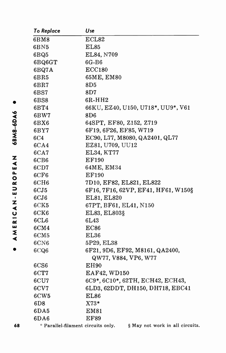|                 | To Replace       | Use                                                                |
|-----------------|------------------|--------------------------------------------------------------------|
|                 | 6BM8             | ECL82                                                              |
|                 | 6BN5             | <b>EL85</b>                                                        |
|                 | 6BQ5             | EL84, N709                                                         |
|                 | 6BQ6GT           | 6G-B6                                                              |
|                 | 6BQ7A            | <b>ECC180</b>                                                      |
|                 | 6BR5             | 65ME, EM80                                                         |
|                 | 6BR7             | 8D <sub>5</sub>                                                    |
|                 | 6BS7             | 8D7                                                                |
|                 | 6BS8             | <b>6R-HH2</b>                                                      |
|                 | 6BT4             | 66KU, EZ40, U150, U718*, UU9*, V61                                 |
|                 | 6BW7             | 8D6                                                                |
|                 | 6BX6             | 64SPT, EF80, Z152, Z719                                            |
|                 | 6BY7             | 6F19, 6F26, EF85, W719                                             |
| 68M8-6DA6       | 6C4              | EC90, L77, M8080, QA2401, QL77                                     |
|                 | 6CA4             | EZ81, U709, UU12                                                   |
|                 | <b>6CA7</b>      | EL34, KT77                                                         |
|                 | <b>6CB6</b>      | <b>EF190</b>                                                       |
|                 | 6CD7             | 64ME, EM34                                                         |
|                 | 6CF6             | <b>EF190</b>                                                       |
|                 | 6CH <sub>6</sub> | 7D10, EF82, EL821, EL822                                           |
|                 | 6CJ5             | 6F16, 7F16, 62VP, EF41, HF61, W150§                                |
| ERICAN-EUROPEAN | 6CJ6             | EL81, EL820                                                        |
|                 | 6CK5             | 67PT, BF61, EL41, N150                                             |
|                 | 6CK6             | EL83, EL803§                                                       |
|                 | 6CL6             | 6L43                                                               |
| ٤               | 6CM4             | <b>EC86</b>                                                        |
| ∢               | 6CM5             | <b>EL36</b>                                                        |
|                 | 6CN <sub>6</sub> | 5P29, EL38                                                         |
| $\bullet$       | 6CQ6             | 6F21, 9D6, EF92, M8161, QA2400,<br>QW77, V884, VP6, W77            |
|                 | 6CS6             | <b>EH90</b>                                                        |
|                 | 6CT7             | EAF42, WD150                                                       |
|                 | <b>6CU7</b>      | 6C9*, 6C10*, 62TH, ECH42, ECH43,                                   |
|                 | <b>6CV7</b>      | 6LD3, 62DDT, DH150, DH718, EBC41                                   |
|                 | 6CW <sub>5</sub> | <b>EL86</b>                                                        |
|                 | 6D <sub>8</sub>  | $X73*$                                                             |
|                 | 6DA5             | <b>EM81</b>                                                        |
|                 | 6DA6             | <b>EF89</b>                                                        |
| 68              |                  | * Parallel-filament circuits only. § May not work in all circuits. |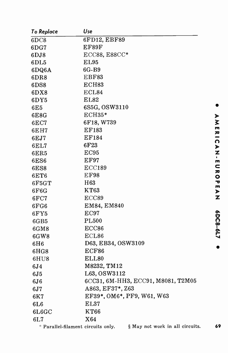| <b>To Replace</b>                  | Use                                |                     |
|------------------------------------|------------------------------------|---------------------|
| 6DC8                               | 6FD12, EBF89                       |                     |
| 6DG7                               | EF89F                              |                     |
| 6DJ8                               | ECC88, E88CC*                      |                     |
| 6DL5                               | EL95                               |                     |
| 6DQ6A                              | 6G-B9                              |                     |
| 6DR8                               | EBF83                              |                     |
| 6DS8                               | ECH83                              |                     |
| 6DX8                               | ECL84                              |                     |
| 6DY5                               | EL82                               |                     |
| 6E5                                | 6S5G, OSW3110                      |                     |
| 6E8G                               | <b>ECH35*</b>                      | ⋗                   |
| 6EC7                               | 6F18, W739                         | ≵                   |
| 6EH7                               | <b>EF183</b>                       | m                   |
| 6EJ7                               | <b>EF184</b>                       | $\frac{8}{10}$      |
| 6EL7                               | 6F23                               | ⋗                   |
| <b>6ER5</b>                        | <b>EC95</b>                        | $\mathbf{z}$        |
| <b>6ES6</b>                        | <b>EF97</b>                        | $\blacksquare$<br>m |
| <b>6ES8</b>                        | <b>ECC189</b>                      | $\blacksquare$<br>ᅎ |
| 6ET6                               | <b>EF98</b>                        | $\bullet$           |
| 6F5GT                              | H <sub>63</sub>                    | ᅲ<br>m              |
| 6F6G                               | <b>KT63</b>                        | ⋗                   |
| <b>6FC7</b>                        | ECC89                              | z                   |
| <b>6FG6</b>                        | EM84, EM840                        |                     |
| 6FY5                               | EC97                               |                     |
| 6GB5                               | <b>PL500</b>                       | 6DC8-6L7            |
| 6GM8                               | ECC86                              |                     |
| 6GW <sub>8</sub>                   | ECL86                              |                     |
| 6H6                                | D63, EB34, OSW3109                 |                     |
| 6HG8                               | ECF86                              |                     |
| 6HU8                               | ELL80                              |                     |
| 6J4                                | M8232, TM12                        |                     |
| 6J5                                | L63, OSW3112                       |                     |
| 6J6                                | 6CC31, 6M-HH3, ECC91, M8081, T2M05 |                     |
| 6J7                                | A863, EF37*, Z63                   |                     |
| 6K7                                | EF39*, OM6*, PF9, W61, W63         |                     |
| 6L6                                | <b>EL37</b>                        |                     |
| 6L6GC                              | <b>KT66</b>                        |                     |
| 6L7                                | X64                                |                     |
| * Parallel-filament circuits only. | § May not work in all circuits.    | 69                  |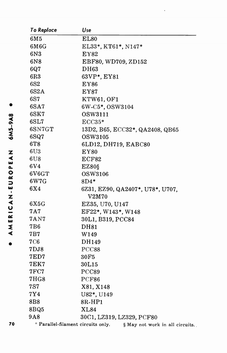|           | To Replace                 | Use                                                                |
|-----------|----------------------------|--------------------------------------------------------------------|
|           | 6M <sub>5</sub>            | <b>EL80</b>                                                        |
|           | 6M6G                       | EL33*, KT61*, N147*                                                |
|           | 6N <sub>3</sub>            | EY82                                                               |
|           | 6N <sub>8</sub>            | EBF80, WD709, ZD152                                                |
|           | 6Q7                        | DH63                                                               |
|           | 6R3                        | 63VP*, EY81                                                        |
|           | <b>6S2</b>                 | EY86                                                               |
|           | <b>6S2A</b>                | <b>EY87</b>                                                        |
|           | 6S7                        | <b>KTW61, OF1</b>                                                  |
|           | 6S A7                      | 6W-C5*, OSW3104                                                    |
|           | 6SK7                       | OSW3111                                                            |
|           | 6SL7                       | $ECC35*$                                                           |
| 6M5-9A8   | $6\mathrm{SN}7\mathrm{GT}$ | 13D2, B65, ECC32*, QA2408, QB65                                    |
|           | 6SQ7                       | OSW3105                                                            |
|           | <b>6T8</b>                 | 6LD12, DH719, EABC80                                               |
| Z         | 6U <sub>3</sub>            | <b>EY80</b>                                                        |
| ⋖         | 6U8                        | <b>ECF82</b>                                                       |
|           | 6V4                        | <b>EZ80§</b>                                                       |
|           | 6V6GT                      | OSW3106                                                            |
| -EUROPE   | 6W7G                       | $8D4*$                                                             |
|           | 6X4                        | 6Z31, EZ90, QA2407*, U78*, U707,                                   |
| Z         |                            | V2M70                                                              |
| ∢         | 6X5G                       | EZ35, U70, U147                                                    |
| ER I C    | <b>7A7</b>                 | EF22*, W143*, W148                                                 |
|           | 7AN7                       | 30L1, B319, PCC84                                                  |
| ٤         | 7B6                        | <b>DH81</b>                                                        |
| ⋖         | 7 B 7                      | W149                                                               |
| $\bullet$ | <b>7C6</b>                 | DH149                                                              |
|           | 7DJ8                       | PCC <sub>88</sub>                                                  |
|           | <b>7ED7</b>                | 30F5                                                               |
|           | <b>7EK7</b>                | 30L15                                                              |
|           | 7FC7                       | PCC89                                                              |
|           | <b>7HG8</b>                | <b>PCF86</b>                                                       |
|           | <b>7S7</b>                 | X81, X148                                                          |
|           | <b>7Y4</b>                 | U82*, U149                                                         |
|           | <b>8B8</b>                 | 8R-HP1                                                             |
|           | 8BQ5                       | <b>XL84</b>                                                        |
|           | 9A8                        | 30C1, LZ319, LZ329, PCF80                                          |
| 70        |                            | * Parallel-filament circuits only. § May not work in all circuits. |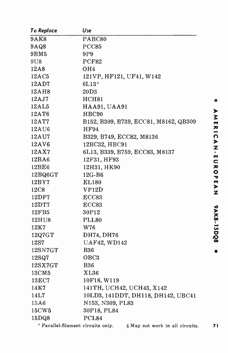| <b>To Replace</b> | Use                                   |
|-------------------|---------------------------------------|
| <b>9AK8</b>       | PABC80                                |
| 9AQ8              | PCC85                                 |
| 9BM5              | 9P9                                   |
| 9U8               | PCF82                                 |
| 12A8              | OH4                                   |
| 12AC5             | 121VP, HF121, UF41, W142              |
| 12AD7             | 6L13*                                 |
| 12AH8             | <b>20D3</b>                           |
| 12AJ7             | <b>HCH81</b>                          |
| 12AL5             | <b>HAA91, UAA91</b>                   |
| 12AT6             | <b>HBC90</b>                          |
| <b>12AT7</b>      | B152, B309, B739, ECC81, M8162, QB309 |
| 12AU6             | HF94                                  |
| 12AU7             | B329, B749, ECC82, M8136              |
| 12AV6             | 12BC32, HBC91                         |
| 12AX7             | 6L13, B339, B759, ECC83, M8137        |
| 12BAG             | 12F31, HF93                           |
| 12BE6             | 12H31, HK90                           |
| 12BQ6GT           | 12G-B6                                |
| 12BY7             | <b>EL180</b>                          |
| <b>12C8</b>       | VP12D                                 |
| 12DF7             | ECC83                                 |
| 12DT7             | ECC83                                 |
| 12FB5             | 30P12                                 |
| 12HU8             | PLL <sub>80</sub>                     |
| 12K7              | <b>W76</b>                            |
| 12Q7GT            | DH74, DH76                            |
| 12S7              | <b>UAF42, WD142</b>                   |
| <b>12SN7GT</b>    | <b>B36</b>                            |
| 12SQ7             | OBC <sub>3</sub>                      |
| <b>12SX7GT</b>    | <b>B36</b>                            |
| 13CM5             | <b>XL36</b>                           |
| <b>13EC7</b>      | 10F18, W119                           |
| 14K7              | 141TH, UCH42, UCH43, X142             |
| 14L7              | 10LD3, 141DDT, DH118, DH142, UBC41    |
| 15A6              | N153, N309, PL83                      |
| 15CW <sub>5</sub> | 30P18, PL84                           |
| 15DQ8             | PCL84                                 |
|                   |                                       |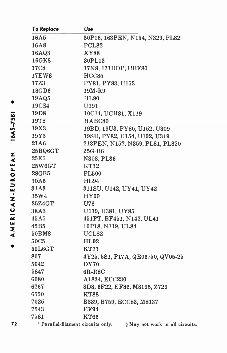|               | To Replace      | Use                                                                   |
|---------------|-----------------|-----------------------------------------------------------------------|
|               | <b>16A5</b>     | 30P16, 163PEN, N154, N329, PL82                                       |
|               | <b>16A8</b>     | PCL82                                                                 |
|               | 16AQ3           | XY88                                                                  |
|               | 16GK8           | 30PL13                                                                |
|               | 17C8            | 17N8, 171DDP, UBF80                                                   |
|               | 17EW8           | <b>HCC85</b>                                                          |
|               | 17Z3            | PY81, PY83, U153                                                      |
|               | 18GD6           | 19M-R9                                                                |
|               | 19AQ5           | <b>HL90</b>                                                           |
|               | 19CS4           | U191                                                                  |
|               | 19D8            | 10C14, UCH81, X119                                                    |
|               | 19T8            | HABC80                                                                |
|               | 19X3            | 19BD, 19U3, PY80, U152, U309                                          |
| 16A5-7581     | 19Y3            | 19SU, PY82, U154, U192, U319                                          |
|               | 21A6            | 213PEN, N152, N359, PL81, PL820                                       |
| Z             | 25BQ6GT         | 25G-B6                                                                |
| ◀             | $25\mathrm{E}5$ | N308, PL36                                                            |
| шÏ            | 25W6GT          | <b>KT32</b>                                                           |
| e<br>O        | 28GB5           | <b>PL500</b>                                                          |
| <b>N-EUR</b>  | 30A5            | <b>HL94</b>                                                           |
|               | 31A3            | 311SU, U142, UY41, UY42                                               |
|               | 35W4            | <b>HY90</b>                                                           |
| ∢             | 35Z4GT          | U76                                                                   |
| 0<br>2<br>2   | 38A3            | U119, U381, UY85                                                      |
|               | 45A5            | 451PT, BF451, N142, UL41                                              |
| ш             | 45B5            | 10P18, N119, UL84                                                     |
| $\frac{1}{4}$ | 50BM8           | UCL82                                                                 |
|               | <b>50C5</b>     | <b>HL92</b>                                                           |
|               | 50L6GT          | KT71                                                                  |
|               | 807             | 4Y25, 5S1, P17A, QE06/50, QV05-25                                     |
|               | 5642            | <b>DY70</b>                                                           |
|               | 5847            | $6R-R8C$                                                              |
|               | 6080            | A1834, ECC230                                                         |
|               | 6267            | 8D8, 6F22, EF86, M8195, Z729                                          |
|               | 6550            | <b>KT88</b>                                                           |
|               | 7025            | B339, B759, ECC83, M8137                                              |
|               | 7543            | <b>EF94</b>                                                           |
|               | 7581            | <b>KT66</b>                                                           |
| 72            |                 | * Parallel-filament circuits only.<br>§ May not work in all circuits. |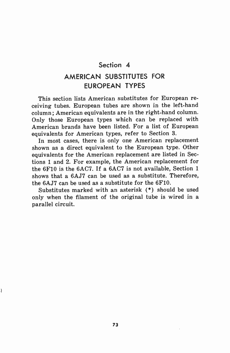### Section 4

## AMERICAN SUBSTITUTES FOR EUROPEAN TYPES

This section lists American substitutes for European receiving tubes. European tubes are shown in the left-hand column; American equivalents are in the right-hand column. Only those European types which can be replaced with American brands have been listed. For a list of European equivalents for American types, refer to Section 3.

In most cases, there is only one American replacement shown as a direct equivalent to the European type. Other equivalents for the American replacement are listed in Sections 1 and 2. For example, the American replacement for the 6F10 is the 6AC7. If a 6AC7 is not available, Section 1 shows that a 6AJ7 can be used as a substitute. Therefore, the 6AJ7 can be used as a substitute for the 6F10.

Substitutes marked with an asterisk (\*) should be used only when the filament of the original tube is wired in a parallel circuit.

)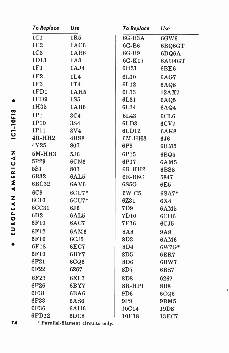|                 | <b>To Replace</b> | Use             | <b>To Replace</b> | Use          |
|-----------------|-------------------|-----------------|-------------------|--------------|
|                 | 1C1               | 1R5             | 6G-B3A            | 6GW6         |
|                 | 1C2               | 1AC6            | 6G-B6             | 6BQ6GT       |
|                 | 1C <sub>3</sub>   | 1AB6            | 6G-B9             | 6DQ6A        |
|                 | 1D13              | 1A3             | 6G-K17            | 6AU4GT       |
|                 | 1F1               | 1AJ4            | 6H31              | <b>6BE6</b>  |
|                 | 1F <sub>2</sub>   | 1L4             | 6L10              | 6AG7         |
|                 | 1F3               | 1T4             | 6L12              | 6AQ8         |
|                 | 1FD1              | 1AH5            | 6L13              | 12AX7        |
|                 | 1FD9              | <b>1S5</b>      | 6L31              | 6AQ5         |
|                 | 1H35              | 1AB6            | 6L34              | 6AQ4         |
|                 | 1P1               | 3C <sub>4</sub> | 6L43              | 6CL6         |
|                 | 1P10              | <b>3S4</b>      | 6LD <sub>3</sub>  | 6CV7         |
| 1C1-10F18       | 1P11              | 3V4             | 6LD12             | <b>6AK8</b>  |
|                 | $4R-HH2$          | <b>4BS8</b>     | $6M-HH3$          | 6J6          |
|                 | 4Y25              | 807             | 6P9               | 6BM5         |
| Z               | $5M-HH3$          | 5J6             | 6P15              | 6BQ5         |
| ⋖<br>$\vec{v}$  | 5P29              | 6CN6            | 6P17              | <b>6AM5</b>  |
|                 | 5S1               | 807             | <b>6R-HH2</b>     | <b>6BS8</b>  |
| MERI            | 6B32              | 6AL5            | <b>6R-R8C</b>     | 5847         |
|                 | <b>6BC32</b>      | 6AV6            | 6S5G              | <b>6E5</b>   |
| $\triangleleft$ | <b>6C9</b>        | 6CU7*           | $6W-C5$           | 6SA7*        |
| Z<br>⋖          | 6C10              | 6CU7*           | 6Z31              | 6X4          |
|                 | <b>6CC31</b>      | 6J6             | <b>7D9</b>        | 6AM5         |
| ਘ<br>੦          | 6D2               | 6AL5            | <b>7D10</b>       | 6CH6         |
|                 | 6F10              | <b>6AC7</b>     | <b>7F16</b>       | 6CJ5         |
| EU R            | 6F12              | <b>6AM6</b>     | <b>8A8</b>        | <b>9A8</b>   |
|                 | 6F16              | 6CJ5            | 8D <sub>3</sub>   | <b>6AM6</b>  |
| $\bullet$       | 6F18              | <b>6EC7</b>     | 8D4               | 6W7G*        |
|                 | 6F19              | 6BY7            | 8D <sub>5</sub>   | <b>6BR7</b>  |
|                 | <b>6F21</b>       | 6CQ6            | 8D <sub>6</sub>   | 6BW7         |
|                 | <b>6F22</b>       | 6267            | 8D7               | 6BS7         |
|                 | <b>6F23</b>       | <b>6EL7</b>     | 8D <sub>8</sub>   | 6267         |
|                 | <b>6F26</b>       | 6BY7            | 8R-HP1            | <b>8B8</b>   |
|                 | <b>6F31</b>       | 6BA6            | 9D <sub>6</sub>   | 6CQ6         |
|                 | <b>6F33</b>       | <b>6AS6</b>     | <b>9P9</b>        | 9BM5         |
|                 | 6F36              | 6AH6            | 10C14             | 19D8         |
|                 | 6FD12             | 6DC8            | 10F18             | <b>13EC7</b> |

74 \* Parallel-filament circuits only.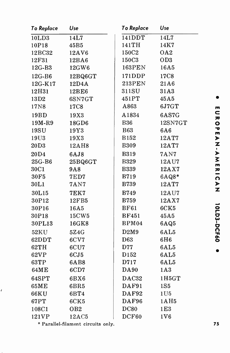| <b>To Replace</b> | Use                                | <b>To Replace</b> | Use             |                              |
|-------------------|------------------------------------|-------------------|-----------------|------------------------------|
| 10LD3             | 14L7                               | 141DDT            | 14L7            |                              |
| 10P18             | 45B5                               | 141TH             | 14K7            |                              |
| 12BC32            | 12AV6                              | 150C2             | OA <sub>2</sub> |                              |
| 12F31             | 12BA6                              | 150C3             | OD <sub>3</sub> |                              |
| 12G-B3            | 12GW6                              | <b>163PEN</b>     | 16A5            |                              |
| 12G-B6            | 12BQ6GT                            | 171DDP            | <b>17C8</b>     |                              |
| 12G-K17           | 12D4A                              | <b>213PEN</b>     | 21A6            |                              |
| 12H31             | 12BE6                              | 311SU             | 31A3            |                              |
| 13D <sub>2</sub>  | 6SN7GT                             | 451PT             | 45A5            |                              |
| <b>17N8</b>       | <b>17C8</b>                        | A863              | 6J7GT           | m                            |
| 19BD              | 19X3                               | A1834             | <b>6AS7G</b>    | $\overline{\mathbf{C}}$<br>ᅎ |
| 19M-R9            | 18GD6                              | <b>B36</b>        | <b>12SN7GT</b>  | $\bullet$                    |
| <b>19SU</b>       | 19Y3                               | <b>B63</b>        | 6A6             | Ó<br>m                       |
| 19U3              | 19X3                               | <b>B152</b>       | 12AT7           | ⋗                            |
| 20D3              | 12AH8                              | <b>B309</b>       | 12AT7           | Z                            |
| 20D4              | <b>6AJ8</b>                        | <b>B319</b>       | <b>7AN7</b>     | $\blacktriangleright$        |
| 25G-B6            | 25BQ6GT                            | <b>B329</b>       | 12AU7           | ζ                            |
| 30C1              | <b>9A8</b>                         | <b>B339</b>       | 12AX7           | 門方                           |
| <b>30F5</b>       | <b>7ED7</b>                        | <b>B719</b>       | 6AQ8*           | ດ                            |
| 30L1              | <b>7AN7</b>                        | <b>B739</b>       | 12AT7           | >                            |
| 30L15             | <b>7EK7</b>                        | <b>B749</b>       | 12AU7           | Z                            |
| 30P12             | 12FB5                              | <b>B759</b>       | 12AX7           |                              |
| 30P16             | 16A5                               | <b>BF61</b>       | 6CK5            |                              |
| 30P18             | 15CW5                              | <b>BF451</b>      | 45A5            |                              |
| 30PL13            | 16GK8                              | <b>BPM04</b>      | 6AQ5            | <b>1013-DCF60</b>            |
| 52KU              | 5Z4G                               | D2M9              | 6AL5            |                              |
| 62DDT             | 6CV7                               | D63               | 6H <sub>6</sub> |                              |
| 62TH              | <b>6CU7</b>                        | D77               | 6AL5            |                              |
| 62VP              | 6CJ5                               | D152              | 6AL5            |                              |
| 63TP              | 6AB8                               | D717              | 6AL5            |                              |
| <b>64ME</b>       | 6CD7                               | <b>DA90</b>       | 1A3             |                              |
| 64SPT             | 6BX6                               | DAC32             | 1H5GT           |                              |
| <b>65ME</b>       | <b>6BR5</b>                        | <b>DAF91</b>      | <b>1S5</b>      |                              |
| 66KU              | 6BT4                               | <b>DAF92</b>      | 1U <sub>5</sub> |                              |
| <b>67PT</b>       | 6CK5                               | DAF96             | 1AH5            |                              |
| 108C1             | OB <sub>2</sub>                    | <b>DC80</b>       | 1E3             |                              |
| 121VP             | <b>12AC5</b>                       | DCF60             | 1V6             |                              |
|                   | * Parallel-filament circuits only. |                   |                 | 75                           |

Á

• **ECROPEAZ-AZERICAZ** 10LD3-DCF60 •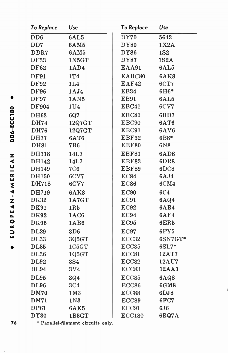|                      | <b>To Replace</b> | Use             | <b>To Replace</b> | Use             |
|----------------------|-------------------|-----------------|-------------------|-----------------|
|                      | DD <sub>6</sub>   | <b>6AL5</b>     | <b>DY70</b>       | 5642            |
|                      | D <sub>D</sub> 7  | 6AM5            | <b>DY80</b>       | 1X2A            |
|                      | DDR7              | 6AM5            | <b>DY86</b>       | <b>1S2</b>      |
|                      | <b>DF33</b>       | 1N5GT           | <b>DY87</b>       | <b>1S2A</b>     |
|                      | <b>DF62</b>       | 1AD4            | <b>EAA91</b>      | <b>6AL5</b>     |
|                      | <b>DF91</b>       | 1T4             | EABC80            | <b>6AK8</b>     |
|                      | <b>DF92</b>       | 1L4             | <b>EAF42</b>      | <b>6CT7</b>     |
|                      | <b>DF96</b>       | 1AJ4            | <b>EB34</b>       | 6H6*            |
|                      | <b>DF97</b>       | <b>1AN5</b>     | <b>EB91</b>       | 6AL5            |
|                      | DF904             | 1U4             | <b>EBC41</b>      | 6CV7            |
|                      | <b>DH63</b>       | 6Q7             | <b>EBC81</b>      | 6BD7            |
| <b>DD9-FCC180</b>    | <b>DH74</b>       | 12Q7GT          | <b>EBC90</b>      | <b>6AT6</b>     |
|                      | <b>DH76</b>       | 12Q7GT          | EBC91             | 6AV6            |
|                      | <b>DH77</b>       | <b>6AT6</b>     | <b>EBF32</b>      | 6B8*            |
|                      | <b>DH81</b>       | <b>7B6</b>      | <b>EBF80</b>      | <b>6N8</b>      |
| Z                    | <b>DH118</b>      | 14L7            | <b>EBF81</b>      | <b>6AD8</b>     |
| ∢                    | DH142             | 14L7            | <b>EBF83</b>      | 6DR8            |
|                      | DH149             | <b>7C6</b>      | <b>EBF89</b>      | 6DC8            |
|                      | DH150             | <b>6CV7</b>     | <b>EC84</b>       | 6AJ4            |
| <b>MERIC</b>         | <b>DH718</b>      | 6CV7            | <b>EC86</b>       | 6CM4            |
| $\breve{\mathbf{r}}$ | DH719             | <b>6AK8</b>     | <b>EC90</b>       | 6C <sub>4</sub> |
| Z                    | <b>DK32</b>       | 1A7GT           | <b>EC91</b>       | 6AQ4            |
| ∢                    | <b>DK91</b>       | 1R5             | <b>EC92</b>       | 6AB4            |
| ⊔<br>O<br>O          | <b>DK92</b>       | <b>1AC6</b>     | <b>EC94</b>       | 6AF4            |
| ĸ                    | <b>DK96</b>       | 1AB6            | <b>EC95</b>       | <b>6ER5</b>     |
| $\mathbf{u}$         | <b>DL29</b>       | 3D6             | EC97              | 6FY5            |
|                      | <b>DL33</b>       | 3Q5GT           | ECC32             | 6SN7GT*         |
| $\bullet$            | DL35              | 1C5GT           | ECC35             | $6SL7*$         |
|                      | <b>DL36</b>       | 1Q5GT           | ECC81             | 12AT7           |
|                      | <b>DL92</b>       | <b>3S4</b>      | <b>ECC82</b>      | 12AU7           |
|                      | <b>DL94</b>       | 3V4             | <b>ECC83</b>      | 12AX7           |
|                      | <b>DL95</b>       | 3Q4             | <b>ECC85</b>      | 6AQ8            |
|                      | <b>DL96</b>       | 3C <sub>4</sub> | <b>ECC86</b>      | 6GM8            |
|                      | <b>DM70</b>       | 1M3             | <b>ECC88</b>      | 6DJ8            |
|                      | <b>DM71</b>       | 1N3             | ECC89             | <b>6FC7</b>     |
|                      | <b>DP61</b>       | <b>6AK5</b>     | ECC91             | 6J6             |
|                      | <b>DY30</b>       | 1B3GT           | <b>ECC180</b>     | 6BQ7A           |

76 \* Parallel-filament circuits only.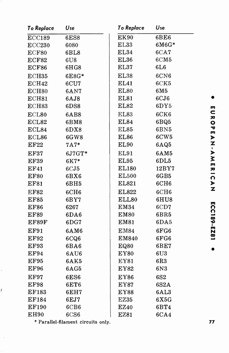| <b>To Replace</b> | Use              | <b>To Replace</b> | Use              |
|-------------------|------------------|-------------------|------------------|
| <b>ECC189</b>     | <b>6ES8</b>      | <b>EK90</b>       | <b>6BE6</b>      |
| <b>ECC230</b>     | 6080             | <b>EL33</b>       | 6M6G*            |
| <b>ECF80</b>      | 6BL8             | <b>EL34</b>       | <b>6CA7</b>      |
| <b>ECF82</b>      | 6U8              | <b>EL36</b>       | 6CM5             |
| <b>ECF86</b>      | 6HG8             | <b>EL37</b>       | 6L6              |
| ECH <sub>35</sub> | 6E8G*            | <b>EL38</b>       | 6CN6             |
| <b>ECH42</b>      | 6CU7             | <b>EL41</b>       | 6CK5             |
| ECH80             | 6AN7             | <b>EL80</b>       | 6M5              |
| ECH <sub>81</sub> | 6AJ8             | <b>EL81</b>       | 6CJ6             |
| ECH83             | 6DS8             | EL82              | 6DY5             |
| ECL80             | <b>6AB8</b>      | <b>EL83</b>       | 6CK6             |
| ECL82             | 6 <sub>BM8</sub> | <b>EL84</b>       | 6BQ5             |
| ECL84             | 6DX8             | <b>EL85</b>       | 6BN5             |
| ECL86             | <b>6GW8</b>      | <b>EL86</b>       | 6CW <sub>5</sub> |
| <b>EF22</b>       | 7A7*             | <b>EL90</b>       | 6AQ5             |
| <b>EF37</b>       | 6J7GT*           | <b>EL91</b>       | <b>6AM5</b>      |
| <b>EF39</b>       | 6K7*             | <b>EL95</b>       | 6DL5             |
| <b>EF41</b>       | 6CJ5             | <b>EL180</b>      | 12BY7            |
| <b>EF80</b>       | 6BX6             | <b>EL500</b>      | <b>6GB5</b>      |
| <b>EF81</b>       | 6BH5             | <b>EL821</b>      | 6CH <sub>6</sub> |
| <b>EF82</b>       | 6CH <sub>6</sub> | <b>EL822</b>      | 6CH <sub>6</sub> |
| <b>EF85</b>       | 6BY7             | <b>ELL80</b>      | 6HU8             |
| <b>EF86</b>       | 6267             | <b>EM34</b>       | 6CD7             |
| <b>EF89</b>       | $6\text{DA}6$    | <b>EM80</b>       | 6BR5             |
| EF89F             | 6DG7             | <b>EM81</b>       | 6DA5             |
| <b>EF91</b>       | <b>6AM6</b>      | <b>EM84</b>       | 6FG6             |
| <b>EF92</b>       | 6CQ6             | <b>EM840</b>      | <b>6FG6</b>      |
| <b>EF93</b>       | 6BA6             | <b>EQ80</b>       | 6BE7             |
| <b>EF94</b>       | <b>6AU6</b>      | <b>EY80</b>       | 6U3              |
| <b>EF95</b>       | <b>6AK5</b>      | <b>EY81</b>       | 6R <sub>3</sub>  |
| <b>EF96</b>       | <b>6AG5</b>      | <b>EY82</b>       | 6N3              |
| <b>EF97</b>       | <b>6ES6</b>      | <b>EY86</b>       | <b>6S2</b>       |
| <b>EF98</b>       | <b>6ET6</b>      | <b>EY87</b>       | <b>6S2A</b>      |
| <b>EF183</b>      | <b>6EH7</b>      | <b>EY88</b>       | 6AL3             |
| <b>EF184</b>      | 6EJ7             | <b>EZ35</b>       | 6X5G             |
| EF190             | 6CB6             | <b>EZ40</b>       | 6BT4             |
| <b>EH90</b>       | <b>6CS6</b>      | EZ81              | 6C <sub>A4</sub> |

•

\* Parallel-filament circuits only. 77

j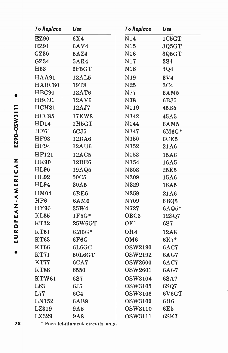| <b>To Replace</b> | Use                                | <b>To Replace</b> | Use             |
|-------------------|------------------------------------|-------------------|-----------------|
| <b>EZ90</b>       | 6X4                                | N14               | 1C5GT           |
| <b>EZ91</b>       | 6AV4                               | N15               | 3Q5GT           |
| <b>GZ30</b>       | 5AZ4                               | N16               | 3Q5GT           |
| <b>GZ34</b>       | <b>5AR4</b>                        | N17               | <b>3S4</b>      |
| H63               | 6F5GT                              | N18               | 3Q4             |
| <b>HAA91</b>      | <b>12AL5</b>                       | N19               | 3V4             |
| HABC80            | 19T8                               | N25               | 3C <sub>4</sub> |
| <b>HBC90</b>      | 12AT6                              | N77               | <b>6AM5</b>     |
| <b>HBC91</b>      | 12AV6                              | <b>N78</b>        | 6BJ5            |
| <b>HCH81</b>      | 12AJ7                              | N119              | 45B5            |
| <b>HCC85</b>      | <b>17EW8</b>                       | N142              | 45A5            |
| HD14              | 1H5GT                              | N144              | 6AM5            |
| <b>HF61</b>       | 6CJ5                               | N147              | 6M6G*           |
| <b>HF93</b>       | 12BA6                              | N <sub>150</sub>  | 6CK5            |
| <b>HF94</b>       | 12AU6                              | N152              | 21A6            |
| <b>HF121</b>      | <b>12AC5</b>                       | N153              | 15A6            |
| <b>HK90</b>       | 12BE6                              | N154              | 16A5            |
| <b>HL90</b>       | 19AQ5                              | N308              | 25E5            |
| HL92              | <b>50C5</b>                        | N309              | 15A6            |
| <b>HL94</b>       | 30A5                               | N329              | 16A5            |
| <b>HM04</b>       | 6BE6                               | N359              | <b>21A6</b>     |
| HP <sub>6</sub>   | 6AM6                               | N709              | 6BQ5            |
| <b>HY90</b>       | 35W4                               | N727              | 6AQ5*           |
| <b>KL35</b>       | 1F5G*                              | OBC <sub>3</sub>  | 12SQ7           |
| <b>KT32</b>       | 25W6GT                             | OF1               | 6S7             |
| <b>KT61</b>       | 6M6G*                              | OH <sub>4</sub>   | 12A8            |
| <b>KT63</b>       | 6F6G                               | OM <sub>6</sub>   | 6K7*            |
| <b>KT66</b>       | 6L6GC                              | <b>OSW2190</b>    | <b>6AC7</b>     |
| <b>KT71</b>       | 50L6GT                             | <b>OSW2192</b>    | 6AG7            |
| <b>KT77</b>       | <b>6CA7</b>                        | <b>OSW2600</b>    | <b>6AC7</b>     |
| <b>KT88</b>       | 6550                               | <b>OSW2601</b>    | <b>6AG7</b>     |
| KTW61             | <b>6S7</b>                         | <b>OSW3104</b>    | 6SA7            |
| L63               | 6J5                                | OSW3105           | 6SQ7            |
| L77               | 6C <sub>4</sub>                    | OSW3106           | 6V6GT           |
| LN152             | <b>6AB8</b>                        | OSW3109           | 6H <sub>6</sub> |
| LZ319             | <b>9A8</b>                         | OSW3110           | 6E5             |
| LZ329             | <b>9A8</b>                         | <b>OSW3111</b>    | <b>6SK7</b>     |
|                   | * Parallel-filament circuits only. |                   |                 |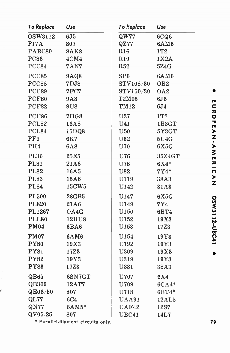| <b>To Replace</b> | Use              | <b>To Replace</b> | Use             |
|-------------------|------------------|-------------------|-----------------|
| <b>OSW3112</b>    | 6J5              | <b>QW77</b>       | 6CQ6            |
| <b>P17A</b>       | 807              | QZ77              | 6AM6            |
| PABC80            | <b>9AK8</b>      | R <sub>16</sub>   | 1T <sub>2</sub> |
| <b>PC86</b>       | 4CM4             | R19               | 1X2A            |
| <b>PCC84</b>      | 7AN7             | R52               | 5Z4G            |
| PCC85             | 9AQ8             | SP <sub>6</sub>   | 6AM6            |
| <b>PCC88</b>      | 7DJ8             | STV108/30         | OB <sub>2</sub> |
| PCC89             | <b>7FC7</b>      | STV150/30         | OA <sub>2</sub> |
| <b>PCF80</b>      | <b>9A8</b>       | T2M05             | 6J6             |
| <b>PCF82</b>      | 9U8              | <b>TM12</b>       | 6J <sub>4</sub> |
| <b>PCF86</b>      | <b>7HG8</b>      | <b>U37</b>        | 1T <sub>2</sub> |
| PCL82             | <b>16A8</b>      | U41               | 1B3GT           |
| PCL84             | 15DQ8            | U50               | 5Y3GT           |
| PF9               | 6K7              | U52               | 5U4G            |
| PH <sub>4</sub>   | <b>6A8</b>       | <b>U70</b>        | 6X5G            |
| <b>PL36</b>       | 25E5             | U76               | 35Z4GT          |
| <b>PL81</b>       | 21A6             | U78               | $6X4*$          |
| <b>PL82</b>       | 16A5             | <b>U82</b>        | $7Y4*$          |
| <b>PL83</b>       | 15A6             | U119              | 38A3            |
| <b>PL84</b>       | 15CW5            | U142              | 31A3            |
| <b>PL500</b>      | <b>28GB5</b>     | U147              | 6X5G            |
| <b>PL820</b>      | 21A <sub>6</sub> | U149              | <b>7Y4</b>      |
| PL1267            | OA4G             | U150              | 6BT4            |
| PLL80             | <b>12HU8</b>     | U152              | 19X3            |
| <b>PM04</b>       | <b>6BA6</b>      | U153              | 17Z3            |
| <b>PM07</b>       | 6AM6             | U154              | 19Y3            |
| <b>PY80</b>       | 19X3             | U192              | 19Y3            |
| <b>PY81</b>       | 17Z3             | U309              | 19X3            |
| <b>PY82</b>       | 19Y3             | U319              | 19Y3            |
| <b>PY83</b>       | 17Z3             | U381              | 38A3            |
| QB65              | 6SN7GT           | U707              | 6X4             |
| QB309             | <b>12AT7</b>     | U709              | 6CA4*           |
| QE06/50           | 807              | U718              | 6BT4*           |
| QL77              | 6C <sub>4</sub>  | UAA91             | 12AL5           |
| QN77              | 6AM5*            | <b>UAF42</b>      | <b>12S7</b>     |
| QV05-25           | 807              | <b>UBC41</b>      | 14L7            |

\*Parallel-filament circuits only.

Ì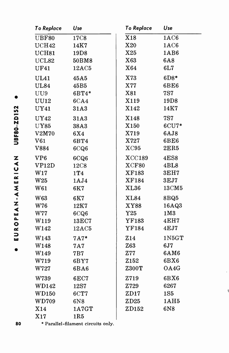| <b>To Replace</b> | Use              | <b>To Replace</b> | Use                |
|-------------------|------------------|-------------------|--------------------|
| <b>UBF80</b>      | <b>17C8</b>      | X18               | <b>1AC6</b>        |
| <b>UCH42</b>      | 14K7             | X20               | <b>1AC6</b>        |
| UCH81             | 19D8             | X25               | 1AB6               |
| UCL82             | 50BM8            | X63               | <b>6A8</b>         |
| <b>UF41</b>       | 12AC5            | X64               | 6L7                |
| <b>UL41</b>       | 45A5             | X73               | 6D8*               |
| <b>UL84</b>       | 45B5             | <b>X77</b>        | 6BE6               |
| UU9               | 6BT4*            | X81               | <b>7S7</b>         |
| <b>UU12</b>       | <b>6CA4</b>      | X119              | 19D8               |
| <b>UY41</b>       | 31A <sub>3</sub> | X142              | 14K7               |
| <b>UY42</b>       | 31A3             | X148              | <b>7S7</b>         |
| <b>UY85</b>       | 38A3             | X150              | 6CU7*              |
| V2M70             | 6X4              | X719              | 6AJ8               |
| V61               | 6BT4             | X727              | 6BEd               |
| V884              | 6CQ6             | XC95              | <b>2ER5</b>        |
| VP <sub>6</sub>   | 6CQ6             | <b>XCC189</b>     | <b>4ES8</b>        |
| <b>VP12D</b>      | <b>12C8</b>      | <b>XCF80</b>      | <b>4BL8</b>        |
| W17               | 1T4              | XF183             | <b>3EH7</b>        |
| W <sub>25</sub>   | 1AJ4             | <b>XF184</b>      | 3EJ7               |
| W61               | 6K7              | <b>XL36</b>       | 13CM5              |
| <b>W63</b>        | 6K7              | <b>XL84</b>       | 8BQ5               |
| <b>W76</b>        | 12K7             | XY88              | 16AQ3              |
| <b>W77</b>        | 6CQ6             | Y25               | 1M3                |
| W119              | <b>13EC7</b>     | <b>YF183</b>      | 4EH7               |
| W142              | <b>12AC5</b>     | <b>YF184</b>      | 4EJ7               |
| W143              | $7A7*$           | Z14               | 1 <sub>N5</sub> GT |
| W148              | 7A7              | Z63               | 6J7                |
| W149              | <b>7B7</b>       | <b>Z77</b>        | 6AM6               |
| W719              | 6BY7             | Z152              | $6{\rm BX6}$       |
| W727              | 6BA6             | Z300T             | OA4G               |
| W739              | <b>6EC7</b>      | Z719              | 6BX6               |
| <b>WD142</b>      | <b>12S7</b>      | Z729              | 6267               |
| <b>WD150</b>      | 6CT7             | ZD17              | 1S <sub>5</sub>    |
| <b>WD709</b>      | 6N8              | ZD25              | <b>1AH5</b>        |
| X14               | 1A7GT            | ZD152             | 6N8                |
| X17               | 1R5              |                   |                    |

80 \* Parallel-filament circuits only.

• UBF80-ZD152 EUROPEAN-AMERICAN •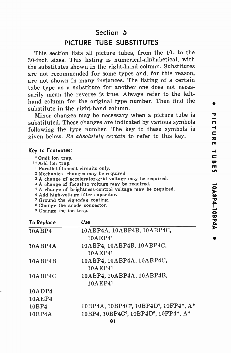# Section 5

## PICTURE TUBE SUBSTITUTES

This section lists all picture tubes, from the 10- to the 30-inch sizes. This listing is numerical-alphabetical, with the substitutes shown in the right-hand column. Substitutes are not recommended for some types and, for this reason, are not shown in many instances. The listing of a certain tube type as a substitute for another one does not necessarily mean the reverse is true. Always refer to the lefthand column for the original type number. Then find the substitute in the right-hand column.

Minor changes may be necessary when a picture tube is substituted. These changes are indicated by various symbols following the type number. The key to these symbols is given below. Be absolutely certain to refer to this key.

#### Key to Footnotes:

- \*Omit ion trap.
- \*\* Add ion trap.
- 1 Parallel-filament circuits only.
- 2 Mechanical changes may be required.
- <sup>3</sup> A change of accelerator-grid voltage may be required.
- A change of focusing voltage may be required.
- 5 A change of brightness-control voltage may be required.
- 6 Add high-voltage filter capacitor.
- Ground the Aquadag coating.
- Change the anode connector.
- Change the ion trap.

| To Replace | Use                                  |
|------------|--------------------------------------|
| 10ABP4     | 10ABP4A, 10ABP4B, 10ABP4C,           |
|            | 10AEP4                               |
| 10ABP4A    | 10ABP4, 10ABP4B, 10ABP4C,            |
|            | 10AEP4                               |
| 10ABP4B    | 10ABP4, 10ABP4A, 10ABP4C,            |
|            | 10AEP4                               |
| 10ABP4C    | 10ABP4, 10ABP4A, 10ABP4B,            |
|            | 10AEP41                              |
| 10ADP4     |                                      |
| 10AEP4     |                                      |
| 10BP4      | 10BP4A, 10BP4C', 10BP4D', 10FP4*, A* |
| 10BP4A     | 10BP4, 10BP4C', 10BP4D', 10FP4*, A*  |

•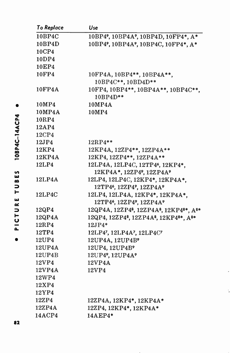|               | <b>To Replace</b> | Use                                               |
|---------------|-------------------|---------------------------------------------------|
|               | 10BP4C            | 10BP49, 10BP4A9, 10BP4D, 10FP4*, A*               |
|               | 10BP4D            | 10BP49, 10BP4A9, 10BP4C, 10FP4*, A*               |
|               | 10CP4             |                                                   |
|               | 10DP4             |                                                   |
|               | 10EP4             |                                                   |
|               | 10FP4             | 10FP4A, 10BP4**, 10BP4A**,                        |
|               |                   | 10BP4C**, 10BD4D**                                |
|               | 10FP4A            | 10FP4, 10BP4**, 10BP4A**, 10BP4C**,               |
|               |                   | 10BP4D**                                          |
|               | 10MP4             | <b>10MP4A</b>                                     |
|               | 10MP4A            | 10MP4                                             |
|               | 10RP4             |                                                   |
| 10BP4C-14ACP4 | 12AP4             |                                                   |
|               | 12CP4             |                                                   |
|               | 12JP4             | $12RP4**$                                         |
|               | 12KP4             | 12KP4A, 12ZP4**, 12ZP4A**                         |
|               | 12KP4A            | 12KP4, 12ZP4**, 12ZP4A**                          |
|               | 12LP4             | 12LP4A, 12LP4C, 12TP46, 12KP4*,                   |
| n             |                   | 12KP4A*, 12ZP4 <sup>9</sup> , 12ZP4A <sup>9</sup> |
| w<br>M        | 12LP4A            | 12LP4, 12LP4C, 12KP4*, 12KP4A*,                   |
| $\Rightarrow$ |                   | 12TP46, 12ZP49, 12ZP4A9                           |
| ⊢             | 12LP4C            | 12LP4, 12LP4A, 12KP4*, 12KP4A*,                   |
| ш<br>$\alpha$ |                   | 12TP46, 12ZP49, 12ZP4A9                           |
| P<br>F        | 12QP4             | 12QP4A, 12ZP48, 12ZP4A8, 12KP48*, A8*             |
|               | 12QP4A            | 12QP4, 12ZP48, 12ZP4A8, 12KP48*, A8*              |
| ن<br>2<br>4   | 12RP4             | 12JP4*                                            |
|               | 12TP4             | 12LP47, 12LP4A7, 12LP4C7                          |
| $\bullet$     | 12UP4             | 12UP4A, 12UP4B'                                   |
|               | 12UP4A            | 12UP4, 12UP4B'                                    |
|               | 12UP4B            | 12UP49, 12UP4A9                                   |
|               | 12VP4             | 12VP4A                                            |
|               | 12VP4A            | 12VP4                                             |
|               | 12WP4             |                                                   |
|               | 12XP4             |                                                   |
|               | 12YP4             |                                                   |
|               | 12ZP4             | 12ZP4A, 12KP4*, 12KP4A*                           |
|               | 12ZP4A            | 12ZP4, 12KP4*, 12KP4A*                            |
|               | 14ACP4            | 14AEP4*                                           |
|               |                   |                                                   |

۱.

tu rain an am Bàrtain an Dùbhan

 $\bullet$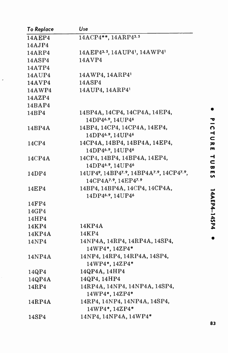| 14ACP4**, 14ARP43.5<br>14AEP43.5, 14AUP41, 14AWP41<br>14AVP4<br>14AWP4, 14ARP4'<br>14ASP4<br>14AUP4, 14ARP4'<br>14BP4A, 14CP4, 14CP4A, 14EP4,<br>14DP46.9, 14UP46<br>14BP4, 14CP4, 14CP4A, 14EP4,<br>14BP4A<br>14DP46.9, 14UP46<br>14CP4A, 14BP4, 14BP4A, 14EP4,<br>14CP4<br>14DP46.9, 14UP46<br>14CP4, 14BP4, 14BP4A, 14EP4,<br>14CP4A<br>14DP46.9, 14UP46<br>14UP49, 14BP47.9, 14BP4A7.9, 14CP47.9,<br>14DP4<br>14CP4A <sup>7.9</sup> , 14EP47.9<br>14BP4, 14BP4A, 14CP4, 14CP4A,<br>14EP4<br>14DP46.9, 14UP46<br>14FP4<br>14GP4<br>14HP4<br>14KP4A<br>14KP4<br>14KP4<br>14KP4A<br>14NP4A, 14RP4, 14RP4A, 14SP4,<br>14NP4<br>14WP4*, 14ZP4*<br>14NP4, 14RP4, 14RP4A, 14SP4,<br>14NP4A<br>14WP4*, 14ZP4*<br>14QP4A, 14HP4<br>14QP4<br>14QP4, 14HP4<br>14QP4A | To Replace    | Use                           |
|---------------------------------------------------------------------------------------------------------------------------------------------------------------------------------------------------------------------------------------------------------------------------------------------------------------------------------------------------------------------------------------------------------------------------------------------------------------------------------------------------------------------------------------------------------------------------------------------------------------------------------------------------------------------------------------------------------------------------------------------------------------|---------------|-------------------------------|
|                                                                                                                                                                                                                                                                                                                                                                                                                                                                                                                                                                                                                                                                                                                                                               | <b>14AEP4</b> |                               |
|                                                                                                                                                                                                                                                                                                                                                                                                                                                                                                                                                                                                                                                                                                                                                               | 14AJP4        |                               |
|                                                                                                                                                                                                                                                                                                                                                                                                                                                                                                                                                                                                                                                                                                                                                               | 14ARP4        |                               |
|                                                                                                                                                                                                                                                                                                                                                                                                                                                                                                                                                                                                                                                                                                                                                               | 14ASP4        |                               |
|                                                                                                                                                                                                                                                                                                                                                                                                                                                                                                                                                                                                                                                                                                                                                               | 14ATP4        |                               |
|                                                                                                                                                                                                                                                                                                                                                                                                                                                                                                                                                                                                                                                                                                                                                               | 14AUP4        |                               |
|                                                                                                                                                                                                                                                                                                                                                                                                                                                                                                                                                                                                                                                                                                                                                               | 14AVP4        |                               |
|                                                                                                                                                                                                                                                                                                                                                                                                                                                                                                                                                                                                                                                                                                                                                               | 14AWP4        |                               |
|                                                                                                                                                                                                                                                                                                                                                                                                                                                                                                                                                                                                                                                                                                                                                               | 14AZP4        |                               |
|                                                                                                                                                                                                                                                                                                                                                                                                                                                                                                                                                                                                                                                                                                                                                               | 14BAP4        |                               |
|                                                                                                                                                                                                                                                                                                                                                                                                                                                                                                                                                                                                                                                                                                                                                               | 14BP4         |                               |
|                                                                                                                                                                                                                                                                                                                                                                                                                                                                                                                                                                                                                                                                                                                                                               |               |                               |
|                                                                                                                                                                                                                                                                                                                                                                                                                                                                                                                                                                                                                                                                                                                                                               |               |                               |
|                                                                                                                                                                                                                                                                                                                                                                                                                                                                                                                                                                                                                                                                                                                                                               |               |                               |
|                                                                                                                                                                                                                                                                                                                                                                                                                                                                                                                                                                                                                                                                                                                                                               |               |                               |
|                                                                                                                                                                                                                                                                                                                                                                                                                                                                                                                                                                                                                                                                                                                                                               |               |                               |
|                                                                                                                                                                                                                                                                                                                                                                                                                                                                                                                                                                                                                                                                                                                                                               |               |                               |
|                                                                                                                                                                                                                                                                                                                                                                                                                                                                                                                                                                                                                                                                                                                                                               |               |                               |
|                                                                                                                                                                                                                                                                                                                                                                                                                                                                                                                                                                                                                                                                                                                                                               |               |                               |
|                                                                                                                                                                                                                                                                                                                                                                                                                                                                                                                                                                                                                                                                                                                                                               |               |                               |
|                                                                                                                                                                                                                                                                                                                                                                                                                                                                                                                                                                                                                                                                                                                                                               |               |                               |
|                                                                                                                                                                                                                                                                                                                                                                                                                                                                                                                                                                                                                                                                                                                                                               |               |                               |
|                                                                                                                                                                                                                                                                                                                                                                                                                                                                                                                                                                                                                                                                                                                                                               |               |                               |
|                                                                                                                                                                                                                                                                                                                                                                                                                                                                                                                                                                                                                                                                                                                                                               |               |                               |
|                                                                                                                                                                                                                                                                                                                                                                                                                                                                                                                                                                                                                                                                                                                                                               |               |                               |
|                                                                                                                                                                                                                                                                                                                                                                                                                                                                                                                                                                                                                                                                                                                                                               |               |                               |
|                                                                                                                                                                                                                                                                                                                                                                                                                                                                                                                                                                                                                                                                                                                                                               |               |                               |
|                                                                                                                                                                                                                                                                                                                                                                                                                                                                                                                                                                                                                                                                                                                                                               |               |                               |
|                                                                                                                                                                                                                                                                                                                                                                                                                                                                                                                                                                                                                                                                                                                                                               |               |                               |
|                                                                                                                                                                                                                                                                                                                                                                                                                                                                                                                                                                                                                                                                                                                                                               |               |                               |
|                                                                                                                                                                                                                                                                                                                                                                                                                                                                                                                                                                                                                                                                                                                                                               |               |                               |
|                                                                                                                                                                                                                                                                                                                                                                                                                                                                                                                                                                                                                                                                                                                                                               |               |                               |
|                                                                                                                                                                                                                                                                                                                                                                                                                                                                                                                                                                                                                                                                                                                                                               |               |                               |
|                                                                                                                                                                                                                                                                                                                                                                                                                                                                                                                                                                                                                                                                                                                                                               | 14RP4         | 14RP4A, 14NP4, 14NP4A, 14SP4, |
| 14WP4*, 14ZP4*                                                                                                                                                                                                                                                                                                                                                                                                                                                                                                                                                                                                                                                                                                                                                |               |                               |
| 14RP4, 14NP4, 14NP4A, 14SP4,<br>14RP4A                                                                                                                                                                                                                                                                                                                                                                                                                                                                                                                                                                                                                                                                                                                        |               |                               |
| 14WP4*, 14ZP4*                                                                                                                                                                                                                                                                                                                                                                                                                                                                                                                                                                                                                                                                                                                                                |               |                               |
| 14NP4, 14NP4A, 14WP4*<br>14SP4                                                                                                                                                                                                                                                                                                                                                                                                                                                                                                                                                                                                                                                                                                                                |               |                               |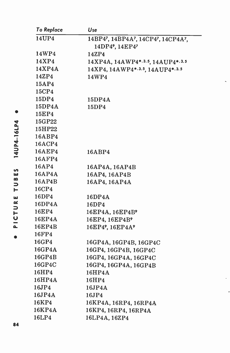| To Replace | Use                                  |
|------------|--------------------------------------|
| 14UP4      | 14BP47, 14BP4A7, 14CP47, 14CP4A7,    |
|            | 14DP49, 14EP47                       |
| 14WP4      | 14ZP4                                |
| 14XP4      | 14XP4A, 14AWP4*, 3, 5, 14AUP4*, 3, 5 |
| 14XP4A     | 14XP4, 14AWP4*, 3, 5, 14AUP4*, 3, 5  |
| 14ZP4      | 14WP4                                |
| 15AP4      |                                      |
| 15CP4      |                                      |
| 15DP4      | 15DP4A                               |
| 15DP4A     | 15DP4                                |
| 15EP4      |                                      |
| 15GP22     |                                      |
| 15HP22     |                                      |
| 16ABP4     |                                      |
| 16ACP4     |                                      |
| 16AEP4     | 16ABP4                               |
| 16AFP4     |                                      |
| 16AP4      | 16AP4A, 16AP4B                       |
| 16AP4A     | 16AP4, 16AP4B                        |
| 16AP4B     | 16AP4, 16AP4A                        |
| 16CP4      |                                      |
| 16DP4      | 16DP4A                               |
| 16DP4A     | 16DP4                                |
| 16EP4      | 16EP4A, 16EP4B'                      |
| 16EP4A     | 16EP4, 16EP4B'                       |
| 16EP4B     | 16EP49, 16EP4A9                      |
| 16FP4      |                                      |
| 16GP4      | 16GP4A, 16GP4B, 16GP4C               |
| 16GP4A     | 16GP4, 16GP4B, 16GP4C                |
| 16GP4B     | 16GP4, 16GP4A, 16GP4C                |
| $16$ GP4C  | 16GP4, 16GP4A, 16GP4B                |
| 16HP4      | 16HP4A                               |
| 16HP4A     | 16HP4                                |
| 16JP4      | 16JP4A                               |
| 16JP4A     | 16JP4                                |
| 16KP4      | 16KP4A, 16RP4, 16RP4A                |
| 16KP4A     | 16KP4, 16RP4, 16RP4A                 |
| 16LP4      | 16LP4A, 16ZP4                        |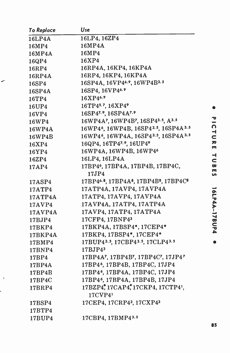| To Replace    | Use                                                                       |
|---------------|---------------------------------------------------------------------------|
| 16LP4A        | 16LP4, 16ZP4                                                              |
| 16MP4         | <b>16MP4A</b>                                                             |
| 16MP4A        | 16MP4                                                                     |
| 16QP4         | 16XP4                                                                     |
| 16RP4         | 16RP4A, 16KP4, 16KP4A                                                     |
| 16RP4A        | 16RP4, 16KP4, 16KP4A                                                      |
| 16SP4         | 16SP4A, 16VP46.9, 16WP4B3.5                                               |
| 16SP4A        | 16SP4, 16VP46.9                                                           |
| 16TP4         | 16XP4 <sup>6.9</sup>                                                      |
| 16UP4         | 16TP45.7, 16XP49                                                          |
| 16VP4         | 16SP47.9, 16SP4A7.9                                                       |
| 16WP4         | 16WP4A7, 16WP4B7, 16SP43.5, A3.5                                          |
| 16WP4A        | 16WP46, 16WP4B, 16SP43.5, 16SP4A3.5                                       |
| 16WP4B        | 16WP4 <sup>6</sup> , 16WP4A, 16SP4 <sup>3,5</sup> , 16SP4A <sup>3,5</sup> |
| 16XP4         | 16QP4, 16TP47.9, 16UP49                                                   |
| 16YP4         | 16WP4A, 16WP4B, 16WP46                                                    |
| 16ZP4         | 16LP4, 16LP4A                                                             |
| 17AP4         | 17BP46, 17BP4A, 17BP4B, 17BP4C,                                           |
|               | 17JP4                                                                     |
| 17ASP4        | 17BP46.8, 17BP4A8, 17BP4B8, 17BP4C8                                       |
| 17ATP4        | 17ATP4A, 17AVP4, 17AVP4A                                                  |
| 17ATP4A       | 17ATP4, 17AVP4, 17AVP4A                                                   |
| 17AVP4        | 17AVP4A, 17ATP4, 17ATP4A                                                  |
| 17AVP4A       | 17AVP4, 17ATP4, 17ATP4A                                                   |
| 17BJP4        | 17CFP4, 17BNP43                                                           |
| 17BKP4        | 17BKP4A, 17BSP4*, 17CEP4*                                                 |
| 17BKP4A       | 17BKP4, 17BSP4*, 17CEP4*                                                  |
| 17BMP4        | 17BUP43.5, 17CBP43.5, 17CLP43.5                                           |
| 17BNP4        | 17BJP4 <sup>3</sup>                                                       |
| 17BP4         | 17BP4A7, 17BP4B7, 17BP4C7, 17JP47                                         |
| 17BP4A        | 17BP46, 17BP4B, 17BP4C, 17JP4                                             |
| 17BP4B        | 17BP46, 17BP4A, 17BP4C, 17JP4                                             |
| 17BP4C        | 17BP46, 17BP4A, 17BP4B, 17JP4                                             |
| <b>17BRP4</b> | 17BZP4, 17CAP4, 17CKP4, 17CTP41,<br>17CVP41                               |
| 17BSP4        | 17CEP4, 17CRP43, 17CXP43                                                  |
| 17BTP4        |                                                                           |
| 17BUP4        | 17CBP4, 17BMP43.5                                                         |
|               |                                                                           |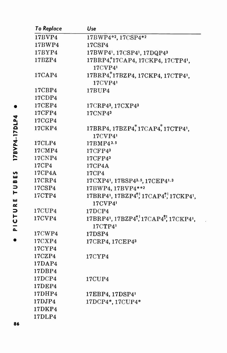| To Replace    | Use                                                                      |
|---------------|--------------------------------------------------------------------------|
| 17BVP4        | 17BWP4*2, 17CSP4*2                                                       |
| 17BWP4        | <b>17CSP4</b>                                                            |
| 17BYP4        | 17BWP4 <sup>1</sup> , 17CSP4 <sup>1</sup> , 17DQP4 <sup>3</sup>          |
| 17BZP4        | 17BRP4,*17CAP4, 17CKP4, 17CTP41,                                         |
|               | 17CVP41                                                                  |
| <b>17CAP4</b> | 17BRP4, 17BZP4, 17CKP4, 17CTP41,                                         |
|               | 17CVP41                                                                  |
| 17CBP4        | <b>17BUP4</b>                                                            |
| <b>17CDP4</b> |                                                                          |
| <b>17CEP4</b> | 17CRP43, 17CXP43                                                         |
| <b>17CFP4</b> | 17CNP43                                                                  |
| 17CGP4        |                                                                          |
| <b>17CKP4</b> | 17BRP4, 17BZP4, 17CAP4, 17CTP41,                                         |
|               | 17CVP41                                                                  |
| <b>17CLP4</b> | 17BMP43.5                                                                |
| 17CMP4        | 17CFP43                                                                  |
| 17CNP4        | 17CFP43                                                                  |
| 17CP4         | <b>17CP4A</b>                                                            |
| 17CP4A        | <b>17CP4</b>                                                             |
| <b>17CRP4</b> | 17CXP41, 17BSP43.5, 17CEP41.3                                            |
| 17CSP4        | 17BWP4, 17BVP4**2                                                        |
| 17CTP4        | 17BRP41, 17BZP4 <sup>*</sup> , 17CAP4 <sup>*</sup> , 17CKP41.            |
|               | 17CVP4                                                                   |
| <b>17CUP4</b> | 17DCP4                                                                   |
| <b>17CVP4</b> | 17BRP41, 17BZP4 <sup>*</sup> , 17CAP4 <sup>†</sup> , 17CKP41.<br>17CTP41 |
| <b>17CWP4</b> | 17DSP4                                                                   |
| 17CXP4        | 17CRP4, 17CEP43                                                          |
| 17CYP4        |                                                                          |
| 17CZP4        | 17CYP4                                                                   |
| 17DAP4        |                                                                          |
| 17DBP4        |                                                                          |
| 17DCP4        | <b>17CUP4</b>                                                            |
| <b>17DEP4</b> |                                                                          |
| 17DHP4        | 17EBP4, 17DSP41                                                          |
| 17DJP4        | 17DCP4*, 17CUP4*                                                         |
| 17DKP4        |                                                                          |
| 17DLP4        |                                                                          |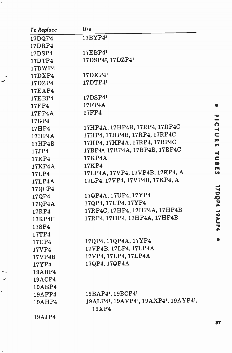| <b>To Replace</b>  | Use                                   |
|--------------------|---------------------------------------|
| 17DQP4             | 17BYP43                               |
| 17DRP4             |                                       |
| 17DSP4             | 17EBP4 <sup>1</sup>                   |
| 17DTP4             | 17DSP42, 17DZP41                      |
| 17DWP4             |                                       |
| 17DXP4             | 17DKP4                                |
| 17DZP4             | 17DTP4'                               |
| <b>17EAP4</b>      |                                       |
| 17EBP4             | $17$ $DSP4$ <sup><math>1</math></sup> |
| 17FP4              | 17FP4A                                |
| 17FP4A             | <b>17FP4</b>                          |
| 17GP4              |                                       |
| 17HP4              | 17HP4A, 17HP4B, 17RP4, 17RP4C         |
| 17HP4A             | 17HP4, 17HP4B, 17RP4, 17RP4C          |
| 17HP4B             | 17HP4, 17HP4A, 17RP4, 17RP4C          |
| 17JP4              | 17BP46, 17BP4A, 17BP4B, 17BP4C        |
| 17KP4              | 17KP4A                                |
| 17KP4A             | 17KP4                                 |
| 17LP4              | 17LP4A, 17VP4, 17VP4B, 17KP4, A       |
| 17LP4A             | 17LP4, 17VP4, 17VP4B, 17KP4, A        |
| 17QCP4             |                                       |
| 17QP4              | 17QP4A, 17UP4, 17YP4                  |
| 17QP4A             | 17QP4, 17UP4, 17YP4                   |
| 17RP4              | 17RP4C, 17HP4, 17HP4A, 17HP4B         |
| 17RP4C             | 17RP4, 17HP4, 17HP4A, 17HP4B          |
| 17SP4              |                                       |
| 17TP4              |                                       |
| 17UP4              | 17QP4, 17QP4A, 17YP4                  |
| 17VP4              | 17VP4B, 17LP4, 17LP4A                 |
| 17VP4B             | 17VP4, 17LP4, 17LP4A                  |
| 17YP4              | 17QP4, 17QP4A                         |
| 19ABP4             |                                       |
| 19ACP4             |                                       |
| 19AEP <sub>4</sub> |                                       |
| 19AFP4             | 19BAP4', 19BCP4'                      |
| 19AHP4             | 19ALP41, 19AVP41, 19AXP41, 19AYP41,   |
|                    | 19XP4 <sup>1</sup>                    |
| 19AJP4             |                                       |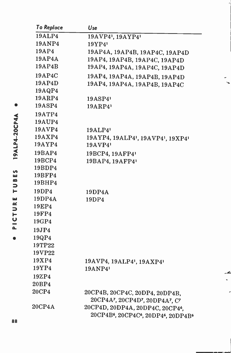| To Replace    | Use                                                                               |
|---------------|-----------------------------------------------------------------------------------|
| <b>19ALP4</b> | 19AVP4', 19AYP4'                                                                  |
| 19ANP4        | 19YP4'                                                                            |
| 19AP4         | 19AP4A, 19AP4B, 19AP4C, 19AP4D                                                    |
| 19AP4A        | 19AP4, 19AP4B, 19AP4C, 19AP4D                                                     |
| 19AP4B        | 19AP4, 19AP4A, 19AP4C, 19AP4D                                                     |
| 19AP4C        | 19AP4, 19AP4A, 19AP4B, 19AP4D                                                     |
| 19AP4D        | 19AP4, 19AP4A, 19AP4B, 19AP4C                                                     |
| 19AQP4        |                                                                                   |
| 19ARP4        | 19ASP41                                                                           |
| 19ASP4        | 19ARP41                                                                           |
| 19ATP4        |                                                                                   |
| 19AUP4        |                                                                                   |
| 19AVP4        | 19ALP4 <sup>1</sup>                                                               |
| 19AXP4        | 19AYP4, 19ALP4', 19AVP4', 19XP4'                                                  |
| 19AYP4        | 19AVP41                                                                           |
| 19BAP4        | 19BCP4, 19AFP41                                                                   |
| 19BCP4        | 19BAP4, 19AFP41                                                                   |
| 19BDP4        |                                                                                   |
| 19BFP4        |                                                                                   |
| 19BHP4        |                                                                                   |
| 19DP4         | 19DP4A                                                                            |
| 19DP4A        | 19DP4                                                                             |
| 19EP4         |                                                                                   |
| 19FP4         |                                                                                   |
| 19GP4         |                                                                                   |
| 19JP4         |                                                                                   |
| 19QP4         |                                                                                   |
| 19TP22        |                                                                                   |
| 19VP22        |                                                                                   |
| 19XP4         | 19AVP4, 19ALP4', 19AXP4'                                                          |
| 19YP4         | 19ANP41                                                                           |
| 19ZP4         |                                                                                   |
| 20BP4         |                                                                                   |
| 20CP4         | 20CP4B, 20CP4C, 20DP4, 20DP4B.<br>20CP4A7, 20CP4D7, 20DP4A7, C7                   |
| <b>20CP4A</b> | 20CP4D, 20DP4A, 20DP4C, 20CP4 <sup>6</sup> .<br>20CP4B6, 20CP4C6, 20DP46, 20DP4B6 |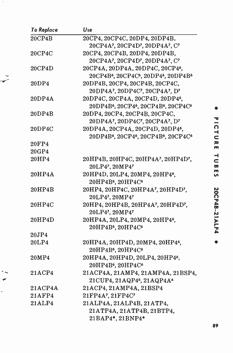| To Replace    | Use                                                |
|---------------|----------------------------------------------------|
| 20CP4B        | 20CP4, 20CP4C, 20DP4, 20DP4B,                      |
|               | 20CP4A', 20CP4D', 20DP4A', C'                      |
| <b>20CP4C</b> | 20CP4, 20CP4B, 20DP4, 20DP4B,                      |
|               | 20CP4A', 20CP4D', 20DP4A', C'                      |
| <b>20CP4D</b> | 20CP4A, 20DP4A, 20DP4C, 20CP46,                    |
|               | 20CP4B6, 20CP4C6, 20DP46, 20DP4B6                  |
| 20DP4         | 20DP4B, 20CP4, 20CP4B, 20CP4C,                     |
|               | 20DP4A', 20DP4C', 20CP4A', D'                      |
| 20DP4A        | 20DP4C, 20CP4A, 20CP4D, 20DP46,                    |
|               | 20DP4B6, 20CP46, 20CP4B6, 20CP4C6                  |
| 20DP4B        | 20DP4, 20CP4, 20CP4B, 20CP4C,                      |
|               | 20DP4A', 20DP4C', 20CP4A', D'                      |
| 20DP4C        | 20DP4A, 20CP4A, 20CP4D, 20DP46,                    |
|               | 20DP4B6, 20CP46, 20CP4B6, 20CP4C6                  |
| 20FP4         |                                                    |
| 20GP4         |                                                    |
| 20HP4         | 20HP4B, 20HP4C, 20HP4A', 20HP4D',                  |
|               | 20LP47, 20MP47                                     |
| <b>20HP4A</b> | 20HP4D, 20LP4, 20MP4, 20HP4 <sup>6</sup> ,         |
|               | 20HP4B <sup>6</sup> , 20HP4C <sup>6</sup>          |
| 20HP4B        | 20HP4, 20HP4C, 20HP4A', 20HP4D',                   |
|               | 20LP47, 20MP47                                     |
| 20HP4C        | 20HP4, 20HP4B, 20HP4A', 20HP4D',                   |
|               | 20LP47, 20MP47                                     |
| 20HP4D        | 20HP4A, 20LP4, 20MP4, 20HP46,                      |
|               | 20HP4B6, 20HP4C6                                   |
| 20JP4         |                                                    |
| 20LP4         | 20HP4A, 20HP4D, 20MP4, 20HP46,                     |
|               | 20HP4B <sup>6</sup> , 20HP4C <sup>6</sup>          |
| 20MP4         | 20HP4A, 20HP4D, 20LP4, 20HP46,                     |
|               | 20HP4B <sup>6</sup> , 20HP4C <sup>6</sup>          |
| 21ACP4        | 21ACP4A, 21AMP4, 21AMP4A, 21BSP4,                  |
|               | 21CUP4, 21AQP4 <sup>6</sup> , 21AQP4A <sup>6</sup> |
| 21ACP4A       | 21ACP4, 21AMP4A, 21BSP4                            |
| 21AFP4        | 21FP4A7, 21FP4C7                                   |
| 21 A L P 4    | 21ALP4A, 21ALP4B, 21ATP4,                          |
|               | 21ATP4A, 21ATP4B, 21BTP4,                          |
|               | 21BAP4*, 21BNP4*                                   |

 $\overline{\phantom{a}}$ er

• PICTURE TUBES 20CP4B-21ALP4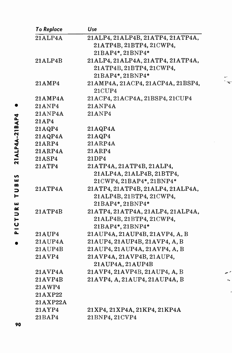| To Replace     | Use                               |
|----------------|-----------------------------------|
| 21A L P4A      | 21ALP4, 21ALP4B, 21ATP4, 21ATP4A, |
|                | 21ATP4B, 21BTP4, 21CWP4,          |
|                | 21BAP4*, 21BNP4*                  |
| 21ALP4B        | 21ALP4, 21ALP4A, 21ATP4, 21ATP4A, |
|                | 21ATP4B, 21BTP4, 21CWP4,          |
|                | 21BAP4*, 21BNP4*                  |
| 21AMP4         | 21AMP4A, 21ACP4, 21ACP4A, 21BSP4, |
|                | 21CUP4                            |
| 21 AMP4 A      | 21ACP4, 21ACP4A, 21BSP4, 21CUP4   |
| 21ANP4         | <b>21ANP4A</b>                    |
| 21ANP4A        | 21ANP4                            |
| 21AP4          |                                   |
| 21AQP4         | 21AQP4A                           |
| 21AQP4A        | 21AQP4                            |
| 21ARP4         | 21ARP4A                           |
| 21 A R P 4 A   | 21ARP4                            |
| 21ASP4         | 21DP4                             |
| 21ATP4         | 21ATP4A, 21ATP4B, 21ALP4,         |
|                | 21ALP4A, 21ALP4B, 21BTP4,         |
|                | 21CWP4, 21BAP4*, 21BNP4*          |
| 21ATP4A        | 21ATP4, 21ATP4B, 21ALP4, 21ALP4A, |
|                | 21ALP4B, 21BTP4, 21CWP4,          |
|                | 21BAP4*, 21BNP4*                  |
| 21ATP4B        | 21ATP4, 21ATP4A, 21ALP4, 21ALP4A, |
|                | 21ALP4B, 21BTP4, 21CWP4,          |
|                | 21BAP4*, 21BNP4*                  |
| 21AUP4         | 21AUP4A, 21AUP4B, 21AVP4, A, B    |
| 21AUP4A        | 21AUP4, 21AUP4B, 21AVP4, A, B     |
| 21AUP4B        | 21AUP4, 21AUP4A, 21AVP4, A, B     |
| 21AVP4         | 21AVP4A, 21AVP4B, 21AUP4,         |
|                | 21AUP4A, 21AUP4B                  |
| 21 A V P 4 A   | 21AVP4, 21AVP4B, 21AUP4, A, B     |
| <b>21AVP4B</b> | 21AVP4, A, 21AUP4, 21AUP4A, B     |
| 21 A W P 4     |                                   |
| 21AXP22        |                                   |
| 21 A X P 22 A  |                                   |
| 21AYP4         | 21XP4, 21XP4A, 21KP4, 21KP4A      |
| 21BAP4         | 21BNP4, 21CVP4                    |

e•  $\sim$ 

 $\frac{1}{\sqrt{2}}$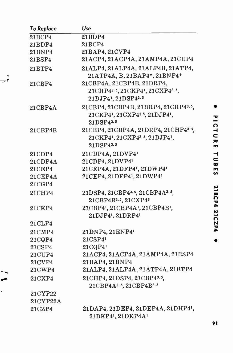|               | To Replace         | Use                                                                                            |
|---------------|--------------------|------------------------------------------------------------------------------------------------|
|               | <b>21BCP4</b>      | 21BDP4                                                                                         |
|               | 21BDP4             | 21BCP4                                                                                         |
|               | 21BNP4             | 21BAP4, 21CVP4                                                                                 |
|               | 21BSP4             | 21ACP4, 21ACP4A, 21AMP4A, 21CUP4                                                               |
|               | 21 <sub>BTP4</sub> | 21ALP4, 21ALP4A, 21ALP4B, 21ATP4,<br>21ATP4A, B, 21BAP4*, 21BNP4*                              |
| $\rightarrow$ | 21CBP4             | 21CBP4A, 21CBP4B, 21DRP4,<br>21CHP43.5, 21CKP41, 21CXP43.5,<br>21DJP4 <sup>1</sup> , 21DSP43.5 |
|               | $21$ CBP4A         | 21CBP4, 21CBP4B, 21DRP4, 21CHP43.5,<br>21CKP41, 21CXP43.5, 21DJP41,<br>21DSP43.5               |
|               | 21CBP4B            | 21CBP4, 21CBP4A, 21DRP4, 21CHP43,5,<br>21CKP41, 21CXP43.5, 21DJP41,<br>21DSP43.5               |
|               | 21CDP4             | 21CDP4A, 21DVP4'                                                                               |
|               | 21CDP4A            | 21CDP4, 21DVP4'                                                                                |
|               | <b>21CEP4</b>      | 21CEP4A, 21DFP4', 21DWP4'                                                                      |
|               | <b>21CEP4A</b>     | 21CEP4, 21DFP4', 21DWP4'                                                                       |
|               | 21CGP4             |                                                                                                |
|               | 21CHP4             | 21DSP4, 21CBP43.5, 21CBP4A3.5,                                                                 |
|               |                    | 21CBP4B <sup>3, 5</sup> , 21CXP4 <sup>3</sup>                                                  |
|               | 21CKP4             | 21CBP4', 21CBP4A', 21CBP4B',<br>21DJP4', 21DRP4'                                               |
|               | <b>21CLP4</b>      |                                                                                                |
|               | 21CMP4             | 21DNP4, 21ENP4'                                                                                |
|               | 21CQP4             | 21CSP4'                                                                                        |
|               | 21CSP4             | 21CQP4'                                                                                        |
|               | 21CUP4             | 21ACP4, 21ACP4A, 21AMP4A, 21BSP4                                                               |
|               | 21CVP4             | 21BAP4, 21BNP4                                                                                 |
|               | 21CWP4             | 21ALP4, 21ALP4A, 21ATP4A, 21BTP4                                                               |
| r             | 21CXP4             | 21CHP4, 21DSP4, 21CBP43.5,<br>21CBP4A3.5, 21CBP4B3.5                                           |
|               | 21CYP22            |                                                                                                |
|               | 21CYP22A           |                                                                                                |
|               | 21CZP4             | 21DAP4, 21DEP4, 21DEP4A, 21DHP4',                                                              |
|               |                    | 21DKP4', 21DKP4A'                                                                              |

•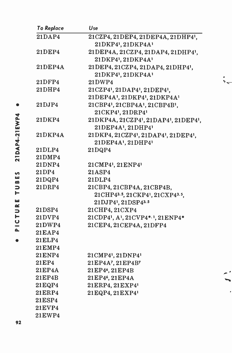| <b>To Replace</b> | Use                                 |                          |
|-------------------|-------------------------------------|--------------------------|
| <b>21DAP4</b>     | 21CZP4, 21DEP4, 21DEP4A, 21DHP4',   |                          |
|                   | 21DKP4', 21DKP4A'                   |                          |
| <b>21DEP4</b>     | 21DEP4A, 21CZP4, 21DAP4, 21DHP4',   |                          |
|                   | 21DKP4', 21DKP4A'                   |                          |
| 21DEP4A           | 21DEP4, 21CZP4, 21DAP4, 21DHP4',    |                          |
|                   | 21DKP4', 21DKP4A'                   |                          |
| <b>21DFP4</b>     | 21DWP4                              | $\overline{\mathcal{F}}$ |
| <b>21DHP4</b>     | 21CZP4', 21DAP4', 21DEP4',          |                          |
|                   | 21DEP4A', 21DKP4', 21DKP4A'         |                          |
| 21DJP4            | 21CBP41, 21CBP4A1, 21CBP4B1,        |                          |
|                   | 21CKP4', 21DRP4'                    |                          |
| 21DKP4            | 21DKP4A, 21CZP4', 21DAP4', 21DEP4', |                          |
|                   | 21DEP4A', 21DHP4'                   |                          |
| 21DKP4A           | 21DKP4, 21CZP4', 21DAP4', 21DEP4',  |                          |
|                   | 21DEP4A', 21DHP4'                   |                          |
| 21DLP4            | 21DQP4                              |                          |
| 21DMP4            |                                     |                          |
| <b>21DNP4</b>     | 21CMP4', 21ENP4'                    |                          |
| 21DP4             | <b>21ASP4</b>                       |                          |
| 21DQP4            | 21DLP4                              |                          |
| 21DRP4            | 21CBP4, 21CBP4A, 21CBP4B,           |                          |
|                   | 21CHP43.5, 21CKP41, 21CXP43.5,      |                          |
|                   | 21DJP4', 21DSP43.5                  |                          |
| 21DSP4            | 21CHP4, 21CXP4                      |                          |
| 21DVP4            | 21CDP4', A', 21CVP4*'', 21ENP4*     |                          |
| 21DWP4            | 21CEP4, 21CEP4A, 21DFP4             |                          |
| <b>21EAP4</b>     |                                     |                          |
| <b>21ELP4</b>     |                                     |                          |
| <b>21EMP4</b>     |                                     |                          |
| <b>21ENP4</b>     | 21CMP4', 21DNP4'                    |                          |
| <b>21EP4</b>      | 21EP4A7, 21EP4B7                    |                          |
| 21EP4A            | 21EP46, 21EP4B                      |                          |
| <b>21EP4B</b>     | 21EP46, 21EP4A                      |                          |
| 21EQP4            | 21ERP4, 21EXP4'                     |                          |
| <b>21ERP4</b>     | 21EQP4, 21EXP4'                     |                          |
| <b>21ESP4</b>     |                                     |                          |
| <b>21EVP4</b>     |                                     |                          |
| <b>21EWP4</b>     |                                     |                          |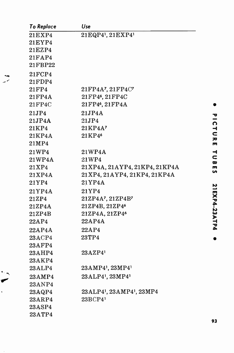| <b>To Replace</b> | Use                           |
|-------------------|-------------------------------|
| 21EXP4            | 21EQP4', 21EXP4'              |
| 21EYP4            |                               |
| 21EZP4            |                               |
| 21FAP4            |                               |
| 21FBP22           |                               |
| <b>21FCP4</b>     |                               |
| 21FDP4            |                               |
| 21FP4             | 21FP4A7, 21FP4C7              |
| 21FP4A            | 21FP46, 21FP4C                |
| 21FP4C            | 21FP46, 21FP4A                |
| 21JP4             | 21JP4A                        |
| 21JP4A            | 21JP4                         |
| 21KP4             | 21KP4A <sup>7</sup>           |
| 21KP4A            | 21KP4 <sup>6</sup>            |
| 21MP4             |                               |
| 21WP4             | 21WP4A                        |
| 21WP4A            | 21WP4                         |
| 21XP4             | 21XP4A, 21AYP4, 21KP4, 21KP4A |
| 21XP4A            | 21XP4, 21AYP4, 21KP4, 21KP4A  |
| 21YP4             | 21YP4A                        |
| 21 Y P 4 A        | 21YP4                         |
| 21ZP4             | 21ZP4A', 21ZP4B'              |
| 21ZP4A            | 21ZP4B, 21ZP46                |
| 21ZP4B            | 21ZP4A, 21ZP46                |
| 22AP4             | 22AP4A                        |
| 22AP4A            | 22AP4                         |
| 23ACP4            | 23TP4                         |
| 23AFP4            |                               |
| 23AHP4            | 23AZP4'                       |
| 23AKP4            |                               |
| 23 A L P 4        | 23AMP4', 23MP4'               |
| 23 AMP4           | 23ALP4', 23MP4'               |
| 23ANP4            |                               |
| 23AQP4            | 23ALP4', 23AMP4', 23MP4       |
| <b>23ARP4</b>     | 23BCP4 <sup>1</sup>           |
| 23ASP4            |                               |
| 23 A T P 4        |                               |

 $\tilde{\phantom{a}}$ 

-4 rn 21EXP4-23ATP4 •

•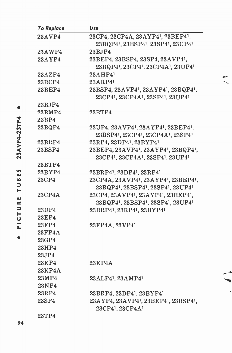| <b>To Replace</b>  | Use                                              |  |
|--------------------|--------------------------------------------------|--|
| <b>23AVP4</b>      | 23CP4, 23CP4A, 23AYP4', 23BEP4',                 |  |
|                    | 23BQP41, 23BSP41, 23SP41, 23UP41                 |  |
| 23 A W P 4         | 23BJP4                                           |  |
| 23AYP4             | 23BEP4, 23BSP4, 23SP4, 23AVP41,                  |  |
|                    | 23BQP41, 23CP41, 23CP4A1, 23UP41                 |  |
| 23AZP4             | 23AHP41                                          |  |
| 23 <sub>BCP4</sub> | 23ARP41                                          |  |
| 23BEP4             | 23BSP4, 23AVP41, 23AYP41, 23BQP41,               |  |
|                    | 23CP41, 23CP4A1, 23SP41, 23UP41                  |  |
| 23BJP4             |                                                  |  |
| 23BMP4             | 23BTP4                                           |  |
| 23 <sub>BP4</sub>  |                                                  |  |
| 23BQP4             | 23UP4, 23AVP41, 23AYP41, 23BEP41,                |  |
|                    | 23BSP41, 23CP41, 23CP4A1, 23SP41                 |  |
| 23BRP4             | 23RP4, 23DP4 <sup>1</sup> , 23BYP4 <sup>1</sup>  |  |
| 23BSP4             | 23BEP4, 23AVP41, 23AYP41, 23BQP41,               |  |
|                    | 23CP41, 23CP4A1, 23SP41, 23UP41                  |  |
| 23BTP4             |                                                  |  |
| 23BYP4             | 23BRP4', 23DP4', 23RP4'                          |  |
| 23CP4              | 23CP4A, 23AVP41, 23AYP41, 23BEP41,               |  |
|                    | 23BQP41, 23BSP41, 23SP41, 23UP41                 |  |
| <b>23CP4A</b>      | 23CP4, 23AVP41, 23AYP41, 23BEP41,                |  |
|                    | 23BQP41, 23BSP41, 23SP41, 23UP41                 |  |
| 23DP4              | 23BRP41, 23RP41, 23BYP41                         |  |
| 23EP4              |                                                  |  |
| 23FP4              | 23FP4A, 23VP41                                   |  |
| 23FP4A             |                                                  |  |
| 23GP4              |                                                  |  |
| 23HP4              |                                                  |  |
| 23JP4              |                                                  |  |
| 23KP4              | 23KP4A                                           |  |
| 23KP4A             |                                                  |  |
| 23MP4              | 23ALP41, 23AMP41                                 |  |
| 23NP4              |                                                  |  |
| 23RP4              | 23BRP4, 23DP4 <sup>1</sup> , 23BYP4 <sup>1</sup> |  |
| 23SP4              | 23AYP4, 23AVP4', 23BEP4', 23BSP4',               |  |
|                    | 23CP41, 23CP4A1                                  |  |
| 23TP4              |                                                  |  |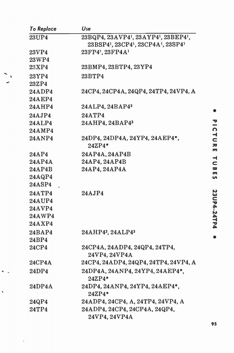|    | To Replace    | Use                                                                    |
|----|---------------|------------------------------------------------------------------------|
|    | 23UP4         | 23BQP4, 23AVP4', 23AYP4', 23BEP4',<br>23BSP41, 23CP41, 23CP4A1, 23SP41 |
|    | 23VP4         | 23FP4', 23FP4A'                                                        |
|    | 23WP4         |                                                                        |
|    | 23XP4         | 23BMP4, 23BTP4, 23YP4                                                  |
|    | 23YP4         | 23BTP4                                                                 |
|    | 23ZP4         |                                                                        |
|    | 24ADP4        | 24CP4, 24CP4A, 24QP4, 24TP4, 24VP4, A                                  |
|    | 24AEP4        |                                                                        |
|    | 24AHP4        | 24ALP4, 24BAP43                                                        |
|    | 24AJP4        | 24ATP4                                                                 |
|    | 24ALP4        | 24AHP4, 24BAP43                                                        |
|    | 24AMP4        |                                                                        |
|    | 24 AN P4      | 24DP4, 24DP4A, 24YP4, 24AEP4*,<br>24ZP4*                               |
|    | 24AP4         | 24AP4A, 24AP4B                                                         |
|    | 24AP4A        | 24AP4, 24AP4B                                                          |
|    | 24AP4B        | 24AP4, 24AP4A                                                          |
|    | 24AQP4        |                                                                        |
|    | 24ASP4        |                                                                        |
|    | 24ATP4        | 24AJP4                                                                 |
|    | <b>24AUP4</b> |                                                                        |
|    | 24AVP4        |                                                                        |
|    | 24AWP4        |                                                                        |
|    | 24AXP4        |                                                                        |
|    | 24BAP4        | 24AHP43, 24ALP43                                                       |
|    | 24BP4         |                                                                        |
|    | 24CP4         | 24CP4A, 24ADP4, 24QP4, 24TP4,<br>24VP4.24VP4A                          |
|    | 24CP4A        | 24CP4, 24ADP4, 24QP4, 24TP4, 24VP4, A                                  |
|    | 24DP4         | 24DP4A, 24ANP4, 24YP4, 24AEP4*,<br>$24ZP4*$                            |
| À, | 24DP4A        | 24DP4, 24ANP4, 24YP4, 24AEP4*,<br>24ZP4*                               |
|    | 24QP4         | 24ADP4, 24CP4, A, 24TP4, 24VP4, A                                      |
|    | 24TP4         | 24ADP4, 24CP4, 24CP4A, 24QP4,                                          |
|    |               | 24VP4, 24VP4A                                                          |

PICTURE TUBES 23UP4-24TP4

 $\bullet$